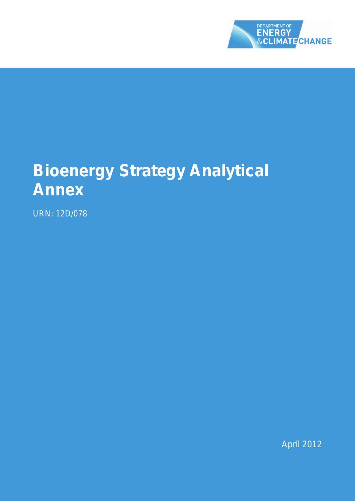

# **Bioenergy Strategy Analytical Annex**

URN: 12D/078

April 2012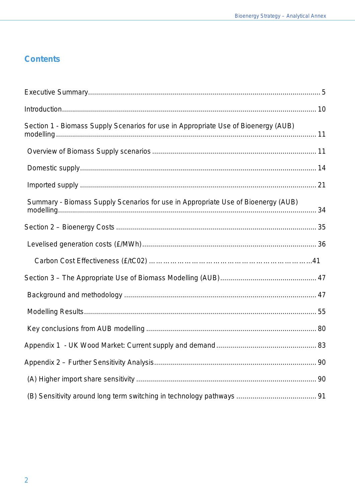# **Contents**

| Section 1 - Biomass Supply Scenarios for use in Appropriate Use of Bioenergy (AUB) |    |
|------------------------------------------------------------------------------------|----|
|                                                                                    |    |
|                                                                                    |    |
|                                                                                    |    |
| Summary - Biomass Supply Scenarios for use in Appropriate Use of Bioenergy (AUB)   |    |
|                                                                                    |    |
|                                                                                    |    |
|                                                                                    |    |
|                                                                                    |    |
|                                                                                    |    |
|                                                                                    |    |
|                                                                                    |    |
|                                                                                    |    |
|                                                                                    | 90 |
|                                                                                    |    |
|                                                                                    |    |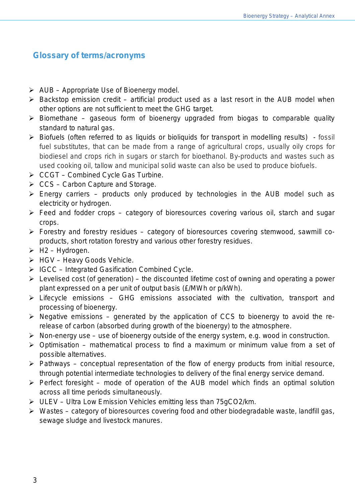# **Glossary of terms/acronyms**

- $\triangleright$  AUB Appropriate Use of Bioenergy model.
- $\triangleright$  Backstop emission credit artificial product used as a last resort in the AUB model when other options are not sufficient to meet the GHG target.
- $\triangleright$  Biomethane gaseous form of bioenergy upgraded from biogas to comparable quality standard to natural gas.
- $\triangleright$  Biofuels (often referred to as liquids or bioliquids for transport in modelling results) fossil fuel substitutes, that can be made from a range of agricultural crops, usually oily crops for biodiesel and crops rich in sugars or starch for bioethanol. By-products and wastes such as used cooking oil, tallow and municipal solid waste can also be used to produce biofuels.
- $\triangleright$  CCGT Combined Cycle Gas Turbine.
- $\triangleright$  CCS Carbon Capture and Storage.
- $\triangleright$  Energy carriers products only produced by technologies in the AUB model such as electricity or hydrogen.
- $\triangleright$  Feed and fodder crops category of bioresources covering various oil, starch and sugar crops.
- $\triangleright$  Forestry and forestry residues category of bioresources covering stemwood, sawmill coproducts, short rotation forestry and various other forestry residues.
- $\triangleright$  H2 Hydrogen.
- $\triangleright$  HGV Heavy Goods Vehicle.
- $\triangleright$  IGCC Integrated Gasification Combined Cycle.
- $\triangleright$  Levelised cost (of generation) the discounted lifetime cost of owning and operating a power plant expressed on a per unit of output basis (£/MWh or p/kWh).
- $\triangleright$  Lifecycle emissions GHG emissions associated with the cultivation, transport and processing of bioenergy.
- $\triangleright$  Negative emissions generated by the application of CCS to bioenergy to avoid the rerelease of carbon (absorbed during growth of the bioenergy) to the atmosphere.
- $\triangleright$  Non-energy use use of bioenergy outside of the energy system, e.g. wood in construction.
- $\triangleright$  Optimisation mathematical process to find a maximum or minimum value from a set of possible alternatives.
- $\triangleright$  Pathways conceptual representation of the flow of energy products from initial resource, through potential intermediate technologies to delivery of the final energy service demand.
- $\triangleright$  Perfect foresight mode of operation of the AUB model which finds an optimal solution across all time periods simultaneously.
- $\triangleright$  ULEV Ultra Low Emission Vehicles emitting less than 75gCO2/km.
- $\triangleright$  Wastes category of bioresources covering food and other biodegradable waste, landfill gas, sewage sludge and livestock manures.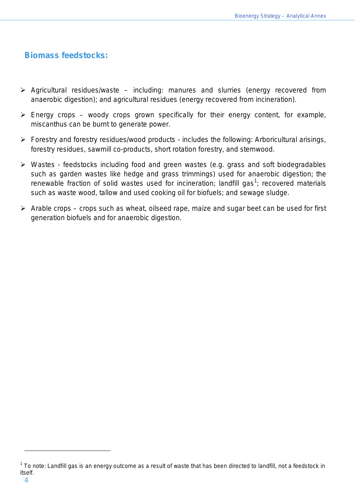# **Biomass feedstocks:**

- $\triangleright$  Agricultural residues/waste including: manures and slurries (energy recovered from anaerobic digestion); and agricultural residues (energy recovered from incineration).
- $\triangleright$  Energy crops woody crops grown specifically for their energy content, for example, miscanthus can be burnt to generate power.
- $\triangleright$  Forestry and forestry residues/wood products includes the following: Arboricultural arisings, forestry residues, sawmill co-products, short rotation forestry, and stemwood.
- Wastes feedstocks including food and green wastes (e.g. grass and soft biodegradables such as garden wastes like hedge and grass trimmings) used for anaerobic digestion; the renewable fraction of solid wastes used for incineration; landfill gas<sup>[1](#page-3-0)</sup>; recovered materials such as waste wood, tallow and used cooking oil for biofuels; and sewage sludge.
- $\triangleright$  Arable crops crops such as wheat, oilseed rape, maize and sugar beet can be used for first generation biofuels and for anaerobic digestion.

<span id="page-3-0"></span> $1$  To note: Landfill gas is an energy outcome as a result of waste that has been directed to landfill, not a feedstock in itself.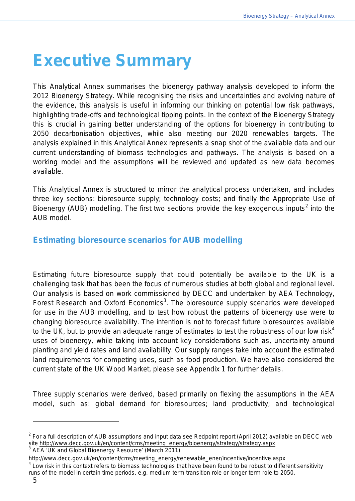# <span id="page-4-0"></span>**Executive Summary**

This Analytical Annex summarises the bioenergy pathway analysis developed to inform the 2012 Bioenergy Strategy. While recognising the risks and uncertainties and evolving nature of the evidence, this analysis is useful in informing our thinking on potential low risk pathways, highlighting trade-offs and technological tipping points. In the context of the Bioenergy Strategy this is crucial in gaining better understanding of the options for bioenergy in contributing to 2050 decarbonisation objectives, while also meeting our 2020 renewables targets. The analysis explained in this Analytical Annex represents a snap shot of the available data and our current understanding of biomass technologies and pathways. The analysis is based on a working model and the assumptions will be reviewed and updated as new data becomes available.

This Analytical Annex is structured to mirror the analytical process undertaken, and includes three key sections: bioresource supply; technology costs; and finally the Appropriate Use of Bioenergy (AUB) modelling. The first two sections provide the key exogenous inputs<sup>[2](#page-4-1)</sup> into the AUB model.

# **Estimating bioresource scenarios for AUB modelling**

Estimating future bioresource supply that could potentially be available to the UK is a challenging task that has been the focus of numerous studies at both global and regional level. Our analysis is based on work commissioned by DECC and undertaken by AEA Technology, Forest Research and Oxford Economics<sup>[3](#page-4-2)</sup>. The bioresource supply scenarios were developed for use in the AUB modelling, and to test how robust the patterns of bioenergy use were to changing bioresource availability. The intention is not to forecast future bioresources available to the UK, but to provide an adequate range of estimates to test the robustness of our low risk<sup>[4](#page-4-3)</sup> uses of bioenergy, while taking into account key considerations such as, uncertainty around planting and yield rates and land availability. Our supply ranges take into account the estimated land requirements for competing uses, such as food production. We have also considered the current state of the UK Wood Market, please see Appendix 1 for further details.

Three supply scenarios were derived, based primarily on flexing the assumptions in the AEA model, such as: global demand for bioresources; land productivity; and technological

l

<span id="page-4-1"></span> $2$  For a full description of AUB assumptions and input data see Redpoint report (April 2012) available on DECC web site [http://www.decc.gov.uk/en/content/cms/meeting\\_energy/bioenergy/strategy/strategy.aspx](http://www.decc.gov.uk/en/content/cms/meeting_energy/bioenergy/strategy/strategy.aspx) 3 AEA 'UK and Global Bioenergy Resource' (March 2011)

<span id="page-4-2"></span>[http://www.decc.gov.uk/en/content/cms/meeting\\_energy/renewable\\_ener/incentive/incentive.aspx](http://www.decc.gov.uk/en/content/cms/meeting_energy/renewable_ener/incentive/incentive.aspx)

<span id="page-4-3"></span> $^4$  Low risk in this context refers to biomass technologies that have been found to be robust to different sensitivity runs of the model in certain time periods, e.g. medium term transition role or longer term role to 2050.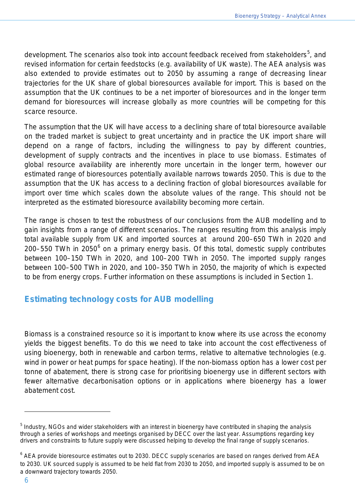development. The scenarios also took into account feedback received from stakeholders<sup>[5](#page-5-0)</sup>, and revised information for certain feedstocks (e.g. availability of UK waste). The AEA analysis was also extended to provide estimates out to 2050 by assuming a range of decreasing linear trajectories for the UK share of global bioresources available for import. This is based on the assumption that the UK continues to be a net importer of bioresources and in the longer term demand for bioresources will increase globally as more countries will be competing for this scarce resource.

The assumption that the UK will have access to a declining share of total bioresource available on the traded market is subject to great uncertainty and in practice the UK import share will depend on a range of factors, including the willingness to pay by different countries, development of supply contracts and the incentives in place to use biomass. Estimates of global resource availability are inherently more uncertain in the longer term, however our estimated range of bioresources potentially available narrows towards 2050. This is due to the assumption that the UK has access to a declining fraction of global bioresources available for import over time which scales down the absolute values of the range. This should not be interpreted as the estimated bioresource availability becoming more certain.

The range is chosen to test the robustness of our conclusions from the AUB modelling and to gain insights from a range of different scenarios. The ranges resulting from this analysis imply total available supply from UK and imported sources at around 200–650 TWh in 2020 and 200–550 TWh in 2050 $^6$  $^6$  on a primary energy basis. Of this total, domestic supply contributes between 100–150 TWh in 2020, and 100–200 TWh in 2050. The imported supply ranges between 100–500 TWh in 2020, and 100–350 TWh in 2050, the majority of which is expected to be from energy crops. Further information on these assumptions is included in Section 1.

# **Estimating technology costs for AUB modelling**

Biomass is a constrained resource so it is important to know where its use across the economy yields the biggest benefits. To do this we need to take into account the cost effectiveness of using bioenergy, both in renewable and carbon terms, relative to alternative technologies (e.g. wind in power or heat pumps for space heating). If the non-biomass option has a lower cost per tonne of abatement, there is strong case for prioritising bioenergy use in different sectors with fewer alternative decarbonisation options or in applications where bioenergy has a lower abatement cost.

<span id="page-5-0"></span><sup>&</sup>lt;sup>5</sup> Industry, NGOs and wider stakeholders with an interest in bioenergy have contributed in shaping the analysis through a series of workshops and meetings organised by DECC over the last year. Assumptions regarding key drivers and constraints to future supply were discussed helping to develop the final range of supply scenarios.

<span id="page-5-1"></span> $6$  AEA provide bioresource estimates out to 2030. DECC supply scenarios are based on ranges derived from AEA to 2030. UK sourced supply is assumed to be held flat from 2030 to 2050, and imported supply is assumed to be on a downward trajectory towards 2050.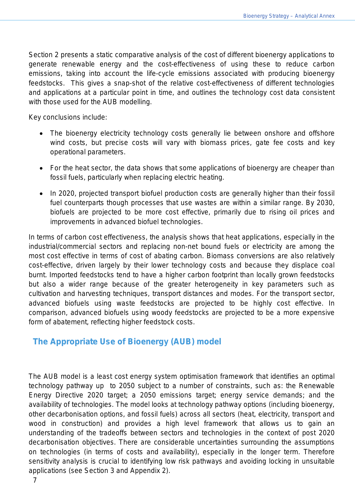Section 2 presents a static comparative analysis of the cost of different bioenergy applications to generate renewable energy and the cost-effectiveness of using these to reduce carbon emissions, taking into account the life-cycle emissions associated with producing bioenergy feedstocks. This gives a snap-shot of the relative cost-effectiveness of different technologies and applications at a particular point in time, and outlines the technology cost data consistent with those used for the AUB modelling.

Key conclusions include:

- The bioenergy electricity technology costs generally lie between onshore and offshore wind costs, but precise costs will vary with biomass prices, gate fee costs and key operational parameters.
- For the heat sector, the data shows that some applications of bioenergy are cheaper than fossil fuels, particularly when replacing electric heating.
- In 2020, projected transport biofuel production costs are generally higher than their fossil fuel counterparts though processes that use wastes are within a similar range. By 2030, biofuels are projected to be more cost effective, primarily due to rising oil prices and improvements in advanced biofuel technologies.

In terms of carbon cost effectiveness, the analysis shows that heat applications, especially in the industrial/commercial sectors and replacing non-net bound fuels or electricity are among the most cost effective in terms of cost of abating carbon. Biomass conversions are also relatively cost-effective, driven largely by their lower technology costs and because they displace coal burnt. Imported feedstocks tend to have a higher carbon footprint than locally grown feedstocks but also a wider range because of the greater heterogeneity in key parameters such as cultivation and harvesting techniques, transport distances and modes. For the transport sector, advanced biofuels using waste feedstocks are projected to be highly cost effective. In comparison, advanced biofuels using woody feedstocks are projected to be a more expensive form of abatement, reflecting higher feedstock costs.

## **The Appropriate Use of Bioenergy (AUB) model**

The AUB model is a least cost energy system optimisation framework that identifies an optimal technology pathway up to 2050 subject to a number of constraints, such as: the Renewable Energy Directive 2020 target; a 2050 emissions target; energy service demands; and the availability of technologies. The model looks at technology pathway options (including bioenergy, other decarbonisation options, and fossil fuels) across all sectors (heat, electricity, transport and wood in construction) and provides a high level framework that allows us to gain an understanding of the tradeoffs between sectors and technologies in the context of post 2020 decarbonisation objectives. There are considerable uncertainties surrounding the assumptions on technologies (in terms of costs and availability), especially in the longer term. Therefore sensitivity analysis is crucial to identifying low risk pathways and avoiding locking in unsuitable applications (see Section 3 and Appendix 2).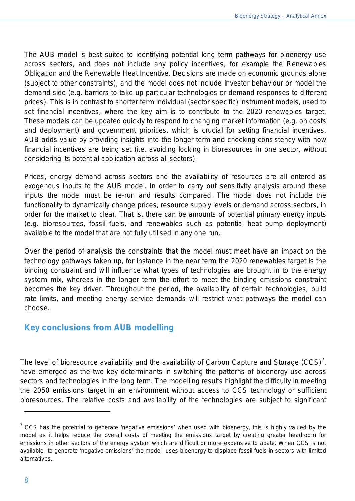The AUB model is best suited to identifying potential long term pathways for bioenergy use across sectors, and does not include any policy incentives, for example the Renewables Obligation and the Renewable Heat Incentive. Decisions are made on economic grounds alone (subject to other constraints), and the model does not include investor behaviour or model the demand side (e.g. barriers to take up particular technologies or demand responses to different prices). This is in contrast to shorter term individual (sector specific) instrument models, used to set financial incentives, where the key aim is to contribute to the 2020 renewables target. These models can be updated quickly to respond to changing market information (e.g. on costs and deployment) and government priorities, which is crucial for setting financial incentives. AUB adds value by providing insights into the longer term and checking consistency with how financial incentives are being set (i.e. avoiding locking in bioresources in one sector, without considering its potential application across all sectors).

Prices, energy demand across sectors and the availability of resources are all entered as exogenous inputs to the AUB model. In order to carry out sensitivity analysis around these inputs the model must be re-run and results compared. The model does not include the functionality to dynamically change prices, resource supply levels or demand across sectors, in order for the market to clear. That is, there can be amounts of potential primary energy inputs (e.g. bioresources, fossil fuels, and renewables such as potential heat pump deployment) available to the model that are not fully utilised in any one run.

Over the period of analysis the constraints that the model must meet have an impact on the technology pathways taken up, for instance in the near term the 2020 renewables target is the binding constraint and will influence what types of technologies are brought in to the energy system mix, whereas in the longer term the effort to meet the binding emissions constraint becomes the key driver. Throughout the period, the availability of certain technologies, build rate limits, and meeting energy service demands will restrict what pathways the model can choose.

## **Key conclusions from AUB modelling**

The level of bioresource availability and the availability of Carbon Capture and Storage  $(CCS)^7$  $(CCS)^7$ , have emerged as the two key determinants in switching the patterns of bioenergy use across sectors and technologies in the long term. The modelling results highlight the difficulty in meeting the 2050 emissions target in an environment without access to CCS technology or sufficient bioresources. The relative costs and availability of the technologies are subject to significant

<span id="page-7-0"></span> $7$  CCS has the potential to generate 'negative emissions' when used with bioenergy, this is highly valued by the model as it helps reduce the overall costs of meeting the emissions target by creating greater headroom for emissions in other sectors of the energy system which are difficult or more expensive to abate. When CCS is not available to generate 'negative emissions' the model uses bioenergy to displace fossil fuels in sectors with limited alternatives.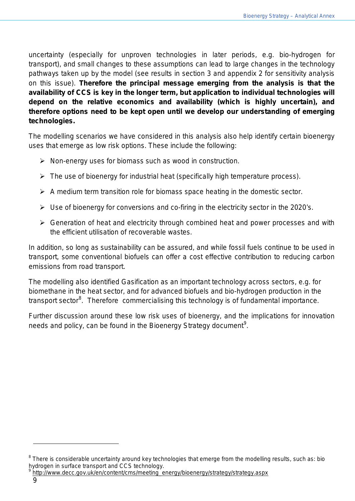uncertainty (especially for unproven technologies in later periods, e.g. bio-hydrogen for transport), and small changes to these assumptions can lead to large changes in the technology pathways taken up by the model (see results in section 3 and appendix 2 for sensitivity analysis on this issue). **Therefore the principal message emerging from the analysis is that the availability of CCS is key in the longer term, but application to individual technologies will depend on the relative economics and availability (which is highly uncertain), and therefore options need to be kept open until we develop our understanding of emerging technologies.** 

The modelling scenarios we have considered in this analysis also help identify certain bioenergy uses that emerge as low risk options. These include the following:

- $\triangleright$  Non-energy uses for biomass such as wood in construction.
- $\triangleright$  The use of bioenergy for industrial heat (specifically high temperature process).
- $\triangleright$  A medium term transition role for biomass space heating in the domestic sector.
- $\triangleright$  Use of bioenergy for conversions and co-firing in the electricity sector in the 2020's.
- $\triangleright$  Generation of heat and electricity through combined heat and power processes and with the efficient utilisation of recoverable wastes.

In addition, so long as sustainability can be assured, and while fossil fuels continue to be used in transport, some conventional biofuels can offer a cost effective contribution to reducing carbon emissions from road transport.

The modelling also identified Gasification as an important technology across sectors, e.g. for biomethane in the heat sector, and for advanced biofuels and bio-hydrogen production in the transport sector<sup>[8](#page-8-1)</sup>. Therefore commercialising this technology is of fundamental importance.

<span id="page-8-0"></span>Further discussion around these low risk uses of bioenergy, and the implications for innovation needs and policy, can be found in the Bioenergy Strategy document<sup>[9](#page-8-2)</sup>.

<span id="page-8-1"></span> $8$  There is considerable uncertainty around key technologies that emerge from the modelling results, such as: bio hydrogen in surface transport and CCS technology.

<span id="page-8-2"></span>[http://www.decc.gov.uk/en/content/cms/meeting\\_energy/bioenergy/strategy/strategy.aspx](http://www.decc.gov.uk/en/content/cms/meeting_energy/bioenergy/strategy/strategy.aspx)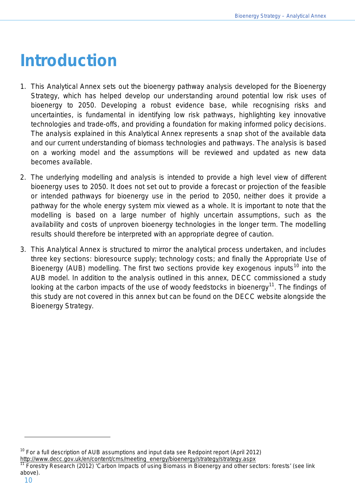# **Introduction**

- 1. This Analytical Annex sets out the bioenergy pathway analysis developed for the Bioenergy Strategy, which has helped develop our understanding around potential low risk uses of bioenergy to 2050. Developing a robust evidence base, while recognising risks and uncertainties, is fundamental in identifying low risk pathways, highlighting key innovative technologies and trade-offs, and providing a foundation for making informed policy decisions. The analysis explained in this Analytical Annex represents a snap shot of the available data and our current understanding of biomass technologies and pathways. The analysis is based on a working model and the assumptions will be reviewed and updated as new data becomes available.
- 2. The underlying modelling and analysis is intended to provide a high level view of different bioenergy uses to 2050. It does not set out to provide a forecast or projection of the feasible or intended pathways for bioenergy use in the period to 2050, neither does it provide a pathway for the whole energy system mix viewed as a whole. It is important to note that the modelling is based on a large number of highly uncertain assumptions, such as the availability and costs of unproven bioenergy technologies in the longer term. The modelling results should therefore be interpreted with an appropriate degree of caution.
- 3. This Analytical Annex is structured to mirror the analytical process undertaken, and includes three key sections: bioresource supply; technology costs; and finally the Appropriate Use of Bioenergy (AUB) modelling. The first two sections provide key exogenous inputs<sup>[10](#page-9-0)</sup> into the AUB model. In addition to the analysis outlined in this annex, DECC commissioned a study looking at the carbon impacts of the use of woody feedstocks in bioenergy<sup>[11](#page-9-1)</sup>. The findings of this study are not covered in this annex but can be found on the DECC website alongside the Bioenergy Strategy.

<span id="page-9-0"></span> $10$  For a full description of AUB assumptions and input data see Redpoint report (April 2012) [http://www.decc.gov.uk/en/content/cms/meeting\\_energy/bioenergy/strategy/strategy.aspx](http://www.decc.gov.uk/en/content/cms/meeting_energy/bioenergy/strategy/strategy.aspx)

<span id="page-9-1"></span><sup>11</sup> Forestry Research (2012) 'Carbon Impacts of using Biomass in Bioenergy and other sectors: forests' (see link above).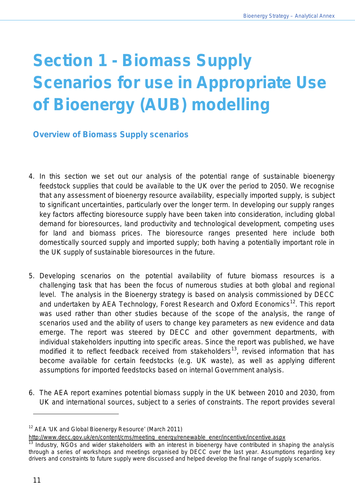# <span id="page-10-0"></span>**Section 1 - Biomass Supply Scenarios for use in Appropriate Use of Bioenergy (AUB) modelling**

# <span id="page-10-1"></span>**Overview of Biomass Supply scenarios**

- 4. In this section we set out our analysis of the potential range of sustainable bioenergy feedstock supplies that could be available to the UK over the period to 2050. We recognise that any assessment of bioenergy resource availability, especially imported supply, is subject to significant uncertainties, particularly over the longer term. In developing our supply ranges key factors affecting bioresource supply have been taken into consideration, including global demand for bioresources, land productivity and technological development, competing uses for land and biomass prices. The bioresource ranges presented here include both domestically sourced supply and imported supply; both having a potentially important role in the UK supply of sustainable bioresources in the future.
- 5. Developing scenarios on the potential availability of future biomass resources is a challenging task that has been the focus of numerous studies at both global and regional level. The analysis in the Bioenergy strategy is based on analysis commissioned by DECC and undertaken by AEA Technology, Forest Research and Oxford Economics<sup>12</sup>. This report was used rather than other studies because of the scope of the analysis, the range of scenarios used and the ability of users to change key parameters as new evidence and data emerge. The report was steered by DECC and other government departments, with individual stakeholders inputting into specific areas. Since the report was published, we have modified it to reflect feedback received from stakeholders<sup>[13](#page-10-3)</sup>, revised information that has become available for certain feedstocks (e.g. UK waste), as well as applying different assumptions for imported feedstocks based on internal Government analysis.
- 6. The AEA report examines potential biomass supply in the UK between 2010 and 2030, from UK and international sources, subject to a series of constraints. The report provides several

<span id="page-10-2"></span><sup>&</sup>lt;sup>12</sup> AEA 'UK and Global Bioenergy Resource' (March 2011)

[http://www.decc.gov.uk/en/content/cms/meeting\\_energy/renewable\\_ener/incentive/incentive.aspx](http://www.decc.gov.uk/en/content/cms/meeting_energy/renewable_ener/incentive/incentive.aspx)

<span id="page-10-3"></span> $13$  Industry, NGOs and wider stakeholders with an interest in bioenergy have contributed in shaping the analysis through a series of workshops and meetings organised by DECC over the last year. Assumptions regarding key drivers and constraints to future supply were discussed and helped develop the final range of supply scenarios.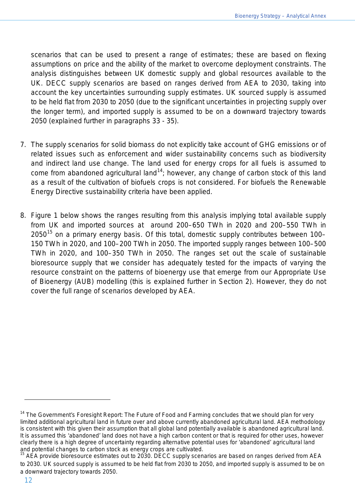scenarios that can be used to present a range of estimates; these are based on flexing assumptions on price and the ability of the market to overcome deployment constraints. The analysis distinguishes between UK domestic supply and global resources available to the UK. DECC supply scenarios are based on ranges derived from AEA to 2030, taking into account the key uncertainties surrounding supply estimates. UK sourced supply is assumed to be held flat from 2030 to 2050 (due to the significant uncertainties in projecting supply over the longer term), and imported supply is assumed to be on a downward trajectory towards 2050 (explained further in paragraphs 33 - 35).

- 7. The supply scenarios for solid biomass do not explicitly take account of GHG emissions or of related issues such as enforcement and wider sustainability concerns such as biodiversity and indirect land use change. The land used for energy crops for all fuels is assumed to come from abandoned agricultural land<sup>[14](#page-11-0)</sup>; however, any change of carbon stock of this land as a result of the cultivation of biofuels crops is not considered. For biofuels the Renewable Energy Directive sustainability criteria have been applied.
- 8. Figure 1 below shows the ranges resulting from this analysis implying total available supply from UK and imported sources at around 200–650 TWh in 2020 and 200–550 TWh in 2050<sup>[15](#page-11-1)</sup> on a primary energy basis. Of this total, domestic supply contributes between 100– 150 TWh in 2020, and 100–200 TWh in 2050. The imported supply ranges between 100–500 TWh in 2020, and 100–350 TWh in 2050. The ranges set out the scale of sustainable bioresource supply that we consider has adequately tested for the impacts of varying the resource constraint on the patterns of bioenergy use that emerge from our Appropriate Use of Bioenergy (AUB) modelling (this is explained further in Section 2). However, they do not cover the full range of scenarios developed by AEA.

<span id="page-11-0"></span><sup>&</sup>lt;sup>14</sup> The Government's Foresight Report: The Future of Food and Farming concludes that we should plan for very limited additional agricultural land in future over and above currently abandoned agricultural land. AEA methodology is consistent with this given their assumption that all global land potentially available is abandoned agricultural land. It is assumed this 'abandoned' land does not have a high carbon content or that is required for other uses, however clearly there is a high degree of uncertainty regarding alternative potential uses for 'abandoned' agricultural land<br>and potential changes to carbon stock as energy crops are cultivated.

<span id="page-11-1"></span>AEA provide bioresource estimates out to 2030. DECC supply scenarios are based on ranges derived from AEA to 2030. UK sourced supply is assumed to be held flat from 2030 to 2050, and imported supply is assumed to be on a downward trajectory towards 2050.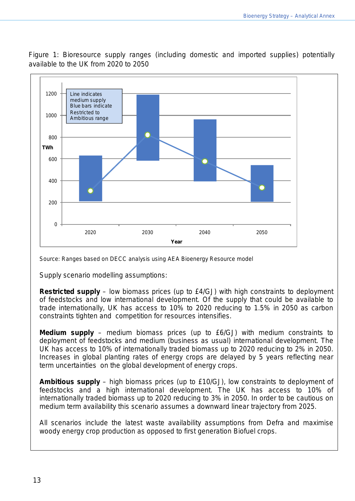Figure 1: Bioresource supply ranges (including domestic and imported supplies) potentially available to the UK from 2020 to 2050



Source: Ranges based on DECC analysis using AEA Bioenergy Resource model

Supply scenario modelling assumptions:

**Restricted supply** – low biomass prices (up to £4/GJ) with high constraints to deployment of feedstocks and low international development. Of the supply that could be available to trade internationally, UK has access to 10% to 2020 reducing to 1.5% in 2050 as carbon constraints tighten and competition for resources intensifies.

**Medium supply** – medium biomass prices (up to £6/GJ) with medium constraints to deployment of feedstocks and medium (business as usual) international development. The UK has access to 10% of internationally traded biomass up to 2020 reducing to 2% in 2050. Increases in global planting rates of energy crops are delayed by 5 years reflecting near term uncertainties on the global development of energy crops.

**Ambitious supply** – high biomass prices (up to £10/GJ), low constraints to deployment of feedstocks and a high international development. The UK has access to 10% of internationally traded biomass up to 2020 reducing to 3% in 2050. In order to be cautious on medium term availability this scenario assumes a downward linear trajectory from 2025.

All scenarios include the latest waste availability assumptions from Defra and maximise woody energy crop production as opposed to first generation Biofuel crops.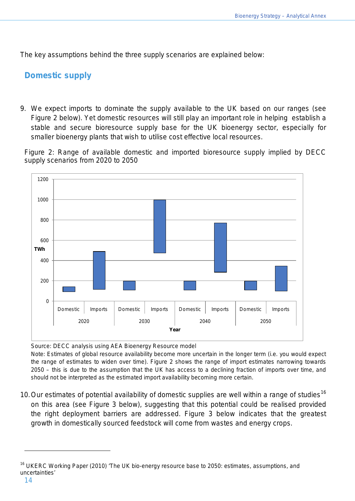The key assumptions behind the three supply scenarios are explained below:

# <span id="page-13-0"></span>**Domestic supply**

9. We expect imports to dominate the supply available to the UK based on our ranges (see Figure 2 below). Yet domestic resources will still play an important role in helping establish a stable and secure bioresource supply base for the UK bioenergy sector, especially for smaller bioenergy plants that wish to utilise cost effective local resources.

Figure 2: Range of available domestic and imported bioresource supply implied by DECC supply scenarios from 2020 to 2050



Source: DECC analysis using AEA Bioenergy Resource model

Note: Estimates of global resource availability become more uncertain in the longer term (i.e. you would expect the range of estimates to widen over time). Figure 2 shows the range of import estimates narrowing towards 2050 – this is due to the assumption that the UK has access to a declining fraction of imports over time, and should not be interpreted as the estimated import availability becoming more certain.

10. Our estimates of potential availability of domestic supplies are well within a range of studies<sup>[16](#page-13-1)</sup> on this area (see Figure 3 below), suggesting that this potential could be realised provided the right deployment barriers are addressed. Figure 3 below indicates that the greatest growth in domestically sourced feedstock will come from wastes and energy crops.

<span id="page-13-1"></span><sup>&</sup>lt;sup>16</sup> UKERC Working Paper (2010) 'The UK bio-energy resource base to 2050: estimates, assumptions, and uncertainties'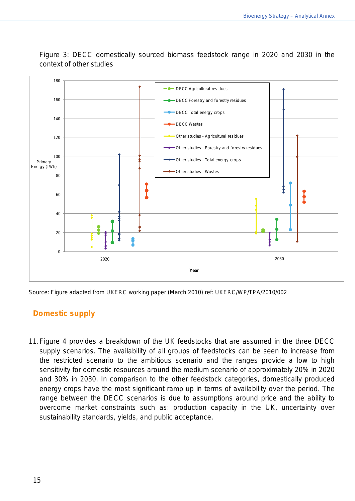

Figure 3: DECC domestically sourced biomass feedstock range in 2020 and 2030 in the context of other studies

Source: Figure adapted from UKERC working paper (March 2010) ref: UKERC/WP/TPA/2010/002

# **Domestic supply**

11.Figure 4 provides a breakdown of the UK feedstocks that are assumed in the three DECC supply scenarios. The availability of all groups of feedstocks can be seen to increase from the restricted scenario to the ambitious scenario and the ranges provide a low to high sensitivity for domestic resources around the medium scenario of approximately 20% in 2020 and 30% in 2030. In comparison to the other feedstock categories, domestically produced energy crops have the most significant ramp up in terms of availability over the period. The range between the DECC scenarios is due to assumptions around price and the ability to overcome market constraints such as: production capacity in the UK, uncertainty over sustainability standards, yields, and public acceptance.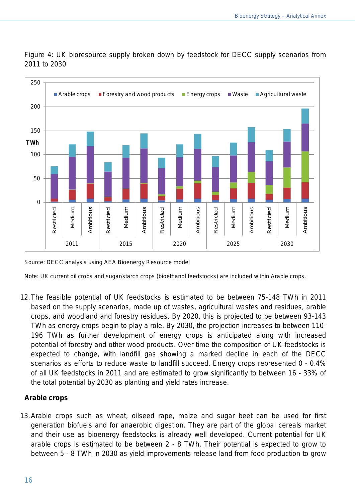

Figure 4: UK bioresource supply broken down by feedstock for DECC supply scenarios from 2011 to 2030

Source: DECC analysis using AEA Bioenergy Resource model

Note: UK current oil crops and sugar/starch crops (bioethanol feedstocks) are included within Arable crops.

12.The feasible potential of UK feedstocks is estimated to be between 75-148 TWh in 2011 based on the supply scenarios, made up of wastes, agricultural wastes and residues, arable crops, and woodland and forestry residues. By 2020, this is projected to be between 93-143 TWh as energy crops begin to play a role. By 2030, the projection increases to between 110- 196 TWh as further development of energy crops is anticipated along with increased potential of forestry and other wood products. Over time the composition of UK feedstocks is expected to change, with landfill gas showing a marked decline in each of the DECC scenarios as efforts to reduce waste to landfill succeed. Energy crops represented 0 - 0.4% of all UK feedstocks in 2011 and are estimated to grow significantly to between 16 - 33% of the total potential by 2030 as planting and yield rates increase.

#### **Arable crops**

13.Arable crops such as wheat, oilseed rape, maize and sugar beet can be used for first generation biofuels and for anaerobic digestion. They are part of the global cereals market and their use as bioenergy feedstocks is already well developed. Current potential for UK arable crops is estimated to be between 2 - 8 TWh. Their potential is expected to grow to between 5 - 8 TWh in 2030 as yield improvements release land from food production to grow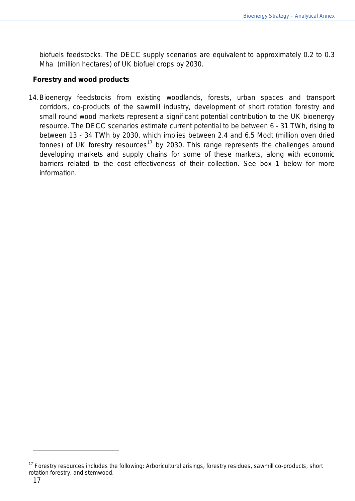biofuels feedstocks. The DECC supply scenarios are equivalent to approximately 0.2 to 0.3 Mha (million hectares) of UK biofuel crops by 2030.

#### **Forestry and wood products**

14.Bioenergy feedstocks from existing woodlands, forests, urban spaces and transport corridors, co-products of the sawmill industry, development of short rotation forestry and small round wood markets represent a significant potential contribution to the UK bioenergy resource. The DECC scenarios estimate current potential to be between 6 - 31 TWh, rising to between 13 - 34 TWh by 2030, which implies between 2.4 and 6.5 Modt (million oven dried tonnes) of UK forestry resources<sup>[17](#page-16-0)</sup> by 2030. This range represents the challenges around developing markets and supply chains for some of these markets, along with economic barriers related to the cost effectiveness of their collection. See box 1 below for more information.

<span id="page-16-0"></span><sup>&</sup>lt;sup>17</sup> Forestry resources includes the following: Arboricultural arisings, forestry residues, sawmill co-products, short rotation forestry, and stemwood.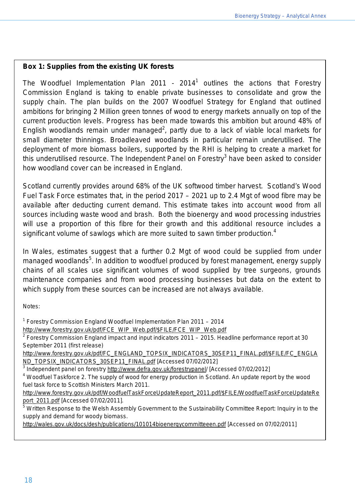#### **Box 1: Supplies from the existing UK forests**

The Woodfuel Implementation Plan 2011 -  $2014<sup>1</sup>$  outlines the actions that Forestry Commission England is taking to enable private businesses to consolidate and grow the supply chain. The plan builds on the 2007 Woodfuel Strategy for England that outlined ambitions for bringing 2 Million green tonnes of wood to energy markets annually on top of the current production levels. Progress has been made towards this ambition but around 48% of English woodlands remain under managed<sup>2</sup>, partly due to a lack of viable local markets for small diameter thinnings. Broadleaved woodlands in particular remain underutilised. The deployment of more biomass boilers, supported by the RHI is helping to create a market for this underutilised resource. The Independent Panel on Forestry<sup>3</sup> have been asked to consider how woodland cover can be increased in England.

Scotland currently provides around 68% of the UK softwood timber harvest. Scotland's Wood Fuel Task Force estimates that, in the period 2017 – 2021 up to 2.4 Mgt of wood fibre may be available after deducting current demand. This estimate takes into account wood from all sources including waste wood and brash. Both the bioenergy and wood processing industries will use a proportion of this fibre for their growth and this additional resource includes a significant volume of sawlogs which are more suited to sawn timber production.<sup>4</sup>

In Wales, estimates suggest that a further 0.2 Mgt of wood could be supplied from under managed woodlands<sup>5</sup>. In addition to woodfuel produced by forest management, energy supply chains of all scales use significant volumes of wood supplied by tree surgeons, grounds maintenance companies and from wood processing businesses but data on the extent to which supply from these sources can be increased are not always available.

Notes:

<sup>1</sup> Forestry Commission England Woodfuel Implementation Plan 2011 – 2014

[http://www.forestry.gov.uk/pdf/FCE\\_WIP\\_Web.pdf/\\$FILE/FCE\\_WIP\\_Web.pdf](http://www.forestry.gov.uk/pdf/FCE_WIP_Web.pdf/$FILE/FCE_WIP_Web.pdf)

<sup>2</sup> Forestry Commission England impact and input indicators 2011 – 2015. Headline performance report at 30 September 2011 (first release)

[http://www.forestry.gov.uk/pdf/FC\\_ENGLAND\\_TOPSIX\\_INDICATORS\\_30SEP11\\_FINAL.pdf/\\$FILE/FC\\_ENGLA](http://www.forestry.gov.uk/pdf/FC_ENGLAND_TOPSIX_INDICATORS_30SEP11_FINAL.pdf/$FILE/FC_ENGLAND_TOPSIX_INDICATORS_30SEP11_FINAL.pdf) [ND\\_TOPSIX\\_INDICATORS\\_30SEP11\\_FINAL.pdf](http://www.forestry.gov.uk/pdf/FC_ENGLAND_TOPSIX_INDICATORS_30SEP11_FINAL.pdf/$FILE/FC_ENGLAND_TOPSIX_INDICATORS_30SEP11_FINAL.pdf) [Accessed 07/02/2012]

3 Independent panel on forestry [http://www.defra.gov.uk/forestrypanel/](http://www.defra.gov.uk/forestrypanel) [Accessed 07/02/2012]

<sup>4</sup> Woodfuel Taskforce 2. The supply of wood for energy production in Scotland. An update report by the wood fuel task force to Scottish Ministers March 2011.

[http://www.forestry.gov.uk/pdf/WoodfuelTaskForceUpdateReport\\_2011.pdf/\\$FILE/WoodfuelTaskForceUpdateRe](http://www.forestry.gov.uk/pdf/WoodfuelTaskForceUpdateReport_2011.pdf/$FILE/WoodfuelTaskForceUpdateReport_2011.pdf) [port\\_2011.pdf](http://www.forestry.gov.uk/pdf/WoodfuelTaskForceUpdateReport_2011.pdf/$FILE/WoodfuelTaskForceUpdateReport_2011.pdf) [Accessed 07/02/2011].

<sup>5</sup> Written Response to the Welsh Assembly Government to the Sustainability Committee Report: Inquiry in to the supply and demand for woody biomass.

<http://wales.gov.uk/docs/desh/publications/101014bioenergycommitteeen.pdf> [Accessed on 07/02/2011]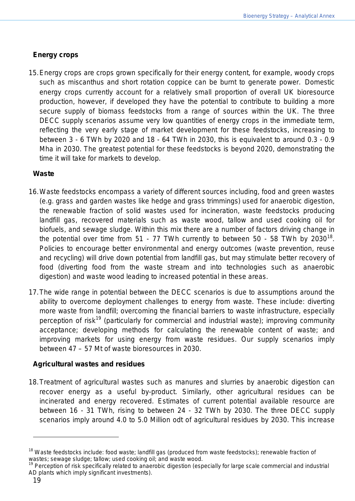### **Energy crops**

15.Energy crops are crops grown specifically for their energy content, for example, woody crops such as miscanthus and short rotation coppice can be burnt to generate power. Domestic energy crops currently account for a relatively small proportion of overall UK bioresource production, however, if developed they have the potential to contribute to building a more secure supply of biomass feedstocks from a range of sources within the UK. The three DECC supply scenarios assume very low quantities of energy crops in the immediate term, reflecting the very early stage of market development for these feedstocks, increasing to between 3 - 6 TWh by 2020 and 18 - 64 TWh in 2030, this is equivalent to around 0.3 - 0.9 Mha in 2030. The greatest potential for these feedstocks is beyond 2020, demonstrating the time it will take for markets to develop.

#### **Waste**

- 16.Waste feedstocks encompass a variety of different sources including, food and green wastes (e.g. grass and garden wastes like hedge and grass trimmings) used for anaerobic digestion, the renewable fraction of solid wastes used for incineration, waste feedstocks producing landfill gas, recovered materials such as waste wood, tallow and used cooking oil for biofuels, and sewage sludge. Within this mix there are a number of factors driving change in the potential over time from 51 - 77 TWh currently to between 50 - 58 TWh by 2030<sup>[18](#page-18-0)</sup>. Policies to encourage better environmental and energy outcomes (waste prevention, reuse and recycling) will drive down potential from landfill gas, but may stimulate better recovery of food (diverting food from the waste stream and into technologies such as anaerobic digestion) and waste wood leading to increased potential in these areas.
- 17.The wide range in potential between the DECC scenarios is due to assumptions around the ability to overcome deployment challenges to energy from waste. These include: diverting more waste from landfill; overcoming the financial barriers to waste infrastructure, especially perception of risk<sup>[19](#page-18-1)</sup> (particularly for commercial and industrial waste); improving community acceptance; developing methods for calculating the renewable content of waste; and improving markets for using energy from waste residues. Our supply scenarios imply between 47 – 57 Mt of waste bioresources in 2030.

#### **Agricultural wastes and residues**

18.Treatment of agricultural wastes such as manures and slurries by anaerobic digestion can recover energy as a useful by-product. Similarly, other agricultural residues can be incinerated and energy recovered. Estimates of current potential available resource are between 16 - 31 TWh, rising to between 24 - 32 TWh by 2030. The three DECC supply scenarios imply around 4.0 to 5.0 Million odt of agricultural residues by 2030. This increase

<span id="page-18-0"></span><sup>&</sup>lt;sup>18</sup> Waste feedstocks include: food waste; landfill gas (produced from waste feedstocks); renewable fraction of wastes; sewage sludge; tallow; used cooking oil; and waste wood.

<span id="page-18-1"></span><sup>&</sup>lt;sup>19</sup> Perception of risk specifically related to anaerobic digestion (especially for large scale commercial and industrial AD plants which imply significant investments).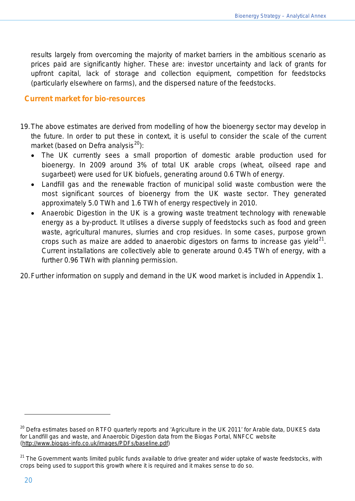results largely from overcoming the majority of market barriers in the ambitious scenario as prices paid are significantly higher. These are: investor uncertainty and lack of grants for upfront capital, lack of storage and collection equipment, competition for feedstocks (particularly elsewhere on farms), and the dispersed nature of the feedstocks.

#### **Current market for bio-resources**

- 19.The above estimates are derived from modelling of how the bioenergy sector may develop in the future. In order to put these in context, it is useful to consider the scale of the current market (based on Defra analysis $^{20}$  $^{20}$  $^{20}$ ):
	- The UK currently sees a small proportion of domestic arable production used for bioenergy. In 2009 around 3% of total UK arable crops (wheat, oilseed rape and sugarbeet) were used for UK biofuels, generating around 0.6 TWh of energy.
	- Landfill gas and the renewable fraction of municipal solid waste combustion were the most significant sources of bioenergy from the UK waste sector. They generated approximately 5.0 TWh and 1.6 TWh of energy respectively in 2010.
	- Anaerobic Digestion in the UK is a growing waste treatment technology with renewable energy as a by-product. It utilises a diverse supply of feedstocks such as food and green waste, agricultural manures, slurries and crop residues. In some cases, purpose grown crops such as maize are added to anaerobic digestors on farms to increase gas yield $^{21}$  $^{21}$  $^{21}$ . Current installations are collectively able to generate around 0.45 TWh of energy, with a further 0.96 TWh with planning permission.

<span id="page-19-0"></span>20.Further information on supply and demand in the UK wood market is included in Appendix 1.

l

<span id="page-19-1"></span><sup>&</sup>lt;sup>20</sup> Defra estimates based on RTFO quarterly reports and 'Agriculture in the UK 2011' for Arable data, DUKES data for Landfill gas and waste, and Anaerobic Digestion data from the Biogas Portal, NNFCC website [\(http://www.biogas-info.co.uk/images/PDFs/baseline.pdf\)](http://www.biogas-info.co.uk/images/PDFs/baseline.pdf)

<span id="page-19-2"></span><sup>&</sup>lt;sup>21</sup> The Government wants limited public funds available to drive greater and wider uptake of waste feedstocks, with crops being used to support this growth where it is required and it makes sense to do so.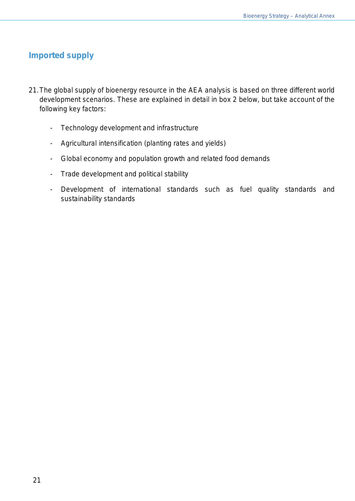# **Imported supply**

- 21.The global supply of bioenergy resource in the AEA analysis is based on three different world development scenarios. These are explained in detail in box 2 below, but take account of the following key factors:
	- Technology development and infrastructure
	- Agricultural intensification (planting rates and yields)
	- Global economy and population growth and related food demands
	- Trade development and political stability
	- Development of international standards such as fuel quality standards and sustainability standards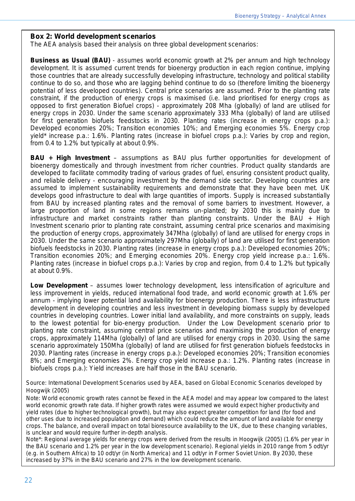#### **Box 2: World development scenarios**

The AEA analysis based their analysis on three global development scenarios:

**Business as Usual (BAU)** - assumes world economic growth at 2% per annum and high technology development. It is assumed current trends for bioenergy production in each region continue, implying those countries that are already successfully developing infrastructure, technology and political stability continue to do so, and those who are lagging behind continue to do so (therefore limiting the bioenergy potential of less developed countries). Central price scenarios are assumed. Prior to the planting rate constraint, if the production of energy crops is maximised (i.e. land prioritised for energy crops as opposed to first generation Biofuel crops) - approximately 208 Mha (globally) of land are utilised for energy crops in 2030. Under the same scenario approximately 333 Mha (globally) of land are utilised for first generation biofuels feedstocks in 2030. Planting rates (increase in energy crops p.a.): Developed economies 20%; Transition economies 10%; and Emerging economies 5%. Energy crop yield\* increase p.a.: 1.6%. Planting rates (increase in biofuel crops p.a.): Varies by crop and region, from 0.4 to 1.2% but typically at about 0.9%.

**BAU + High Investment** – assumptions as BAU plus further opportunities for development of bioenergy domestically and through investment from richer countries. Product quality standards are developed to facilitate commodity trading of various grades of fuel, ensuring consistent product quality, and reliable delivery - encouraging investment by the demand side sector. Developing countries are assumed to implement sustainability requirements and demonstrate that they have been met. UK develops good infrastructure to deal with large quantities of imports. Supply is increased substantially from BAU by increased planting rates and the removal of some barriers to investment. However, a large proportion of land in some regions remains un-planted; by 2030 this is mainly due to infrastructure and market constraints rather than planting constraints. Under the BAU + High Investment scenario prior to planting rate constraint, assuming central price scenarios and maximising the production of energy crops, approximately 347Mha (globally) of land are utilised for energy crops in 2030. Under the same scenario approximately 297Mha (globally) of land are utilised for first generation biofuels feedstocks in 2030. Planting rates (increase in energy crops p.a.): Developed economies 20%; Transition economies 20%; and Emerging economies 20%. Energy crop yield increase p.a.: 1.6%. Planting rates (increase in biofuel crops p.a.): Varies by crop and region, from 0.4 to 1.2% but typically at about 0.9%.

**Low Development** – assumes lower technology development, less intensification of agriculture and less improvement in yields, reduced international food trade, and world economic growth at 1.6% per annum - implying lower potential land availability for bioenergy production. There is less infrastructure development in developing countries and less investment in developing biomass supply by developed countries in developing countries. Lower initial land availability, and more constraints on supply, leads to the lowest potential for bio-energy production. Under the Low Development scenario prior to planting rate constraint, assuming central price scenarios and maximising the production of energy crops, approximately 114Mha (globally) of land are utilised for energy crops in 2030. Using the same scenario approximately 150Mha (globally) of land are utilised for first generation biofuels feedstocks in 2030. Planting rates (increase in energy crops p.a.): Developed economies 20%; Transition economies 8%; and Emerging economies 2%. Energy crop yield increase p.a.: 1.2%. Planting rates (increase in biofuels crops p.a.): Yield increases are half those in the BAU scenario.

Source: International Development Scenarios used by AEA, based on Global Economic Scenarios developed by Hoogwijk (2005)

Note: World economic growth rates cannot be flexed in the AEA model and may appear low compared to the latest world economic growth rate data. If higher growth rates were assumed we would expect higher productivity and yield rates (due to higher technological growth), but may also expect greater competition for land (for food and other uses due to increased population and demand) which could reduce the amount of land available for energy crops. The balance, and overall impact on total bioresource availability to the UK, due to these changing variables, is unclear and would require further in-depth analysis.

Note\*: Regional average yields for energy crops were derived from the results in Hoogwijk (2005) (1.6% per year in the BAU scenario and 1.2% per year in the low development scenario). Regional yields in 2010 range from 5 odt/yr (e.g. in Southern Africa) to 10 odt/yr (in North America) and 11 odt/yr in Former Soviet Union. By 2030, these increased by 37% in the BAU scenario and 27% in the low development scenario.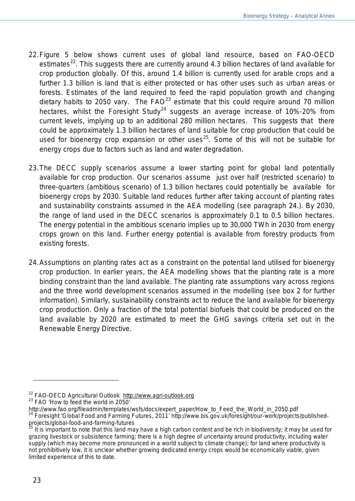- 22.Figure 5 below shows current uses of global land resource, based on FAO-OECD estimates<sup>22</sup>. This suggests there are currently around 4.3 billion hectares of land available for crop production globally. Of this, around 1.4 billion is currently used for arable crops and a further 1.3 billion is land that is either protected or has other uses such as urban areas or forests. Estimates of the land required to feed the rapid population growth and changing dietary habits to 2050 vary. The  $FAO^{23}$  $FAO^{23}$  $FAO^{23}$  estimate that this could require around 70 million hectares, whilst the Foresight Study<sup>[24](#page-22-2)</sup> suggests an average increase of 10%-20% from current levels, implying up to an additional 280 million hectares. This suggests that there could be approximately 1.3 billion hectares of land suitable for crop production that could be used for bioenergy crop expansion or other uses<sup>[25](#page-22-3)</sup>. Some of this will not be suitable for energy crops due to factors such as land and water degradation.
- 23.The DECC supply scenarios assume a lower starting point for global land potentially available for crop production. Our scenarios assume just over half (restricted scenario) to three-quarters (ambitious scenario) of 1.3 billion hectares could potentially be available for bioenergy crops by 2030. Suitable land reduces further after taking account of planting rates and sustainability constraints assumed in the AEA modelling (see paragraph 24.). By 2030, the range of land used in the DECC scenarios is approximately 0.1 to 0.5 billion hectares. The energy potential in the ambitious scenario implies up to 30,000 TWh in 2030 from energy crops grown on this land. Further energy potential is available from forestry products from existing forests.
- 24.Assumptions on planting rates act as a constraint on the potential land utilised for bioenergy crop production. In earlier years, the AEA modelling shows that the planting rate is a more binding constraint than the land available. The planting rate assumptions vary across regions and the three world development scenarios assumed in the modelling (see box 2 for further information). Similarly, sustainability constraints act to reduce the land available for bioenergy crop production. Only a fraction of the total potential biofuels that could be produced on the land available by 2020 are estimated to meet the GHG savings criteria set out in the Renewable Energy Directive.

<span id="page-22-0"></span><sup>&</sup>lt;sup>22</sup> FAO-OECD Agricultural Outlook  $http://www.agri-outlook.org  
\n<sup>23</sup> FAO 'How to feed the world in 2050'$  $http://www.agri-outlook.org  
\n<sup>23</sup> FAO 'How to feed the world in 2050'$  $http://www.agri-outlook.org  
\n<sup>23</sup> FAO 'How to feed the world in 2050'$ </u>

<span id="page-22-1"></span>http://www.fao.org/fileadmin/templates/wsfs/docs/expert\_paper/How\_to\_Feed\_the\_World\_in\_2050.pdf

<span id="page-22-2"></span><sup>&</sup>lt;sup>24</sup> Foresight 'Global Food and Farming Futures, 2011' http://www.bis.gov.uk/foresight/our-work/projects/publishedprojects/global-food-and-farming-futures

<span id="page-22-3"></span>It is important to note that this land may have a high carbon content and be rich in biodiversity; it may be used for grazing livestock or subsistence farming; there is a high degree of uncertainty around productivity, including water supply (which may become more pronounced in a world subject to climate change); for land where productivity is not prohibitively low, it is unclear whether growing dedicated energy crops would be economically viable, given limited experience of this to date.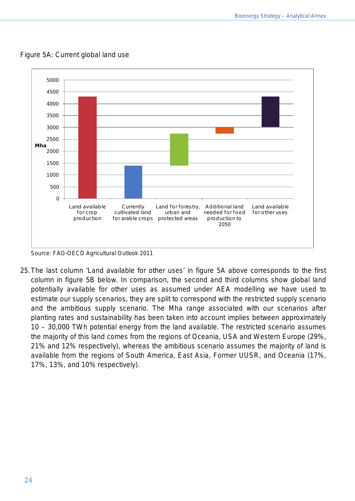

Figure 5A: Current global land use

Source: FAO-OECD Agricultural Outlook 2011

25.The last column 'Land available for other uses' in figure 5A above corresponds to the first column in figure 5B below. In comparison, the second and third columns show global land potentially available for other uses as assumed under AEA modelling we have used to estimate our supply scenarios, they are split to correspond with the restricted supply scenario and the ambitious supply scenario. The Mha range associated with our scenarios after planting rates and sustainability has been taken into account implies between approximately 10 – 30,000 TWh potential energy from the land available. The restricted scenario assumes the majority of this land comes from the regions of Oceania, USA and Western Europe (29%, 21% and 12% respectively), whereas the ambitious scenario assumes the majority of land is available from the regions of South America, East Asia, Former UUSR, and Oceania (17%, 17%, 13%, and 10% respectively).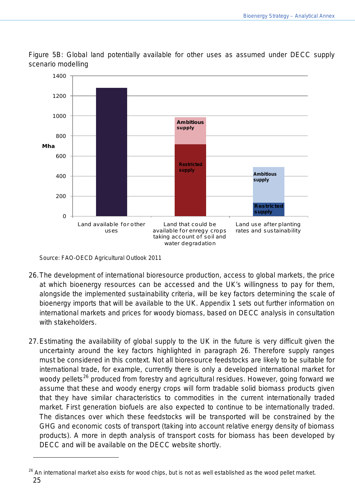

Figure 5B: Global land potentially available for other uses as assumed under DECC supply scenario modelling

Source: FAO-OECD Agricultural Outlook 2011

- 26.The development of international bioresource production, access to global markets, the price at which bioenergy resources can be accessed and the UK's willingness to pay for them, alongside the implemented sustainability criteria, will be key factors determining the scale of bioenergy imports that will be available to the UK. Appendix 1 sets out further information on international markets and prices for woody biomass, based on DECC analysis in consultation with stakeholders.
- 27.Estimating the availability of global supply to the UK in the future is very difficult given the uncertainty around the key factors highlighted in paragraph 26. Therefore supply ranges must be considered in this context. Not all bioresource feedstocks are likely to be suitable for international trade, for example, currently there is only a developed international market for woody pellets<sup>[26](#page-24-0)</sup> produced from forestry and agricultural residues. However, going forward we assume that these and woody energy crops will form tradable solid biomass products given that they have similar characteristics to commodities in the current internationally traded market. First generation biofuels are also expected to continue to be internationally traded. The distances over which these feedstocks will be transported will be constrained by the GHG and economic costs of transport (taking into account relative energy density of biomass products). A more in depth analysis of transport costs for biomass has been developed by DECC and will be available on the DECC website shortly.

<span id="page-24-0"></span><sup>25</sup> <sup>26</sup> An international market also exists for wood chips, but is not as well established as the wood pellet market.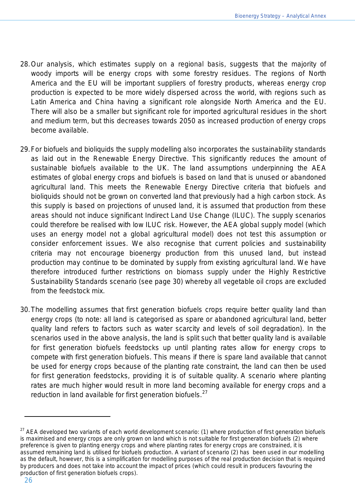- 28.Our analysis, which estimates supply on a regional basis, suggests that the majority of woody imports will be energy crops with some forestry residues. The regions of North America and the EU will be important suppliers of forestry products, whereas energy crop production is expected to be more widely dispersed across the world, with regions such as Latin America and China having a significant role alongside North America and the EU. There will also be a smaller but significant role for imported agricultural residues in the short and medium term, but this decreases towards 2050 as increased production of energy crops become available.
- 29.For biofuels and bioliquids the supply modelling also incorporates the sustainability standards as laid out in the Renewable Energy Directive. This significantly reduces the amount of sustainable biofuels available to the UK. The land assumptions underpinning the AEA estimates of global energy crops and biofuels is based on land that is unused or abandoned agricultural land. This meets the Renewable Energy Directive criteria that biofuels and bioliquids should not be grown on converted land that previously had a high carbon stock. As this supply is based on projections of unused land, it is assumed that production from these areas should not induce significant Indirect Land Use Change (ILUC). The supply scenarios could therefore be realised with low ILUC risk. However, the AEA global supply model (which uses an energy model not a global agricultural model) does not test this assumption or consider enforcement issues. We also recognise that current policies and sustainability criteria may not encourage bioenergy production from this unused land, but instead production may continue to be dominated by supply from existing agricultural land. We have therefore introduced further restrictions on biomass supply under the Highly Restrictive Sustainability Standards scenario (see page 30) whereby all vegetable oil crops are excluded from the feedstock mix.
- 30.The modelling assumes that first generation biofuels crops require better quality land than energy crops (to note: all land is categorised as spare or abandoned agricultural land, better quality land refers to factors such as water scarcity and levels of soil degradation). In the scenarios used in the above analysis, the land is split such that better quality land is available for first generation biofuels feedstocks up until planting rates allow for energy crops to compete with first generation biofuels. This means if there is spare land available that cannot be used for energy crops because of the planting rate constraint, the land can then be used for first generation feedstocks, providing it is of suitable quality. A scenario where planting rates are much higher would result in more land becoming available for energy crops and a reduction in land available for first generation biofuels. $27$

<span id="page-25-0"></span><sup>&</sup>lt;sup>27</sup> AEA developed two variants of each world development scenario: (1) where production of first generation biofuels is maximised and energy crops are only grown on land which is not suitable for first generation biofuels (2) where preference is given to planting energy crops and where planting rates for energy crops are constrained, it is assumed remaining land is utilised for biofuels production. A variant of scenario (2) has been used in our modelling as the default, however, this is a simplification for modelling purposes of the real production decision that is required by producers and does not take into account the impact of prices (which could result in producers favouring the production of first generation biofuels crops).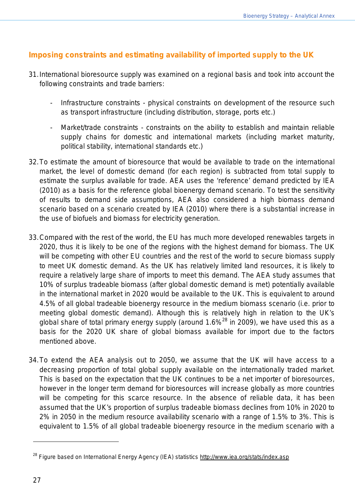# **Imposing constraints and estimating availability of imported supply to the UK**

- 31.International bioresource supply was examined on a regional basis and took into account the following constraints and trade barriers:
	- Infrastructure constraints physical constraints on development of the resource such as transport infrastructure (including distribution, storage, ports etc.)
	- Market/trade constraints constraints on the ability to establish and maintain reliable supply chains for domestic and international markets (including market maturity, political stability, international standards etc.)
- 32.To estimate the amount of bioresource that would be available to trade on the international market, the level of domestic demand (for each region) is subtracted from total supply to estimate the surplus available for trade. AEA uses the 'reference' demand predicted by IEA (2010) as a basis for the reference global bioenergy demand scenario. To test the sensitivity of results to demand side assumptions, AEA also considered a high biomass demand scenario based on a scenario created by IEA (2010) where there is a substantial increase in the use of biofuels and biomass for electricity generation.
- 33.Compared with the rest of the world, the EU has much more developed renewables targets in 2020, thus it is likely to be one of the regions with the highest demand for biomass. The UK will be competing with other EU countries and the rest of the world to secure biomass supply to meet UK domestic demand. As the UK has relatively limited land resources, it is likely to require a relatively large share of imports to meet this demand. The AEA study assumes that 10% of surplus tradeable biomass (after global domestic demand is met) potentially available in the international market in 2020 would be available to the UK. This is equivalent to around 4.5% of all global tradeable bioenergy resource in the medium biomass scenario (i.e. prior to meeting global domestic demand). Although this is relatively high in relation to the UK's global share of total primary energy supply (around  $1.6\%$ <sup>[28](#page-26-0)</sup> in 2009), we have used this as a basis for the 2020 UK share of global biomass available for import due to the factors mentioned above.
- 34.To extend the AEA analysis out to 2050, we assume that the UK will have access to a decreasing proportion of total global supply available on the internationally traded market. This is based on the expectation that the UK continues to be a net importer of bioresources, however in the longer term demand for bioresources will increase globally as more countries will be competing for this scarce resource. In the absence of reliable data, it has been assumed that the UK's proportion of surplus tradeable biomass declines from 10% in 2020 to 2% in 2050 in the medium resource availability scenario with a range of 1.5% to 3%. This is equivalent to 1.5% of all global tradeable bioenergy resource in the medium scenario with a

<span id="page-26-0"></span><sup>&</sup>lt;sup>28</sup> Figure based on International Energy Agency (IEA) statistics<http://www.iea.org/stats/index.asp>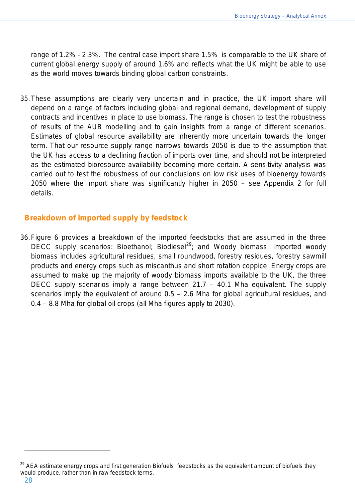range of 1.2% - 2.3%. The central case import share 1.5% is comparable to the UK share of current global energy supply of around 1.6% and reflects what the UK might be able to use as the world moves towards binding global carbon constraints.

35.These assumptions are clearly very uncertain and in practice, the UK import share will depend on a range of factors including global and regional demand, development of supply contracts and incentives in place to use biomass. The range is chosen to test the robustness of results of the AUB modelling and to gain insights from a range of different scenarios. Estimates of global resource availability are inherently more uncertain towards the longer term. That our resource supply range narrows towards 2050 is due to the assumption that the UK has access to a declining fraction of imports over time, and should not be interpreted as the estimated bioresource availability becoming more certain. A sensitivity analysis was carried out to test the robustness of our conclusions on low risk uses of bioenergy towards 2050 where the import share was significantly higher in 2050 – see Appendix 2 for full details.

## **Breakdown of imported supply by feedstock**

36.Figure 6 provides a breakdown of the imported feedstocks that are assumed in the three DECC supply scenarios: Bioethanol; Biodiesel<sup>[29](#page-27-0)</sup>; and Woody biomass. Imported woody biomass includes agricultural residues, small roundwood, forestry residues, forestry sawmill products and energy crops such as miscanthus and short rotation coppice. Energy crops are assumed to make up the majority of woody biomass imports available to the UK, the three DECC supply scenarios imply a range between 21.7 – 40.1 Mha equivalent. The supply scenarios imply the equivalent of around 0.5 – 2.6 Mha for global agricultural residues, and 0.4 – 8.8 Mha for global oil crops (all Mha figures apply to 2030).

<span id="page-27-0"></span><sup>&</sup>lt;sup>29</sup> AEA estimate energy crops and first generation Biofuels feedstocks as the equivalent amount of biofuels they would produce, rather than in raw feedstock terms.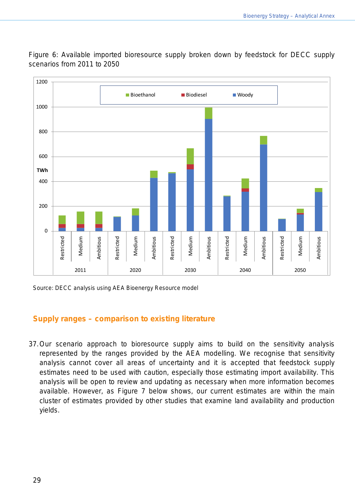Figure 6: Available imported bioresource supply broken down by feedstock for DECC supply scenarios from 2011 to 2050



Source: DECC analysis using AEA Bioenergy Resource model

#### **Supply ranges – comparison to existing literature**

37.Our scenario approach to bioresource supply aims to build on the sensitivity analysis represented by the ranges provided by the AEA modelling. We recognise that sensitivity analysis cannot cover all areas of uncertainty and it is accepted that feedstock supply estimates need to be used with caution, especially those estimating import availability. This analysis will be open to review and updating as necessary when more information becomes available. However, as Figure 7 below shows, our current estimates are within the main cluster of estimates provided by other studies that examine land availability and production yields.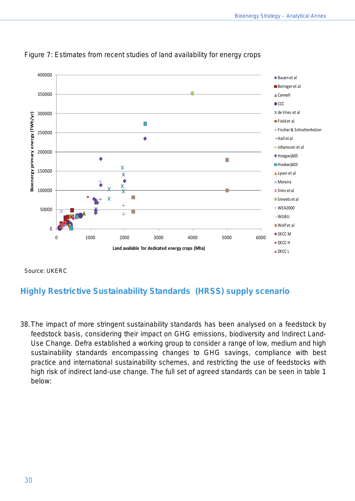

Figure 7: Estimates from recent studies of land availability for energy crops

Source: UKERC

# **Highly Restrictive Sustainability Standards (HRSS) supply scenario**

38.The impact of more stringent sustainability standards has been analysed on a feedstock by feedstock basis, considering their impact on GHG emissions, biodiversity and Indirect Land-Use Change. Defra established a working group to consider a range of low, medium and high sustainability standards encompassing changes to GHG savings, compliance with best practice and international sustainability schemes, and restricting the use of feedstocks with high risk of indirect land-use change. The full set of agreed standards can be seen in table 1 below: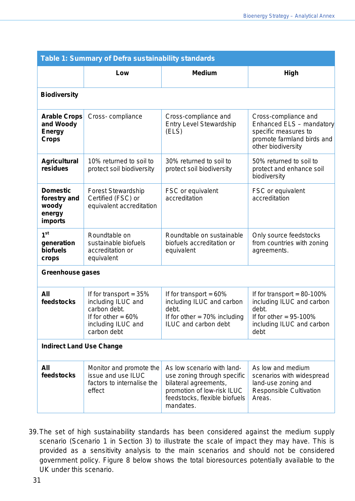| Table 1: Summary of Defra sustainability standards                |                                                                                                                              |                                                                                                                                                                |                                                                                                                                       |  |
|-------------------------------------------------------------------|------------------------------------------------------------------------------------------------------------------------------|----------------------------------------------------------------------------------------------------------------------------------------------------------------|---------------------------------------------------------------------------------------------------------------------------------------|--|
|                                                                   | Low                                                                                                                          | <b>Medium</b>                                                                                                                                                  | High                                                                                                                                  |  |
| <b>Biodiversity</b>                                               |                                                                                                                              |                                                                                                                                                                |                                                                                                                                       |  |
| <b>Arable Crops</b><br>and Woody<br><b>Energy</b><br><b>Crops</b> | Cross-compliance                                                                                                             | Cross-compliance and<br><b>Entry Level Stewardship</b><br>(ELS)                                                                                                | Cross-compliance and<br>Enhanced ELS - mandatory<br>specific measures to<br>promote farmland birds and<br>other biodiversity          |  |
| <b>Agricultural</b><br>residues                                   | 10% returned to soil to<br>protect soil biodiversity                                                                         | 30% returned to soil to<br>protect soil biodiversity                                                                                                           | 50% returned to soil to<br>protect and enhance soil<br>biodiversity                                                                   |  |
| <b>Domestic</b><br>forestry and<br>woody<br>energy<br>imports     | <b>Forest Stewardship</b><br>Certified (FSC) or<br>equivalent accreditation                                                  | FSC or equivalent<br>accreditation                                                                                                                             | FSC or equivalent<br>accreditation                                                                                                    |  |
| 1 <sup>st</sup><br>generation<br>biofuels<br>crops                | Roundtable on<br>sustainable biofuels<br>accreditation or<br>equivalent                                                      | Roundtable on sustainable<br>biofuels accreditation or<br>equivalent                                                                                           | Only source feedstocks<br>from countries with zoning<br>agreements.                                                                   |  |
| <b>Greenhouse gases</b>                                           |                                                                                                                              |                                                                                                                                                                |                                                                                                                                       |  |
| All<br>feedstocks                                                 | If for transport = $35%$<br>including ILUC and<br>carbon debt.<br>If for other $= 60\%$<br>including ILUC and<br>carbon debt | If for transport = $60\%$<br>including ILUC and carbon<br>debt.<br>If for other $= 70\%$ including<br>ILUC and carbon debt                                     | If for transport = $80-100\%$<br>including ILUC and carbon<br>debt.<br>If for other = $95-100\%$<br>including ILUC and carbon<br>debt |  |
| <b>Indirect Land Use Change</b>                                   |                                                                                                                              |                                                                                                                                                                |                                                                                                                                       |  |
| All<br>feedstocks                                                 | Monitor and promote the<br>issue and use ILUC<br>factors to internalise the<br>effect                                        | As low scenario with land-<br>use zoning through specific<br>bilateral agreements,<br>promotion of low-risk ILUC<br>feedstocks, flexible biofuels<br>mandates. | As low and medium<br>scenarios with widespread<br>land-use zoning and<br><b>Responsible Cultivation</b><br>Areas.                     |  |

39.The set of high sustainability standards has been considered against the medium supply scenario (Scenario 1 in Section 3) to illustrate the scale of impact they may have. This is provided as a sensitivity analysis to the main scenarios and should not be considered government policy. Figure 8 below shows the total bioresources potentially available to the UK under this scenario.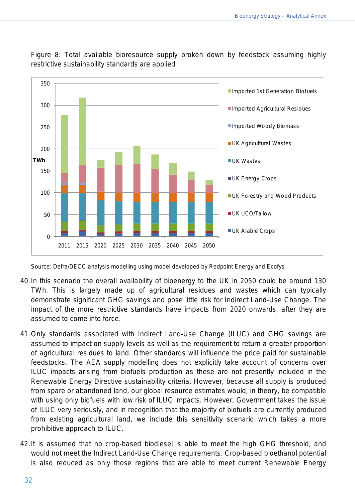

Figure 8: Total available bioresource supply broken down by feedstock assuming highly restrictive sustainability standards are applied

Source: Defra/DECC analysis modelling using model developed by Redpoint Energy and Ecofys

- 40.In this scenario the overall availability of bioenergy to the UK in 2050 could be around 130 TWh. This is largely made up of agricultural residues and wastes which can typically demonstrate significant GHG savings and pose little risk for Indirect Land-Use Change. The impact of the more restrictive standards have impacts from 2020 onwards, after they are assumed to come into force.
- 41.Only standards associated with Indirect Land-Use Change (ILUC) and GHG savings are assumed to impact on supply levels as well as the requirement to return a greater proportion of agricultural residues to land. Other standards will influence the price paid for sustainable feedstocks. The AEA supply modelling does not explicitly take account of concerns over ILUC impacts arising from biofuels production as these are not presently included in the Renewable Energy Directive sustainability criteria. However, because all supply is produced from spare or abandoned land, our global resource estimates would, in theory, be compatible with using only biofuels with low risk of ILUC impacts. However, Government takes the issue of ILUC very seriously, and in recognition that the majority of biofuels are currently produced from existing agricultural land, we include this sensitivity scenario which takes a more prohibitive approach to ILUC.
- 42.It is assumed that no crop-based biodiesel is able to meet the high GHG threshold, and would not meet the Indirect Land-Use Change requirements. Crop-based bioethanol potential is also reduced as only those regions that are able to meet current Renewable Energy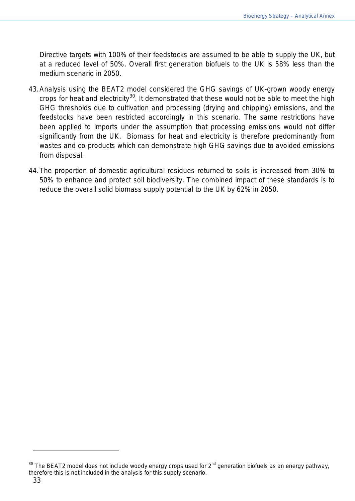Directive targets with 100% of their feedstocks are assumed to be able to supply the UK, but at a reduced level of 50%. Overall first generation biofuels to the UK is 58% less than the medium scenario in 2050.

- 43.Analysis using the BEAT2 model considered the GHG savings of UK-grown woody energy crops for heat and electricity<sup>[30](#page-32-1)</sup>. It demonstrated that these would not be able to meet the high GHG thresholds due to cultivation and processing (drying and chipping) emissions, and the feedstocks have been restricted accordingly in this scenario. The same restrictions have been applied to imports under the assumption that processing emissions would not differ significantly from the UK. Biomass for heat and electricity is therefore predominantly from wastes and co-products which can demonstrate high GHG savings due to avoided emissions from disposal.
- <span id="page-32-0"></span>44.The proportion of domestic agricultural residues returned to soils is increased from 30% to 50% to enhance and protect soil biodiversity. The combined impact of these standards is to reduce the overall solid biomass supply potential to the UK by 62% in 2050.

<span id="page-32-1"></span> $30$  The BEAT2 model does not include woody energy crops used for  $2^{nd}$  generation biofuels as an energy pathway, therefore this is not included in the analysis for this supply scenario.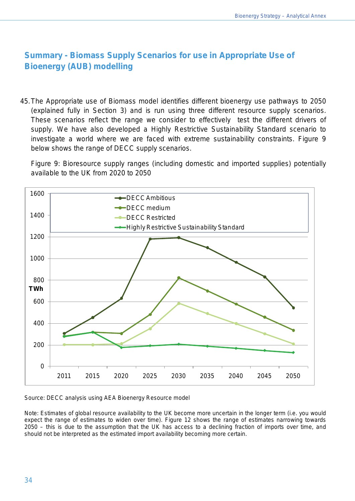# **Summary - Biomass Supply Scenarios for use in Appropriate Use of Bioenergy (AUB) modelling**

45.The Appropriate use of Biomass model identifies different bioenergy use pathways to 2050 (explained fully in Section 3) and is run using three different resource supply scenarios. These scenarios reflect the range we consider to effectively test the different drivers of supply. We have also developed a Highly Restrictive Sustainability Standard scenario to investigate a world where we are faced with extreme sustainability constraints. Figure 9 below shows the range of DECC supply scenarios.

Figure 9: Bioresource supply ranges (including domestic and imported supplies) potentially available to the UK from 2020 to 2050



Source: DECC analysis using AEA Bioenergy Resource model

<span id="page-33-0"></span>Note: Estimates of global resource availability to the UK become more uncertain in the longer term (i.e. you would expect the range of estimates to widen over time). Figure 12 shows the range of estimates narrowing towards 2050 – this is due to the assumption that the UK has access to a declining fraction of imports over time, and should not be interpreted as the estimated import availability becoming more certain.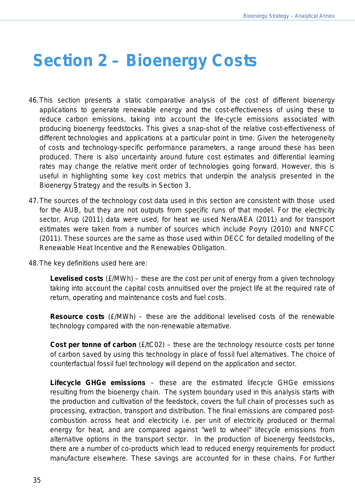# **Section 2 – Bioenergy Costs**

- 46.This section presents a static comparative analysis of the cost of different bioenergy applications to generate renewable energy and the cost-effectiveness of using these to reduce carbon emissions, taking into account the life-cycle emissions associated with producing bioenergy feedstocks. This gives a snap-shot of the relative cost-effectiveness of different technologies and applications at a particular point in time. Given the heterogeneity of costs and technology-specific performance parameters, a range around these has been produced. There is also uncertainty around future cost estimates and differential learning rates may change the relative merit order of technologies going forward. However, this is useful in highlighting some key cost metrics that underpin the analysis presented in the Bioenergy Strategy and the results in Section 3.
- 47.The sources of the technology cost data used in this section are consistent with those used for the AUB, but they are not outputs from specific runs of that model. For the electricity sector, Arup (2011) data were used, for heat we used Nera/AEA (2011) and for transport estimates were taken from a number of sources which include Poyry (2010) and NNFCC (2011). These sources are the same as those used within DECC for detailed modelling of the Renewable Heat Incentive and the Renewables Obligation.
- 48.The key definitions used here are:

**Levelised costs** (£/MWh) – these are the cost per unit of energy from a given technology taking into account the capital costs annuitised over the project life at the required rate of return, operating and maintenance costs and fuel costs.

**Resource costs** (£/MWh) – these are the additional levelised costs of the renewable technology compared with the non-renewable alternative.

**Cost per tonne of carbon** (£/tC02) – these are the technology resource costs per tonne of carbon saved by using this technology in place of fossil fuel alternatives. The choice of counterfactual fossil fuel technology will depend on the application and sector.

**Lifecycle GHGe emissions** – these are the estimated lifecycle GHGe emissions resulting from the bioenergy chain. The system boundary used in this analysis starts with the production and cultivation of the feedstock, covers the full chain of processes such as processing, extraction, transport and distribution. The final emissions are compared postcombustion across heat and electricity i.e. per unit of electricity produced or thermal energy for heat, and are compared against "well to wheel" lifecycle emissions from alternative options in the transport sector. In the production of bioenergy feedstocks, there are a number of co-products which lead to reduced energy requirements for product manufacture elsewhere. These savings are accounted for in these chains. For further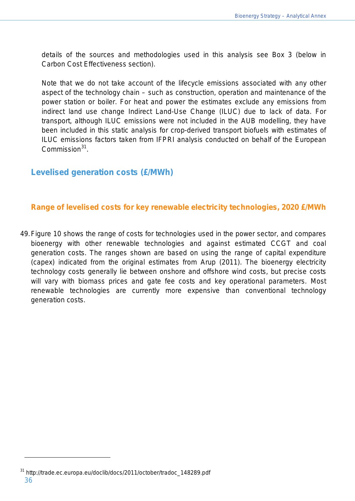details of the sources and methodologies used in this analysis see Box 3 (below in Carbon Cost Effectiveness section).

Note that we do not take account of the lifecycle emissions associated with any other aspect of the technology chain – such as construction, operation and maintenance of the power station or boiler. For heat and power the estimates exclude any emissions from indirect land use change Indirect Land-Use Change (ILUC) due to lack of data. For transport, although ILUC emissions were not included in the AUB modelling, they have been included in this static analysis for crop-derived transport biofuels with estimates of ILUC emissions factors taken from IFPRI analysis conducted on behalf of the European Commission<sup>[31](#page-35-1)</sup>.

## <span id="page-35-0"></span>**Levelised generation costs (£/MWh)**

#### **Range of levelised costs for key renewable electricity technologies, 2020 £/MWh**

49.Figure 10 shows the range of costs for technologies used in the power sector, and compares bioenergy with other renewable technologies and against estimated CCGT and coal generation costs. The ranges shown are based on using the range of capital expenditure (capex) indicated from the original estimates from Arup (2011). The bioenergy electricity technology costs generally lie between onshore and offshore wind costs, but precise costs will vary with biomass prices and gate fee costs and key operational parameters. Most renewable technologies are currently more expensive than conventional technology generation costs.

<span id="page-35-1"></span><sup>36</sup> <sup>31</sup> http://trade.ec.europa.eu/doclib/docs/2011/october/tradoc\_148289.pdf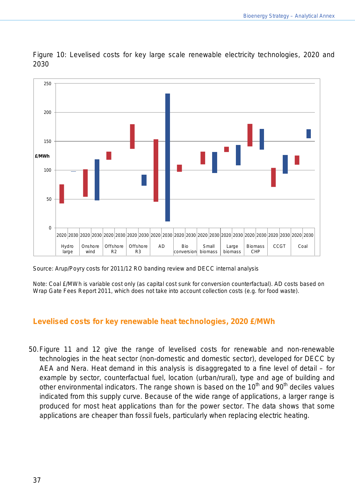

Figure 10: Levelised costs for key large scale renewable electricity technologies, 2020 and 2030

Source: Arup/Poyry costs for 2011/12 RO banding review and DECC internal analysis

Note: Coal £/MWh is variable cost only (as capital cost sunk for conversion counterfactual). AD costs based on Wrap Gate Fees Report 2011, which does not take into account collection costs (e.g. for food waste).

#### **Levelised costs for key renewable heat technologies, 2020 £/MWh**

50.Figure 11 and 12 give the range of levelised costs for renewable and non-renewable technologies in the heat sector (non-domestic and domestic sector), developed for DECC by AEA and Nera. Heat demand in this analysis is disaggregated to a fine level of detail – for example by sector, counterfactual fuel, location (urban/rural), type and age of building and other environmental indicators. The range shown is based on the  $10^{th}$  and  $90^{th}$  deciles values indicated from this supply curve. Because of the wide range of applications, a larger range is produced for most heat applications than for the power sector. The data shows that some applications are cheaper than fossil fuels, particularly when replacing electric heating.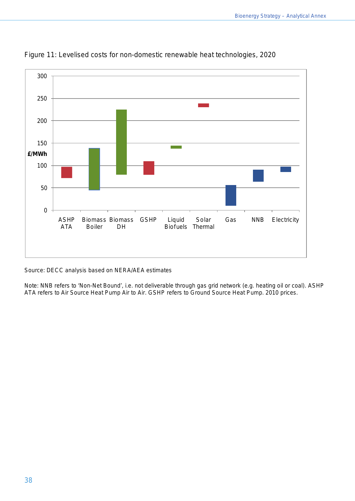

Figure 11: Levelised costs for non-domestic renewable heat technologies, 2020

Source: DECC analysis based on NERA/AEA estimates

Note: NNB refers to 'Non-Net Bound', i.e. not deliverable through gas grid network (e.g. heating oil or coal). ASHP ATA refers to Air Source Heat Pump Air to Air. GSHP refers to Ground Source Heat Pump. 2010 prices.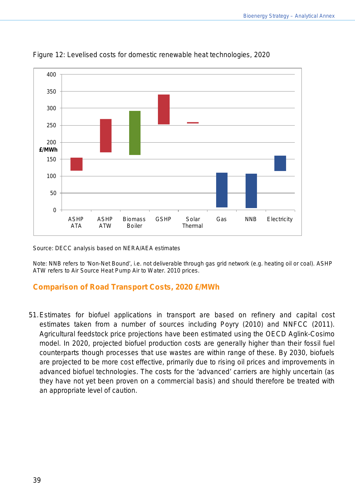

Figure 12: Levelised costs for domestic renewable heat technologies, 2020

Source: DECC analysis based on NERA/AEA estimates

Note: NNB refers to 'Non-Net Bound', i.e. not deliverable through gas grid network (e.g. heating oil or coal). ASHP ATW refers to Air Source Heat Pump Air to Water. 2010 prices.

#### **Comparison of Road Transport Costs, 2020 £/MWh**

51.Estimates for biofuel applications in transport are based on refinery and capital cost estimates taken from a number of sources including Poyry (2010) and NNFCC (2011). Agricultural feedstock price projections have been estimated using the OECD Aglink-Cosimo model. In 2020, projected biofuel production costs are generally higher than their fossil fuel counterparts though processes that use wastes are within range of these. By 2030, biofuels are projected to be more cost effective, primarily due to rising oil prices and improvements in advanced biofuel technologies. The costs for the 'advanced' carriers are highly uncertain (as they have not yet been proven on a commercial basis) and should therefore be treated with an appropriate level of caution.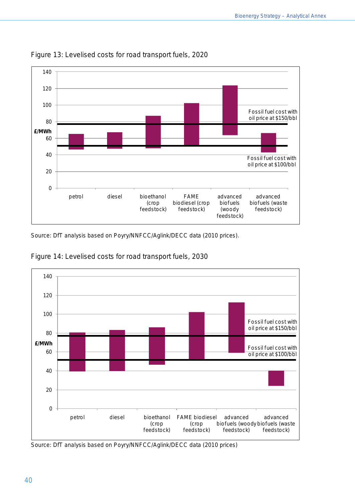

Figure 13: Levelised costs for road transport fuels, 2020

Source: DfT analysis based on Poyry/NNFCC/Aglink/DECC data (2010 prices).



Figure 14: Levelised costs for road transport fuels, 2030

Source: DfT analysis based on Poyry/NNFCC/Aglink/DECC data (2010 prices)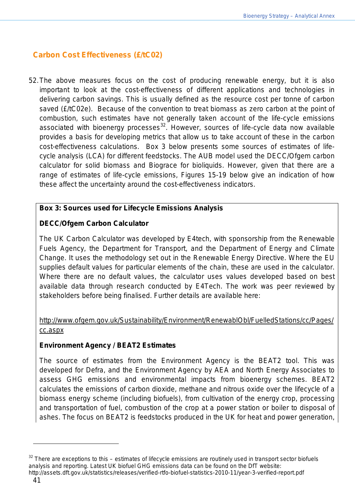## **Carbon Cost Effectiveness (£/tC02)**

52.The above measures focus on the cost of producing renewable energy, but it is also important to look at the cost-effectiveness of different applications and technologies in delivering carbon savings. This is usually defined as the resource cost per tonne of carbon saved (£/tC02e). Because of the convention to treat biomass as zero carbon at the point of combustion, such estimates have not generally taken account of the life-cycle emissions associated with bioenergy processes<sup>[32](#page-40-0)</sup>. However, sources of life-cycle data now available provides a basis for developing metrics that allow us to take account of these in the carbon cost-effectiveness calculations. Box 3 below presents some sources of estimates of lifecycle analysis (LCA) for different feedstocks. The AUB model used the DECC/Ofgem carbon calculator for solid biomass and Biograce for bioliquids. However, given that there are a range of estimates of life-cycle emissions, Figures 15-19 below give an indication of how these affect the uncertainty around the cost-effectiveness indicators.

### **Box 3: Sources used for Lifecycle Emissions Analysis**

### **DECC/Ofgem Carbon Calculator**

The UK Carbon Calculator was developed by E4tech, with sponsorship from the Renewable Fuels Agency, the Department for Transport, and the Department of Energy and Climate Change. It uses the methodology set out in the Renewable Energy Directive. Where the EU supplies default values for particular elements of the chain, these are used in the calculator. Where there are no default values, the calculator uses values developed based on best available data through research conducted by E4Tech. The work was peer reviewed by stakeholders before being finalised. Further details are available here:

### [http://www.ofgem.gov.uk/Sustainability/Environment/RenewablObl/FuelledStations/cc/Pages/](http://www.ofgem.gov.uk/Sustainability/Environment/RenewablObl/FuelledStations/cc/Pages/cc.aspx) [cc.aspx](http://www.ofgem.gov.uk/Sustainability/Environment/RenewablObl/FuelledStations/cc/Pages/cc.aspx)

#### **Environment Agency / BEAT2 Estimates**

The source of estimates from the Environment Agency is the BEAT2 tool. This was developed for Defra, and the Environment Agency by AEA and North Energy Associates to assess GHG emissions and environmental impacts from bioenergy schemes. BEAT2 calculates the emissions of carbon dioxide, methane and nitrous oxide over the lifecycle of a biomass energy scheme (including biofuels), from cultivation of the energy crop, processing and transportation of fuel, combustion of the crop at a power station or boiler to disposal of ashes. The focus on BEAT2 is feedstocks produced in the UK for heat and power generation,

<span id="page-40-0"></span> $32$  There are exceptions to this – estimates of lifecycle emissions are routinely used in transport sector biofuels analysis and reporting. Latest UK biofuel GHG emissions data can be found on the DfT website: http://assets.dft.gov.uk/statistics/releases/verified-rtfo-biofuel-statistics-2010-11/year-3-verified-report.pdf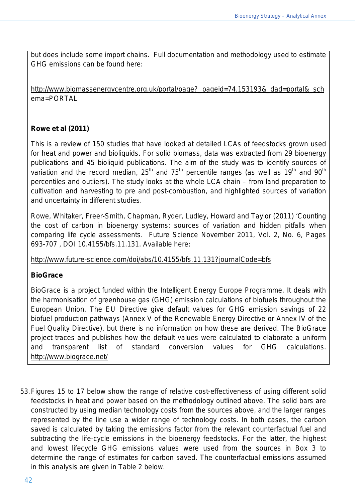but does include some import chains. Full documentation and methodology used to estimate GHG emissions can be found here:

[http://www.biomassenergycentre.org.uk/portal/page?\\_pageid=74,153193&\\_dad=portal&\\_sch](http://www.biomassenergycentre.org.uk/portal/page?_pageid=74,153193&_dad=portal&_schema=PORTAL) [ema=PORTAL](http://www.biomassenergycentre.org.uk/portal/page?_pageid=74,153193&_dad=portal&_schema=PORTAL) 

### **Rowe et al (2011)**

This is a review of 150 studies that have looked at detailed LCAs of feedstocks grown used for heat and power and bioliquids. For solid biomass, data was extracted from 29 bioenergy publications and 45 bioliquid publications. The aim of the study was to identify sources of variation and the record median, 25<sup>th</sup> and 75<sup>th</sup> percentile ranges (as well as 19<sup>th</sup> and 90<sup>th</sup> percentiles and outliers). The study looks at the whole LCA chain – from land preparation to cultivation and harvesting to pre and post-combustion, and highlighted sources of variation and uncertainty in different studies.

Rowe, Whitaker, Freer-Smith, Chapman, Ryder, Ludley, Howard and Taylor (2011) 'Counting the cost of carbon in bioenergy systems: sources of variation and hidden pitfalls when comparing life cycle assessments. Future Science November 2011, Vol. 2, No. 6, Pages 693-707 , DOI 10.4155/bfs.11.131. Available here:

<http://www.future-science.com/doi/abs/10.4155/bfs.11.131?journalCode=bfs>

#### **BioGrace**

BioGrace is a project funded within the Intelligent Energy Europe Programme. It deals with the harmonisation of greenhouse gas (GHG) emission calculations of biofuels throughout the European Union. The EU Directive give default values for GHG emission savings of 22 biofuel production pathways (Annex V of the Renewable Energy Directive or Annex IV of the Fuel Quality Directive), but there is no information on how these are derived. The BioGrace project traces and publishes how the default values were calculated to elaborate a uniform and transparent list of standard conversion values for GHG calculations. <http://www.biograce.net/>

53.Figures 15 to 17 below show the range of relative cost-effectiveness of using different solid feedstocks in heat and power based on the methodology outlined above. The solid bars are constructed by using median technology costs from the sources above, and the larger ranges represented by the line use a wider range of technology costs. In both cases, the carbon saved is calculated by taking the emissions factor from the relevant counterfactual fuel and subtracting the life-cycle emissions in the bioenergy feedstocks. For the latter, the highest and lowest lifecycle GHG emissions values were used from the sources in Box 3 to determine the range of estimates for carbon saved. The counterfactual emissions assumed in this analysis are given in Table 2 below.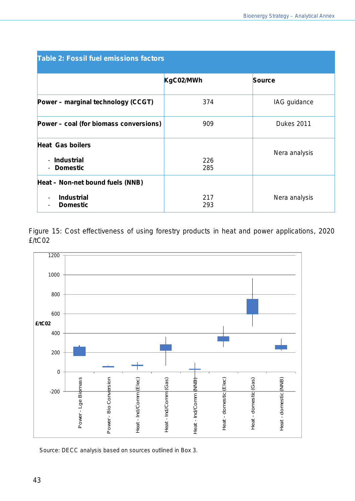| <b>Table 2: Fossil fuel emissions factors</b>                                                        |            |                   |
|------------------------------------------------------------------------------------------------------|------------|-------------------|
|                                                                                                      | KgC02/MWh  | <b>Source</b>     |
| Power – marginal technology (CCGT)                                                                   | 374        | IAG guidance      |
| Power – coal (for biomass conversions)                                                               | 909        | <b>Dukes 2011</b> |
| <b>Heat Gas boilers</b><br>- Industrial<br><b>Domestic</b><br>$\blacksquare$                         | 226<br>285 | Nera analysis     |
| Heat – Non-net bound fuels (NNB)<br><b>Industrial</b><br>$\overline{\phantom{a}}$<br><b>Domestic</b> | 217<br>293 | Nera analysis     |

Figure 15: Cost effectiveness of using forestry products in heat and power applications, 2020 £/tC02



Source: DECC analysis based on sources outlined in Box 3.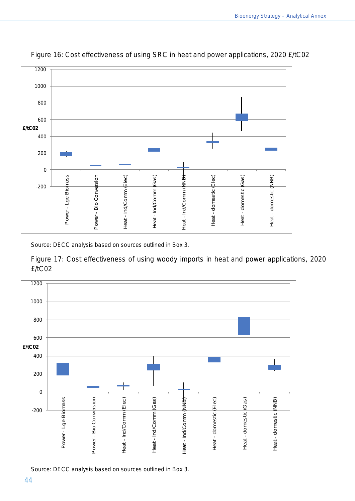

Figure 16: Cost effectiveness of using SRC in heat and power applications, 2020 £/tC02

Source: DECC analysis based on sources outlined in Box 3.

Figure 17: Cost effectiveness of using woody imports in heat and power applications, 2020 £/tC02



Source: DECC analysis based on sources outlined in Box 3.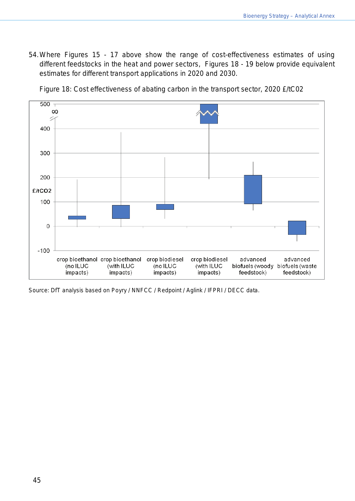54.Where Figures 15 - 17 above show the range of cost-effectiveness estimates of using different feedstocks in the heat and power sectors, Figures 18 - 19 below provide equivalent estimates for different transport applications in 2020 and 2030.



Figure 18: Cost effectiveness of abating carbon in the transport sector, 2020 £/tC02

Source: DfT analysis based on Poyry / NNFCC / Redpoint / Aglink / IFPRI / DECC data.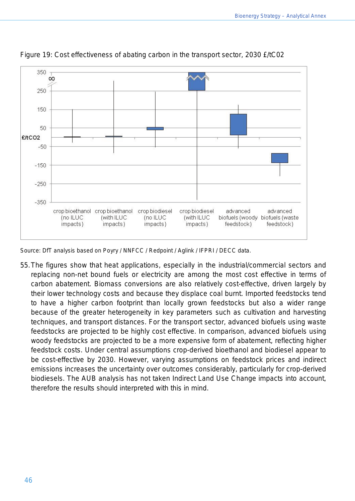

Figure 19: Cost effectiveness of abating carbon in the transport sector, 2030 £/tC02

Source: DfT analysis based on Poyry / NNFCC / Redpoint / Aglink / IFPRI / DECC data.

55.The figures show that heat applications, especially in the industrial/commercial sectors and replacing non-net bound fuels or electricity are among the most cost effective in terms of carbon abatement. Biomass conversions are also relatively cost-effective, driven largely by their lower technology costs and because they displace coal burnt. Imported feedstocks tend to have a higher carbon footprint than locally grown feedstocks but also a wider range because of the greater heterogeneity in key parameters such as cultivation and harvesting techniques, and transport distances. For the transport sector, advanced biofuels using waste feedstocks are projected to be highly cost effective. In comparison, advanced biofuels using woody feedstocks are projected to be a more expensive form of abatement, reflecting higher feedstock costs. Under central assumptions crop-derived bioethanol and biodiesel appear to be cost-effective by 2030. However, varying assumptions on feedstock prices and indirect emissions increases the uncertainty over outcomes considerably, particularly for crop-derived biodiesels. The AUB analysis has not taken Indirect Land Use Change impacts into account, therefore the results should interpreted with this in mind.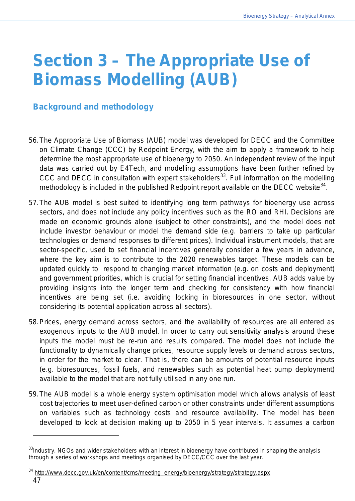# **Section 3 – The Appropriate Use of Biomass Modelling (AUB)**

# **Background and methodology**

- 56.The Appropriate Use of Biomass (AUB) model was developed for DECC and the Committee on Climate Change (CCC) by Redpoint Energy, with the aim to apply a framework to help determine the most appropriate use of bioenergy to 2050. An independent review of the input data was carried out by E4Tech, and modelling assumptions have been further refined by CCC and DECC in consultation with expert stakeholders<sup>33</sup>. Full information on the modelling methodology is included in the published Redpoint report available on the DECC website<sup>[34](#page-46-1)</sup>.
- 57.The AUB model is best suited to identifying long term pathways for bioenergy use across sectors, and does not include any policy incentives such as the RO and RHI. Decisions are made on economic grounds alone (subject to other constraints), and the model does not include investor behaviour or model the demand side (e.g. barriers to take up particular technologies or demand responses to different prices). Individual instrument models, that are sector-specific, used to set financial incentives generally consider a few years in advance, where the key aim is to contribute to the 2020 renewables target. These models can be updated quickly to respond to changing market information (e.g. on costs and deployment) and government priorities, which is crucial for setting financial incentives. AUB adds value by providing insights into the longer term and checking for consistency with how financial incentives are being set (i.e. avoiding locking in bioresources in one sector, without considering its potential application across all sectors).
- 58.Prices, energy demand across sectors, and the availability of resources are all entered as exogenous inputs to the AUB model. In order to carry out sensitivity analysis around these inputs the model must be re-run and results compared. The model does not include the functionality to dynamically change prices, resource supply levels or demand across sectors, in order for the market to clear. That is, there can be amounts of potential resource inputs (e.g. bioresources, fossil fuels, and renewables such as potential heat pump deployment) available to the model that are not fully utilised in any one run.
- 59.The AUB model is a whole energy system optimisation model which allows analysis of least cost trajectories to meet user-defined carbon or other constraints under different assumptions on variables such as technology costs and resource availability. The model has been developed to look at decision making up to 2050 in 5 year intervals. It assumes a carbon

<span id="page-46-0"></span><sup>&</sup>lt;sup>33</sup>Industry, NGOs and wider stakeholders with an interest in bioenergy have contributed in shaping the analysis through a series of workshops and meetings organised by DECC/CCC over the last year.

<span id="page-46-1"></span><sup>&</sup>lt;sup>34</sup> [http://www.decc.gov.uk/en/content/cms/meeting\\_energy/bioenergy/strategy/strategy.aspx](http://www.decc.gov.uk/en/content/cms/meeting_energy/bioenergy/strategy/strategy.aspx)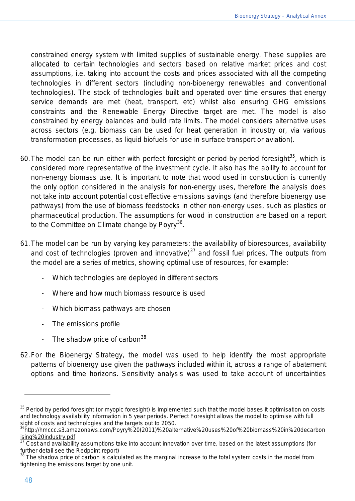constrained energy system with limited supplies of sustainable energy. These supplies are allocated to certain technologies and sectors based on relative market prices and cost assumptions, i.e. taking into account the costs and prices associated with all the competing technologies in different sectors (including non-bioenergy renewables and conventional technologies). The stock of technologies built and operated over time ensures that energy service demands are met (heat, transport, etc) whilst also ensuring GHG emissions constraints and the Renewable Energy Directive target are met. The model is also constrained by energy balances and build rate limits. The model considers alternative uses across sectors (e.g. biomass can be used for heat generation in industry or, via various transformation processes, as liquid biofuels for use in surface transport or aviation).

- 60. The model can be run either with perfect foresight or period-by-period foresight<sup>35</sup>, which is considered more representative of the investment cycle. It also has the ability to account for non-energy biomass use. It is important to note that wood used in construction is currently the only option considered in the analysis for non-energy uses, therefore the analysis does not take into account potential cost effective emissions savings (and therefore bioenergy use pathways) from the use of biomass feedstocks in other non-energy uses, such as plastics or pharmaceutical production. The assumptions for wood in construction are based on a report to the Committee on Climate change by Poyry<sup>[36](#page-47-1)</sup>.
- 61.The model can be run by varying key parameters: the availability of bioresources, availability and cost of technologies (proven and innovative) $37$  and fossil fuel prices. The outputs from the model are a series of metrics, showing optimal use of resources, for example:
	- Which technologies are deployed in different sectors
	- Where and how much biomass resource is used
	- Which biomass pathways are chosen
	- The emissions profile
	- The shadow price of carbon  $38$
- 62.For the Bioenergy Strategy, the model was used to help identify the most appropriate patterns of bioenergy use given the pathways included within it, across a range of abatement options and time horizons. Sensitivity analysis was used to take account of uncertainties

<span id="page-47-0"></span><sup>&</sup>lt;sup>35</sup> Period by period foresight (or myopic foresight) is implemented such that the model bases it optimisation on costs and technology availability information in 5 year periods. Perfect Foresight allows the model to optimise with full sight of costs and technologies and the targets out to 2050.

<span id="page-47-1"></span>[<sup>36</sup>http://hmccc.s3.amazonaws.com/Poyry%20\(2011\)%20alternative%20uses%20of%20biomass%20in%20decarbon](http://hmccc.s3.amazonaws.com/Poyry%20(2011)%20alternative%20uses%20of%20biomass%20in%20decarbonising%20industry.pdf) [ising%20industry.pdf](http://hmccc.s3.amazonaws.com/Poyry%20(2011)%20alternative%20uses%20of%20biomass%20in%20decarbonising%20industry.pdf)

<span id="page-47-2"></span><sup>37</sup> Cost and availability assumptions take into account innovation over time, based on the latest assumptions (for

<span id="page-47-3"></span>further detail see the Redpoint report)<br><sup>38</sup> The shadow price of carbon is calculated as the marginal increase to the total system costs in the model from tightening the emissions target by one unit.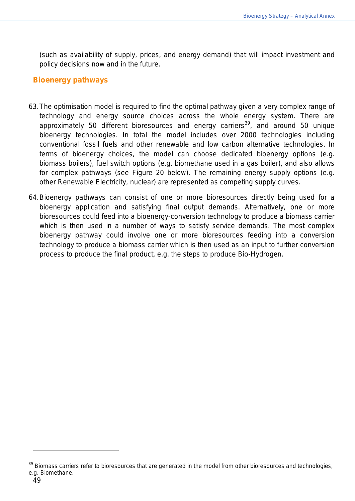(such as availability of supply, prices, and energy demand) that will impact investment and policy decisions now and in the future.

#### **Bioenergy pathways**

- 63.The optimisation model is required to find the optimal pathway given a very complex range of technology and energy source choices across the whole energy system. There are approximately 50 different bioresources and energy carriers<sup>[39](#page-48-0)</sup>, and around 50 unique bioenergy technologies. In total the model includes over 2000 technologies including conventional fossil fuels and other renewable and low carbon alternative technologies. In terms of bioenergy choices, the model can choose dedicated bioenergy options (e.g. biomass boilers), fuel switch options (e.g. biomethane used in a gas boiler), and also allows for complex pathways (see Figure 20 below). The remaining energy supply options (e.g. other Renewable Electricity, nuclear) are represented as competing supply curves.
- 64.Bioenergy pathways can consist of one or more bioresources directly being used for a bioenergy application and satisfying final output demands. Alternatively, one or more bioresources could feed into a bioenergy-conversion technology to produce a biomass carrier which is then used in a number of ways to satisfy service demands. The most complex bioenergy pathway could involve one or more bioresources feeding into a conversion technology to produce a biomass carrier which is then used as an input to further conversion process to produce the final product, e.g. the steps to produce Bio-Hydrogen.

<span id="page-48-0"></span>Biomass carriers refer to bioresources that are generated in the model from other bioresources and technologies, e.g. Biomethane.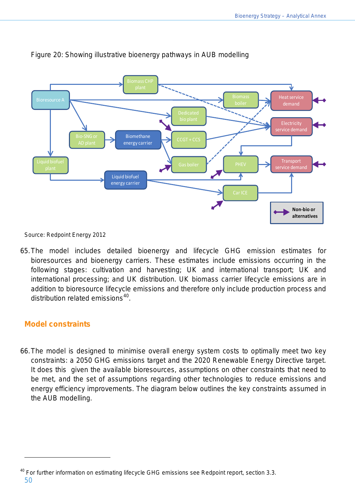

## Figure 20: Showing illustrative bioenergy pathways in AUB modelling

Source: Redpoint Energy 2012

65.The model includes detailed bioenergy and lifecycle GHG emission estimates for bioresources and bioenergy carriers. These estimates include emissions occurring in the following stages: cultivation and harvesting; UK and international transport; UK and international processing; and UK distribution. UK biomass carrier lifecycle emissions are in addition to bioresource lifecycle emissions and therefore only include production process and distribution related emissions $40$ .

## **Model constraints**

 $\overline{a}$ 

66.The model is designed to minimise overall energy system costs to optimally meet two key constraints: a 2050 GHG emissions target and the 2020 Renewable Energy Directive target. It does this given the available bioresources, assumptions on other constraints that need to be met, and the set of assumptions regarding other technologies to reduce emissions and energy efficiency improvements. The diagram below outlines the key constraints assumed in the AUB modelling.

<span id="page-49-0"></span><sup>50</sup> <sup>40</sup> For further information on estimating lifecycle GHG emissions see Redpoint report, section 3.3.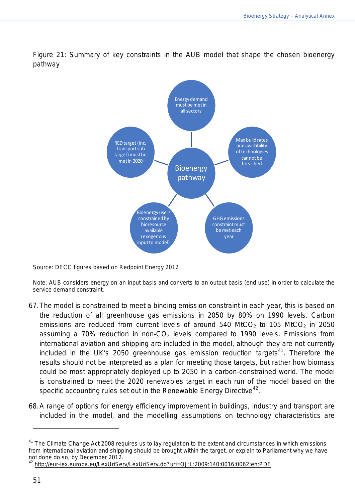

Figure 21: Summary of key constraints in the AUB model that shape the chosen bioenergy pathway

Source: DECC figures based on Redpoint Energy 2012

Note: AUB considers energy on an input basis and converts to an output basis (end use) in order to calculate the service demand constraint.

- 67.The model is constrained to meet a binding emission constraint in each year, this is based on the reduction of all greenhouse gas emissions in 2050 by 80% on 1990 levels. Carbon emissions are reduced from current levels of around 540 MtCO<sub>2</sub> to 105 MtCO<sub>2</sub> in 2050 assuming a 70% reduction in non- $CO<sub>2</sub>$  levels compared to 1990 levels. Emissions from international aviation and shipping are included in the model, although they are not currently included in the UK's 2050 greenhouse gas emission reduction targets $41$ . Therefore the results should not be interpreted as a plan for meeting those targets, but rather how biomass could be most appropriately deployed up to 2050 in a carbon-constrained world. The model is constrained to meet the 2020 renewables target in each run of the model based on the specific accounting rules set out in the Renewable Energy Directive<sup>[42](#page-50-1)</sup>.
- 68.A range of options for energy efficiency improvement in buildings, industry and transport are included in the model, and the modelling assumptions on technology characteristics are

l

<span id="page-50-0"></span><sup>&</sup>lt;sup>41</sup> The Climate Change Act 2008 requires us to lay regulation to the extent and circumstances in which emissions from international aviation and shipping should be brought within the target, or explain to Parliament why we have not done do so, by December 2012.

<span id="page-50-1"></span><sup>42</sup> <http://eur-lex.europa.eu/LexUriServ/LexUriServ.do?uri=OJ:L:2009:140:0016:0062:en:PDF>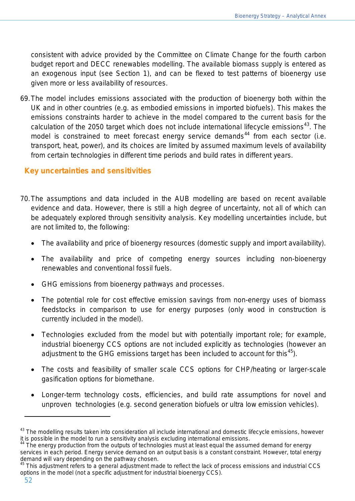consistent with advice provided by the Committee on Climate Change for the fourth carbon budget report and DECC renewables modelling. The available biomass supply is entered as an exogenous input (see Section 1), and can be flexed to test patterns of bioenergy use given more or less availability of resources.

69.The model includes emissions associated with the production of bioenergy both within the UK and in other countries (e.g. as embodied emissions in imported biofuels). This makes the emissions constraints harder to achieve in the model compared to the current basis for the calculation of the 2050 target which does not include international lifecycle emissions<sup>[43](#page-51-0)</sup>. The model is constrained to meet forecast energy service demands<sup>[44](#page-51-1)</sup> from each sector (i.e. transport, heat, power), and its choices are limited by assumed maximum levels of availability from certain technologies in different time periods and build rates in different years.

## **Key uncertainties and sensitivities**

- 70.The assumptions and data included in the AUB modelling are based on recent available evidence and data. However, there is still a high degree of uncertainty, not all of which can be adequately explored through sensitivity analysis. Key modelling uncertainties include, but are not limited to, the following:
	- The availability and price of bioenergy resources (domestic supply and import availability).
	- The availability and price of competing energy sources including non-bioenergy renewables and conventional fossil fuels.
	- GHG emissions from bioenergy pathways and processes.
	- The potential role for cost effective emission savings from non-energy uses of biomass feedstocks in comparison to use for energy purposes (only wood in construction is currently included in the model).
	- Technologies excluded from the model but with potentially important role; for example, industrial bioenergy CCS options are not included explicitly as technologies (however an adjustment to the GHG emissions target has been included to account for this<sup>[45](#page-51-2)</sup>).
	- The costs and feasibility of smaller scale CCS options for CHP/heating or larger-scale gasification options for biomethane.
	- Longer-term technology costs, efficiencies, and build rate assumptions for novel and unproven technologies (e.g. second generation biofuels or ultra low emission vehicles).

<span id="page-51-0"></span><sup>&</sup>lt;sup>43</sup> The modelling results taken into consideration all include international and domestic lifecycle emissions, however it is possible in the model to run a sensitivity analysis excluding international emissions.

<span id="page-51-1"></span>The energy production from the outputs of technologies must at least equal the assumed demand for energy services in each period. Energy service demand on an output basis is a constant constraint. However, total energy<br>demand will vary depending on the pathway chosen.

<span id="page-51-2"></span>This adjustment refers to a general adjustment made to reflect the lack of process emissions and industrial CCS options in the model (not a specific adjustment for industrial bioenergy CCS).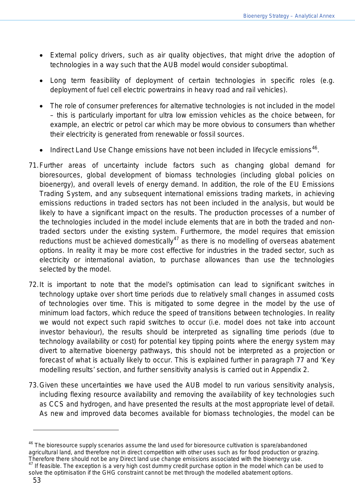- External policy drivers, such as air quality objectives, that might drive the adoption of technologies in a way such that the AUB model would consider suboptimal.
- Long term feasibility of deployment of certain technologies in specific roles (e.g. deployment of fuel cell electric powertrains in heavy road and rail vehicles).
- The role of consumer preferences for alternative technologies is not included in the model – this is particularly important for ultra low emission vehicles as the choice between, for example, an electric or petrol car which may be more obvious to consumers than whether their electricity is generated from renewable or fossil sources.
- $\bullet$  Indirect Land Use Change emissions have not been included in lifecycle emissions<sup>[46](#page-52-0)</sup>.
- 71.Further areas of uncertainty include factors such as changing global demand for bioresources, global development of biomass technologies (including global policies on bioenergy), and overall levels of energy demand. In addition, the role of the EU Emissions Trading System, and any subsequent international emissions trading markets, in achieving emissions reductions in traded sectors has not been included in the analysis, but would be likely to have a significant impact on the results. The production processes of a number of the technologies included in the model include elements that are in both the traded and nontraded sectors under the existing system. Furthermore, the model requires that emission reductions must be achieved domestically $47$  as there is no modelling of overseas abatement options. In reality it may be more cost effective for industries in the traded sector, such as electricity or international aviation, to purchase allowances than use the technologies selected by the model.
- 72.It is important to note that the model's optimisation can lead to significant switches in technology uptake over short time periods due to relatively small changes in assumed costs of technologies over time. This is mitigated to some degree in the model by the use of minimum load factors, which reduce the speed of transitions between technologies. In reality we would not expect such rapid switches to occur (i.e. model does not take into account investor behaviour), the results should be interpreted as signalling time periods (due to technology availability or cost) for potential key tipping points where the energy system may divert to alternative bioenergy pathways, this should not be interpreted as a projection or forecast of what is actually likely to occur. This is explained further in paragraph 77 and *'*Key modelling results*'* section, and further sensitivity analysis is carried out in Appendix 2.
- 73.Given these uncertainties we have used the AUB model to run various sensitivity analysis, including flexing resource availability and removing the availability of key technologies such as CCS and hydrogen, and have presented the results at the most appropriate level of detail. As new and improved data becomes available for biomass technologies, the model can be

<span id="page-52-0"></span> $46$  The bioresource supply scenarios assume the land used for bioresource cultivation is spare/abandoned agricultural land, and therefore not in direct competition with other uses such as for food production or grazing.<br>Therefore there should not be any Direct land use change emissions associated with the bioenergy use.

<span id="page-52-1"></span>If feasible. The exception is a very high cost dummy credit purchase option in the model which can be used to solve the optimisation if the GHG constraint cannot be met through the modelled abatement options.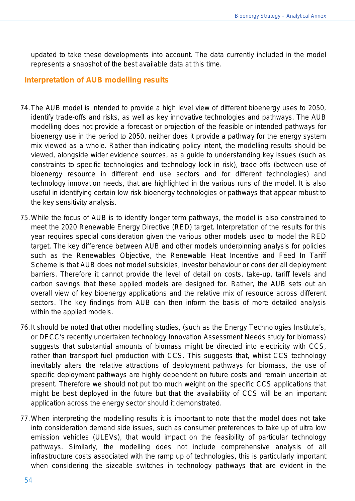updated to take these developments into account. The data currently included in the model represents a snapshot of the best available data at this time.

#### **Interpretation of AUB modelling results**

- 74.The AUB model is intended to provide a high level view of different bioenergy uses to 2050, identify trade-offs and risks, as well as key innovative technologies and pathways. The AUB modelling does not provide a forecast or projection of the feasible or intended pathways for bioenergy use in the period to 2050, neither does it provide a pathway for the energy system mix viewed as a whole. Rather than indicating policy intent, the modelling results should be viewed, alongside wider evidence sources, as a guide to understanding key issues (such as constraints to specific technologies and technology lock in risk), trade-offs (between use of bioenergy resource in different end use sectors and for different technologies) and technology innovation needs, that are highlighted in the various runs of the model. It is also useful in identifying certain low risk bioenergy technologies or pathways that appear robust to the key sensitivity analysis.
- 75.While the focus of AUB is to identify longer term pathways, the model is also constrained to meet the 2020 Renewable Energy Directive (RED) target. Interpretation of the results for this year requires special consideration given the various other models used to model the RED target. The key difference between AUB and other models underpinning analysis for policies such as the Renewables Objective, the Renewable Heat Incentive and Feed In Tariff Scheme is that AUB does not model subsidies, investor behaviour or consider all deployment barriers. Therefore it cannot provide the level of detail on costs, take-up, tariff levels and carbon savings that these applied models are designed for. Rather, the AUB sets out an overall view of key bioenergy applications and the relative mix of resource across different sectors. The key findings from AUB can then inform the basis of more detailed analysis within the applied models.
- 76.It should be noted that other modelling studies, (such as the Energy Technologies Institute's, or DECC's recently undertaken technology Innovation Assessment Needs study for biomass) suggests that substantial amounts of biomass might be directed into electricity with CCS, rather than transport fuel production with CCS. This suggests that, whilst CCS technology inevitably alters the relative attractions of deployment pathways for biomass, the use of specific deployment pathways are highly dependent on future costs and remain uncertain at present. Therefore we should not put too much weight on the specific CCS applications that might be best deployed in the future but that the availability of CCS will be an important application across the energy sector should it demonstrated.
- 77.When interpreting the modelling results it is important to note that the model does not take into consideration demand side issues, such as consumer preferences to take up of ultra low emission vehicles (ULEVs), that would impact on the feasibility of particular technology pathways. Similarly, the modelling does not include comprehensive analysis of all infrastructure costs associated with the ramp up of technologies, this is particularly important when considering the sizeable switches in technology pathways that are evident in the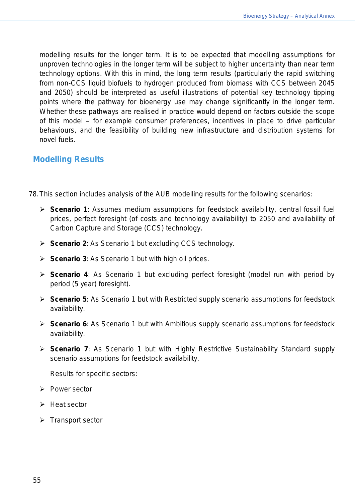modelling results for the longer term. It is to be expected that modelling assumptions for unproven technologies in the longer term will be subject to higher uncertainty than near term technology options. With this in mind, the long term results (particularly the rapid switching from non-CCS liquid biofuels to hydrogen produced from biomass with CCS between 2045 and 2050) should be interpreted as useful illustrations of potential key technology tipping points where the pathway for bioenergy use may change significantly in the longer term. Whether these pathways are realised in practice would depend on factors outside the scope of this model – for example consumer preferences, incentives in place to drive particular behaviours, and the feasibility of building new infrastructure and distribution systems for novel fuels.

# **Modelling Results**

- 78.This section includes analysis of the AUB modelling results for the following scenarios:
	- *Scenario 1:* Assumes medium assumptions for feedstock availability, central fossil fuel prices, perfect foresight (of costs and technology availability) to 2050 and availability of Carbon Capture and Storage (CCS) technology.
	- *Scenario 2:* As Scenario 1 but excluding CCS technology.
	- *Scenario 3:* As Scenario 1 but with high oil prices.
	- *Scenario 4:* As Scenario 1 but excluding perfect foresight (model run with period by period (5 year) foresight).
	- *Scenario 5:* As Scenario 1 but with Restricted supply scenario assumptions for feedstock availability.
	- *Scenario 6:* As Scenario 1 but with Ambitious supply scenario assumptions for feedstock availability.
	- *Scenario 7:* As Scenario 1 but with Highly Restrictive Sustainability Standard supply scenario assumptions for feedstock availability.

*Results for specific sectors:*

- $\triangleright$  Power sector
- $\triangleright$  Heat sector
- $\triangleright$  Transport sector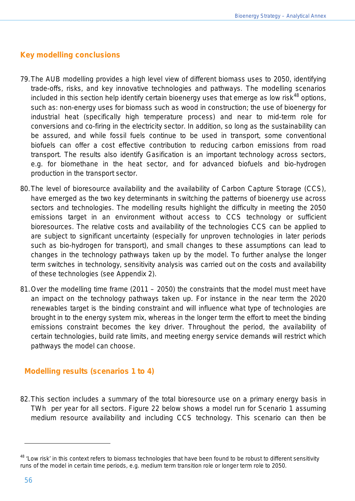## **Key modelling conclusions**

- 79.The AUB modelling provides a high level view of different biomass uses to 2050, identifying trade-offs, risks, and key innovative technologies and pathways. The modelling scenarios included in this section help identify certain bioenergy uses that emerge as low risk $^{48}$  $^{48}$  $^{48}$  options, such as: non-energy uses for biomass such as wood in construction; the use of bioenergy for industrial heat (specifically high temperature process) and near to mid-term role for conversions and co-firing in the electricity sector. In addition, so long as the sustainability can be assured, and while fossil fuels continue to be used in transport, some conventional biofuels can offer a cost effective contribution to reducing carbon emissions from road transport. The results also identify Gasification is an important technology across sectors, e.g. for biomethane in the heat sector, and for advanced biofuels and bio-hydrogen production in the transport sector.
- 80.The level of bioresource availability and the availability of Carbon Capture Storage (CCS), have emerged as the two key determinants in switching the patterns of bioenergy use across sectors and technologies. The modelling results highlight the difficulty in meeting the 2050 emissions target in an environment without access to CCS technology or sufficient bioresources. The relative costs and availability of the technologies CCS can be applied to are subject to significant uncertainty (especially for unproven technologies in later periods such as bio-hydrogen for transport), and small changes to these assumptions can lead to changes in the technology pathways taken up by the model. To further analyse the longer term switches in technology, sensitivity analysis was carried out on the costs and availability of these technologies (see Appendix 2).
- 81.Over the modelling time frame (2011 2050) the constraints that the model must meet have an impact on the technology pathways taken up. For instance in the near term the 2020 renewables target is the binding constraint and will influence what type of technologies are brought in to the energy system mix, whereas in the longer term the effort to meet the binding emissions constraint becomes the key driver. Throughout the period, the availability of certain technologies, build rate limits, and meeting energy service demands will restrict which pathways the model can choose.

## **Modelling results (scenarios 1 to 4)**

82.This section includes a summary of the total bioresource use on a primary energy basis in TWh per year for all sectors. Figure 22 below shows a model run for Scenario 1 assuming medium resource availability and including CCS technology. This scenario can then be

<span id="page-55-0"></span><sup>&</sup>lt;sup>48</sup> 'Low risk' in this context refers to biomass technologies that have been found to be robust to different sensitivity runs of the model in certain time periods, e.g. medium term transition role or longer term role to 2050.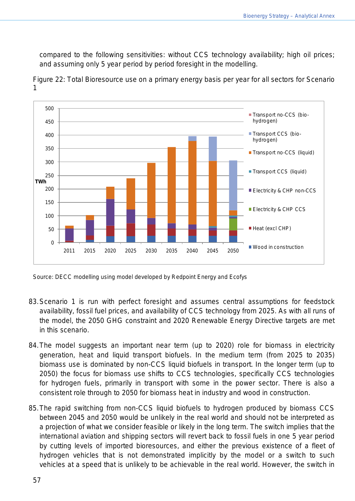compared to the following sensitivities: without CCS technology availability; high oil prices; and assuming only 5 year period by period foresight in the modelling.



Figure 22: Total Bioresource use on a primary energy basis per year for all sectors for Scenario 1

Source: DECC modelling using model developed by Redpoint Energy and Ecofys

- 83.Scenario 1 is run with perfect foresight and assumes central assumptions for feedstock availability, fossil fuel prices, and availability of CCS technology from 2025. As with all runs of the model, the 2050 GHG constraint and 2020 Renewable Energy Directive targets are met in this scenario.
- 84.The model suggests an important near term (up to 2020) role for biomass in electricity generation, heat and liquid transport biofuels. In the medium term (from 2025 to 2035) biomass use is dominated by non-CCS liquid biofuels in transport. In the longer term (up to 2050) the focus for biomass use shifts to CCS technologies, specifically CCS technologies for hydrogen fuels, primarily in transport with some in the power sector. There is also a consistent role through to 2050 for biomass heat in industry and wood in construction.
- 85.The rapid switching from non-CCS liquid biofuels to hydrogen produced by biomass CCS between 2045 and 2050 would be unlikely in the real world and should not be interpreted as a projection of what we consider feasible or likely in the long term. The switch implies that the international aviation and shipping sectors will revert back to fossil fuels in one 5 year period by cutting levels of imported bioresources, and either the previous existence of a fleet of hydrogen vehicles that is not demonstrated implicitly by the model or a switch to such vehicles at a speed that is unlikely to be achievable in the real world. However, the switch in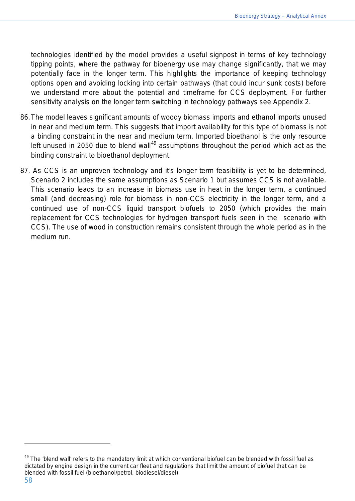technologies identified by the model provides a useful signpost in terms of key technology tipping points, where the pathway for bioenergy use may change significantly, that we may potentially face in the longer term. This highlights the importance of keeping technology options open and avoiding locking into certain pathways (that could incur sunk costs) before we understand more about the potential and timeframe for CCS deployment. For further sensitivity analysis on the longer term switching in technology pathways see Appendix 2.

- 86.The model leaves significant amounts of woody biomass imports and ethanol imports unused in near and medium term. This suggests that import availability for this type of biomass is not a binding constraint in the near and medium term. Imported bioethanol is the only resource left unused in 2050 due to blend wall<sup>[49](#page-57-0)</sup> assumptions throughout the period which act as the binding constraint to bioethanol deployment.
- 87. As CCS is an unproven technology and it's longer term feasibility is yet to be determined, Scenario 2 includes the same assumptions as Scenario 1 but assumes CCS is not available. This scenario leads to an increase in biomass use in heat in the longer term, a continued small (and decreasing) role for biomass in non-CCS electricity in the longer term, and a continued use of non-CCS liquid transport biofuels to 2050 (which provides the main replacement for CCS technologies for hydrogen transport fuels seen in the scenario with CCS). The use of wood in construction remains consistent through the whole period as in the medium run.

<span id="page-57-0"></span> $49$  The 'blend wall' refers to the mandatory limit at which conventional biofuel can be blended with fossil fuel as dictated by engine design in the current car fleet and regulations that limit the amount of biofuel that can be blended with fossil fuel (bioethanol/petrol, biodiesel/diesel).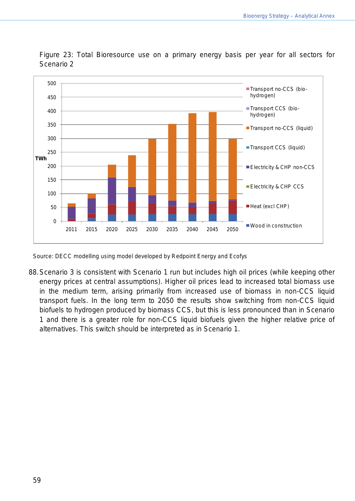

Figure 23: Total Bioresource use on a primary energy basis per year for all sectors for Scenario 2

Source: DECC modelling using model developed by Redpoint Energy and Ecofys

88.Scenario 3 is consistent with Scenario 1 run but includes high oil prices (while keeping other energy prices at central assumptions). Higher oil prices lead to increased total biomass use in the medium term, arising primarily from increased use of biomass in non-CCS liquid transport fuels. In the long term to 2050 the results show switching from non-CCS liquid biofuels to hydrogen produced by biomass CCS, but this is less pronounced than in Scenario 1 and there is a greater role for non-CCS liquid biofuels given the higher relative price of alternatives. This switch should be interpreted as in Scenario 1.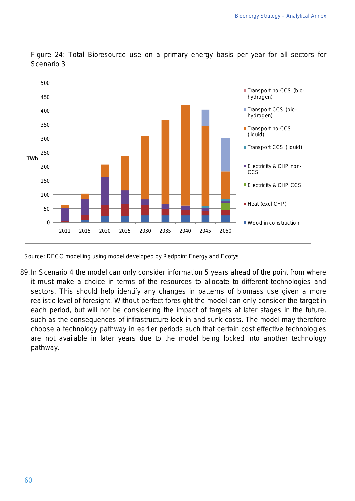

Figure 24: Total Bioresource use on a primary energy basis per year for all sectors for Scenario 3

Source: DECC modelling using model developed by Redpoint Energy and Ecofys

89.In Scenario 4 the model can only consider information 5 years ahead of the point from where it must make a choice in terms of the resources to allocate to different technologies and sectors. This should help identify any changes in patterns of biomass use given a more realistic level of foresight. Without perfect foresight the model can only consider the target in each period, but will not be considering the impact of targets at later stages in the future, such as the consequences of infrastructure lock-in and sunk costs. The model may therefore choose a technology pathway in earlier periods such that certain cost effective technologies are not available in later years due to the model being locked into another technology pathway.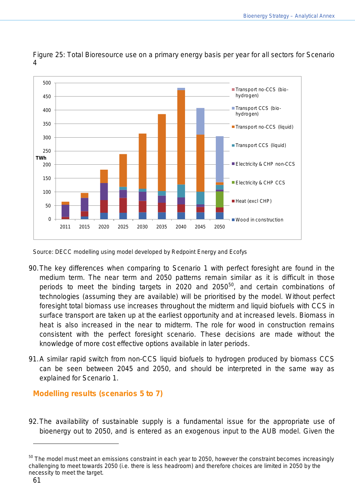

Figure 25: Total Bioresource use on a primary energy basis per year for all sectors for Scenario 4

Source: DECC modelling using model developed by Redpoint Energy and Ecofys

- 90.The key differences when comparing to Scenario 1 with perfect foresight are found in the medium term. The near term and 2050 patterns remain similar as it is difficult in those periods to meet the binding targets in 2020 and 20[50](#page-60-0)<sup>50</sup>, and certain combinations of technologies (assuming they are available) will be prioritised by the model. Without perfect foresight total biomass use increases throughout the midterm and liquid biofuels with CCS in surface transport are taken up at the earliest opportunity and at increased levels. Biomass in heat is also increased in the near to midterm. The role for wood in construction remains consistent with the perfect foresight scenario. These decisions are made without the knowledge of more cost effective options available in later periods.
- 91.A similar rapid switch from non-CCS liquid biofuels to hydrogen produced by biomass CCS can be seen between 2045 and 2050, and should be interpreted in the same way as explained for Scenario 1.

## **Modelling results (scenarios 5 to 7)**

92.The availability of sustainable supply is a fundamental issue for the appropriate use of bioenergy out to 2050, and is entered as an exogenous input to the AUB model. Given the

<span id="page-60-0"></span> $50$  The model must meet an emissions constraint in each year to 2050, however the constraint becomes increasingly challenging to meet towards 2050 (i.e. there is less headroom) and therefore choices are limited in 2050 by the necessity to meet the target.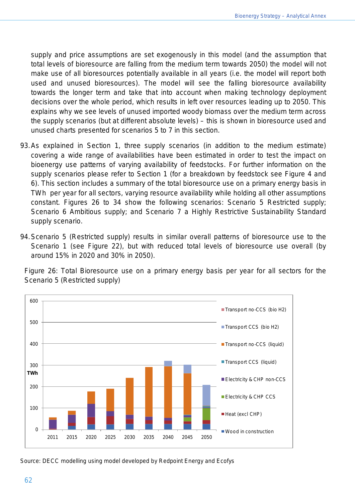supply and price assumptions are set exogenously in this model (and the assumption that total levels of bioresource are falling from the medium term towards 2050) the model will not make use of all bioresources potentially available in all years (i.e. the model will report both used and unused bioresources). The model will see the falling bioresource availability towards the longer term and take that into account when making technology deployment decisions over the whole period, which results in left over resources leading up to 2050. This explains why we see levels of unused imported woody biomass over the medium term across the supply scenarios (but at different absolute levels) – this is shown in bioresource used and unused charts presented for scenarios 5 to 7 in this section.

- 93.As explained in Section 1, three supply scenarios (in addition to the medium estimate) covering a wide range of availabilities have been estimated in order to test the impact on bioenergy use patterns of varying availability of feedstocks. For further information on the supply scenarios please refer to Section 1 (for a breakdown by feedstock see Figure 4 and 6). This section includes a summary of the total bioresource use on a primary energy basis in TWh per year for all sectors, varying resource availability while holding all other assumptions constant. Figures 26 to 34 show the following scenarios: Scenario 5 Restricted supply; Scenario 6 Ambitious supply; and Scenario 7 a Highly Restrictive Sustainability Standard supply scenario.
- 94.Scenario 5 (Restricted supply) results in similar overall patterns of bioresource use to the Scenario 1 (see Figure 22), but with reduced total levels of bioresource use overall (by around 15% in 2020 and 30% in 2050).

Figure 26: Total Bioresource use on a primary energy basis per year for all sectors for the Scenario 5 (Restricted supply)



Source: DECC modelling using model developed by Redpoint Energy and Ecofys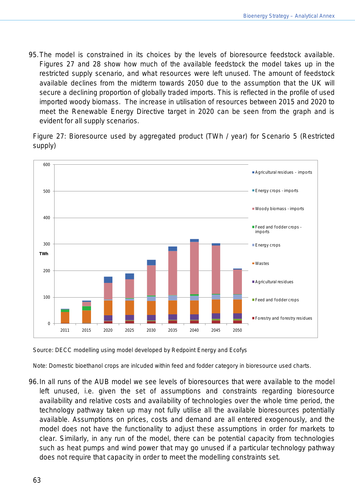95.The model is constrained in its choices by the levels of bioresource feedstock available. Figures 27 and 28 show how much of the available feedstock the model takes up in the restricted supply scenario, and what resources were left unused. The amount of feedstock available declines from the midterm towards 2050 due to the assumption that the UK will secure a declining proportion of globally traded imports. This is reflected in the profile of used imported woody biomass. The increase in utilisation of resources between 2015 and 2020 to meet the Renewable Energy Directive target in 2020 can be seen from the graph and is evident for all supply scenarios.

Figure 27: Bioresource used by aggregated product (TWh / year) for Scenario 5 (Restricted supply)



Source: DECC modelling using model developed by Redpoint Energy and Ecofys

Note: Domestic bioethanol crops are inlcuded within feed and fodder category in bioresource used charts.

96.In all runs of the AUB model we see levels of bioresources that were available to the model left unused, i.e. given the set of assumptions and constraints regarding bioresource availability and relative costs and availability of technologies over the whole time period, the technology pathway taken up may not fully utilise all the available bioresources potentially available. Assumptions on prices, costs and demand are all entered exogenously, and the model does not have the functionality to adjust these assumptions in order for markets to clear. Similarly, in any run of the model, there can be potential capacity from technologies such as heat pumps and wind power that may go unused if a particular technology pathway does not require that capacity in order to meet the modelling constraints set.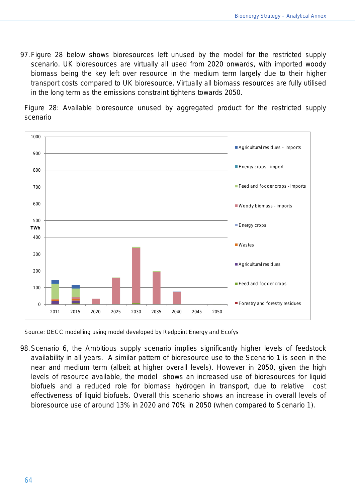97.Figure 28 below shows bioresources left unused by the model for the restricted supply scenario. UK bioresources are virtually all used from 2020 onwards, with imported woody biomass being the key left over resource in the medium term largely due to their higher transport costs compared to UK bioresource. Virtually all biomass resources are fully utilised in the long term as the emissions constraint tightens towards 2050.

Figure 28: Available bioresource unused by aggregated product for the restricted supply scenario



Source: DECC modelling using model developed by Redpoint Energy and Ecofys

98.Scenario 6, the Ambitious supply scenario implies significantly higher levels of feedstock availability in all years. A similar pattern of bioresource use to the Scenario 1 is seen in the near and medium term (albeit at higher overall levels). However in 2050, given the high levels of resource available, the model shows an increased use of bioresources for liquid biofuels and a reduced role for biomass hydrogen in transport, due to relative cost effectiveness of liquid biofuels. Overall this scenario shows an increase in overall levels of bioresource use of around 13% in 2020 and 70% in 2050 (when compared to Scenario 1).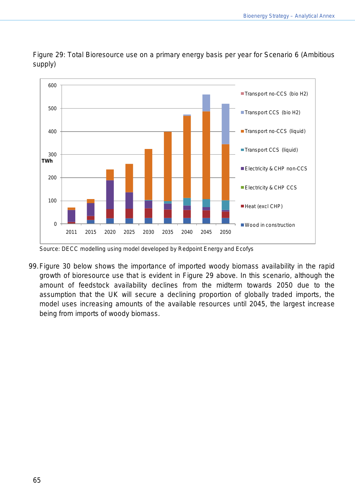

Figure 29: Total Bioresource use on a primary energy basis per year for Scenario 6 (Ambitious supply)

99.Figure 30 below shows the importance of imported woody biomass availability in the rapid growth of bioresource use that is evident in Figure 29 above. In this scenario, although the amount of feedstock availability declines from the midterm towards 2050 due to the assumption that the UK will secure a declining proportion of globally traded imports, the model uses increasing amounts of the available resources until 2045, the largest increase being from imports of woody biomass.

Source: DECC modelling using model developed by Redpoint Energy and Ecofys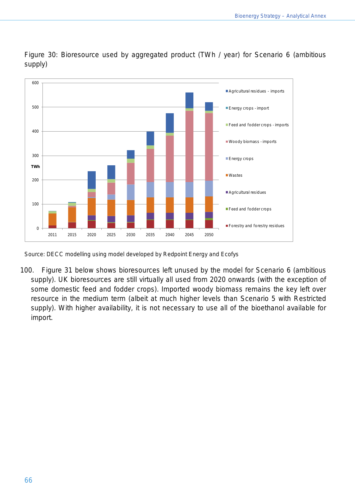

Figure 30: Bioresource used by aggregated product (TWh / year) for Scenario 6 (ambitious supply)

100. Figure 31 below shows bioresources left unused by the model for Scenario 6 (ambitious supply). UK bioresources are still virtually all used from 2020 onwards (with the exception of some domestic feed and fodder crops). Imported woody biomass remains the key left over resource in the medium term (albeit at much higher levels than Scenario 5 with Restricted supply). With higher availability, it is not necessary to use all of the bioethanol available for import.

Source: DECC modelling using model developed by Redpoint Energy and Ecofys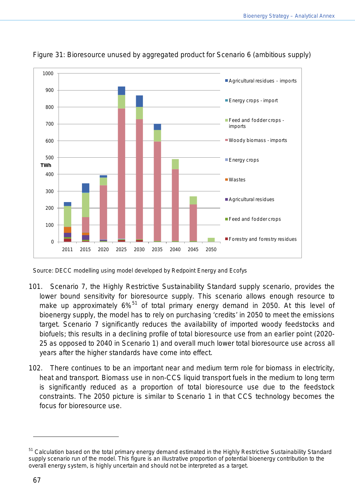

Figure 31: Bioresource unused by aggregated product for Scenario 6 (ambitious supply)

Source: DECC modelling using model developed by Redpoint Energy and Ecofys

- 101. Scenario 7, the Highly Restrictive Sustainability Standard supply scenario, provides the lower bound sensitivity for bioresource supply. This scenario allows enough resource to make up approximately 6%<sup>[51](#page-66-0)</sup> of total primary energy demand in 2050. At this level of bioenergy supply, the model has to rely on purchasing 'credits' in 2050 to meet the emissions target. Scenario 7 significantly reduces the availability of imported woody feedstocks and biofuels; this results in a declining profile of total bioresource use from an earlier point (2020- 25 as opposed to 2040 in Scenario 1) and overall much lower total bioresource use across all years after the higher standards have come into effect.
- 102. There continues to be an important near and medium term role for biomass in electricity, heat and transport. Biomass use in non-CCS liquid transport fuels in the medium to long term is significantly reduced as a proportion of total bioresource use due to the feedstock constraints. The 2050 picture is similar to Scenario 1 in that CCS technology becomes the focus for bioresource use.

<span id="page-66-0"></span><sup>&</sup>lt;sup>51</sup> Calculation based on the total primary energy demand estimated in the Highly Restrictive Sustainability Standard supply scenario run of the model. This figure is an illustrative proportion of potential bioenergy contribution to the overall energy system, is highly uncertain and should not be interpreted as a target.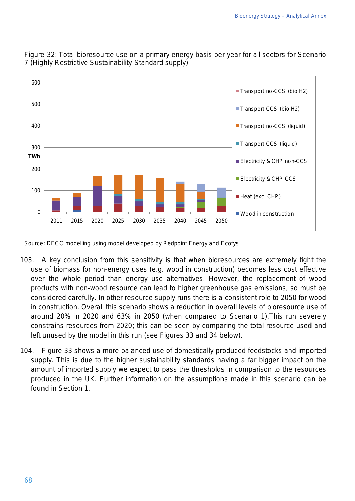

Figure 32: Total bioresource use on a primary energy basis per year for all sectors for Scenario 7 (Highly Restrictive Sustainability Standard supply)

Source: DECC modelling using model developed by Redpoint Energy and Ecofys

- 103. A key conclusion from this sensitivity is that when bioresources are extremely tight the use of biomass for non-energy uses (e.g. wood in construction) becomes less cost effective over the whole period than energy use alternatives. However, the replacement of wood products with non-wood resource can lead to higher greenhouse gas emissions, so must be considered carefully. In other resource supply runs there is a consistent role to 2050 for wood in construction. Overall this scenario shows a reduction in overall levels of bioresource use of around 20% in 2020 and 63% in 2050 (when compared to Scenario 1).This run severely constrains resources from 2020; this can be seen by comparing the total resource used and left unused by the model in this run (see Figures 33 and 34 below).
- 104. Figure 33 shows a more balanced use of domestically produced feedstocks and imported supply. This is due to the higher sustainability standards having a far bigger impact on the amount of imported supply we expect to pass the thresholds in comparison to the resources produced in the UK. Further information on the assumptions made in this scenario can be found in Section 1.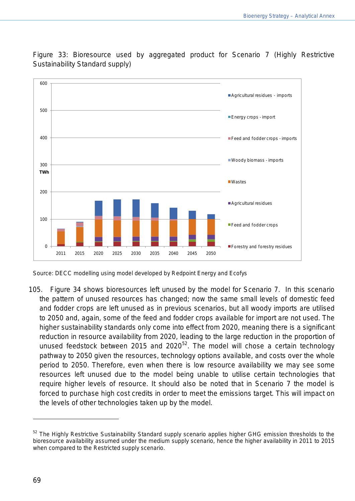

Figure 33: Bioresource used by aggregated product for Scenario 7 (Highly Restrictive Sustainability Standard supply)

105. Figure 34 shows bioresources left unused by the model for Scenario 7. In this scenario the pattern of unused resources has changed; now the same small levels of domestic feed and fodder crops are left unused as in previous scenarios, but all woody imports are utilised to 2050 and, again, some of the feed and fodder crops available for import are not used. The higher sustainability standards only come into effect from 2020, meaning there is a significant reduction in resource availability from 2020, leading to the large reduction in the proportion of unused feedstock between 2015 and 2020 $5^2$ . The model will chose a certain technology pathway to 2050 given the resources, technology options available, and costs over the whole period to 2050. Therefore, even when there is low resource availability we may see some resources left unused due to the model being unable to utilise certain technologies that require higher levels of resource. It should also be noted that in Scenario 7 the model is forced to purchase high cost credits in order to meet the emissions target. This will impact on the levels of other technologies taken up by the model.

Source: DECC modelling using model developed by Redpoint Energy and Ecofys

<span id="page-68-0"></span><sup>&</sup>lt;sup>52</sup> The Highly Restrictive Sustainability Standard supply scenario applies higher GHG emission thresholds to the bioresource availability assumed under the medium supply scenario, hence the higher availability in 2011 to 2015 when compared to the Restricted supply scenario.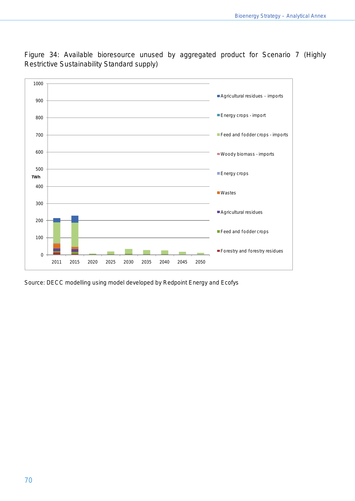

Figure 34: Available bioresource unused by aggregated product for Scenario 7 (Highly Restrictive Sustainability Standard supply)

Source: DECC modelling using model developed by Redpoint Energy and Ecofys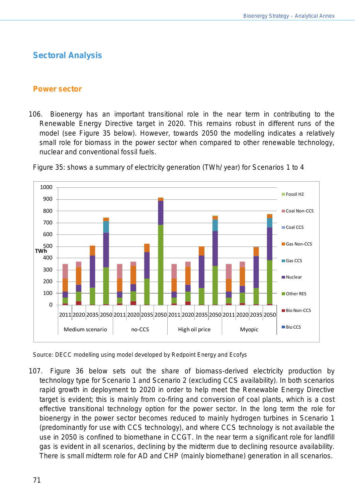# **Sectoral Analysis**

#### **Power sector**

106. Bioenergy has an important transitional role in the near term in contributing to the Renewable Energy Directive target in 2020. This remains robust in different runs of the model (see Figure 35 below). However, towards 2050 the modelling indicates a relatively small role for biomass in the power sector when compared to other renewable technology, nuclear and conventional fossil fuels.



Figure 35: shows a summary of electricity generation (TWh/ year) for Scenarios 1 to 4

Source: DECC modelling using model developed by Redpoint Energy and Ecofys

107. Figure 36 below sets out the share of biomass-derived electricity production by technology type for Scenario 1 and Scenario 2 (excluding CCS availability). In both scenarios rapid growth in deployment to 2020 in order to help meet the Renewable Energy Directive target is evident; this is mainly from co-firing and conversion of coal plants, which is a cost effective transitional technology option for the power sector. In the long term the role for bioenergy in the power sector becomes reduced to mainly hydrogen turbines in Scenario 1 (predominantly for use with CCS technology), and where CCS technology is not available the use in 2050 is confined to biomethane in CCGT. In the near term a significant role for landfill gas is evident in all scenarios, declining by the midterm due to declining resource availability. There is small midterm role for AD and CHP (mainly biomethane) generation in all scenarios.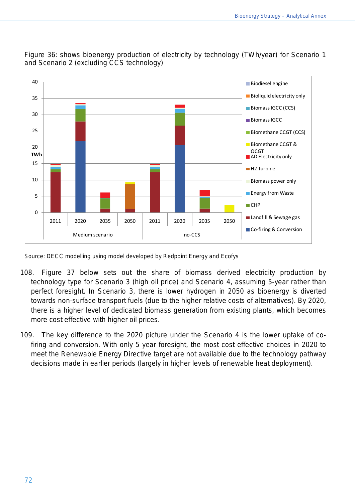

Figure 36: shows bioenergy production of electricity by technology (TWh/year) for Scenario 1 and Scenario 2 (excluding CCS technology)

Source: DECC modelling using model developed by Redpoint Energy and Ecofys

- 108. Figure 37 below sets out the share of biomass derived electricity production by technology type for Scenario 3 (high oil price) and Scenario 4, assuming 5-year rather than perfect foresight. In Scenario 3, there is lower hydrogen in 2050 as bioenergy is diverted towards non-surface transport fuels (due to the higher relative costs of alternatives). By 2020, there is a higher level of dedicated biomass generation from existing plants, which becomes more cost effective with higher oil prices.
- 109. The key difference to the 2020 picture under the Scenario 4 is the lower uptake of cofiring and conversion. With only 5 year foresight, the most cost effective choices in 2020 to meet the Renewable Energy Directive target are not available due to the technology pathway decisions made in earlier periods (largely in higher levels of renewable heat deployment).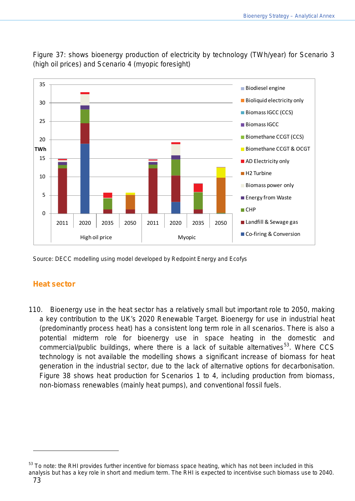

Figure 37: shows bioenergy production of electricity by technology (TWh/year) for Scenario 3 (high oil prices) and Scenario 4 (myopic foresight)

Source: DECC modelling using model developed by Redpoint Energy and Ecofys

### **Heat sector**

110. Bioenergy use in the heat sector has a relatively small but important role to 2050, making a key contribution to the UK's 2020 Renewable Target. Bioenergy for use in industrial heat (predominantly process heat) has a consistent long term role in all scenarios. There is also a potential midterm role for bioenergy use in space heating in the domestic and commercial/public buildings, where there is a lack of suitable alternatives<sup>[53](#page-72-0)</sup>. Where CCS technology is not available the modelling shows a significant increase of biomass for heat generation in the industrial sector, due to the lack of alternative options for decarbonisation. Figure 38 shows heat production for Scenarios 1 to 4, including production from biomass, non-biomass renewables (mainly heat pumps), and conventional fossil fuels.

<span id="page-72-0"></span><sup>53</sup> To note: the RHI provides further incentive for biomass space heating, which has not been included in this analysis but has a key role in short and medium term. The RHI is expected to incentivise such biomass use to 2040.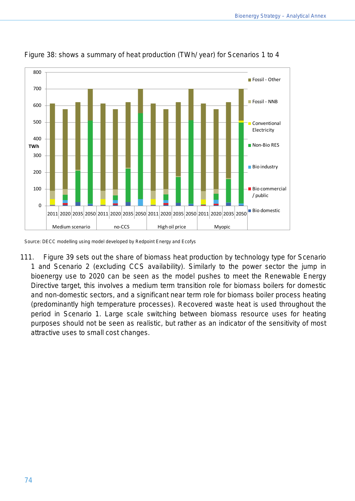

Figure 38: shows a summary of heat production (TWh/ year) for Scenarios 1 to 4

Source: DECC modelling using model developed by Redpoint Energy and Ecofys

111. Figure 39 sets out the share of biomass heat production by technology type for Scenario 1 and Scenario 2 (excluding CCS availability). Similarly to the power sector the jump in bioenergy use to 2020 can be seen as the model pushes to meet the Renewable Energy Directive target, this involves a medium term transition role for biomass boilers for domestic and non-domestic sectors, and a significant near term role for biomass boiler process heating (predominantly high temperature processes). Recovered waste heat is used throughout the period in Scenario 1. Large scale switching between biomass resource uses for heating purposes should not be seen as realistic, but rather as an indicator of the sensitivity of most attractive uses to small cost changes.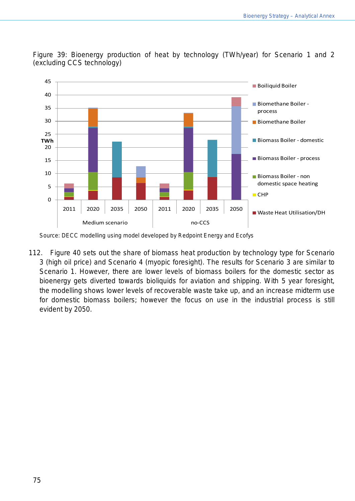

Figure 39: Bioenergy production of heat by technology (TWh/year) for Scenario 1 and 2 (excluding CCS technology)

112. Figure 40 sets out the share of biomass heat production by technology type for Scenario 3 (high oil price) and Scenario 4 (myopic foresight). The results for Scenario 3 are similar to Scenario 1. However, there are lower levels of biomass boilers for the domestic sector as bioenergy gets diverted towards bioliquids for aviation and shipping. With 5 year foresight, the modelling shows lower levels of recoverable waste take up, and an increase midterm use for domestic biomass boilers; however the focus on use in the industrial process is still evident by 2050.

Source: DECC modelling using model developed by Redpoint Energy and Ecofys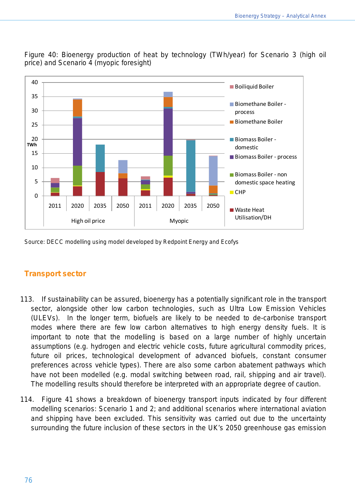

Figure 40: Bioenergy production of heat by technology (TWh/year) for Scenario 3 (high oil price) and Scenario 4 (myopic foresight)

Source: DECC modelling using model developed by Redpoint Energy and Ecofys

### **Transport sector**

- 113. If sustainability can be assured, bioenergy has a potentially significant role in the transport sector, alongside other low carbon technologies, such as Ultra Low Emission Vehicles (ULEVs). In the longer term, biofuels are likely to be needed to de-carbonise transport modes where there are few low carbon alternatives to high energy density fuels. It is important to note that the modelling is based on a large number of highly uncertain assumptions (e.g. hydrogen and electric vehicle costs, future agricultural commodity prices, future oil prices, technological development of advanced biofuels, constant consumer preferences across vehicle types). There are also some carbon abatement pathways which have not been modelled (e.g. modal switching between road, rail, shipping and air travel). The modelling results should therefore be interpreted with an appropriate degree of caution.
- 114. Figure 41 shows a breakdown of bioenergy transport inputs indicated by four different modelling scenarios: Scenario 1 and 2; and additional scenarios where international aviation and shipping have been excluded. This sensitivity was carried out due to the uncertainty surrounding the future inclusion of these sectors in the UK's 2050 greenhouse gas emission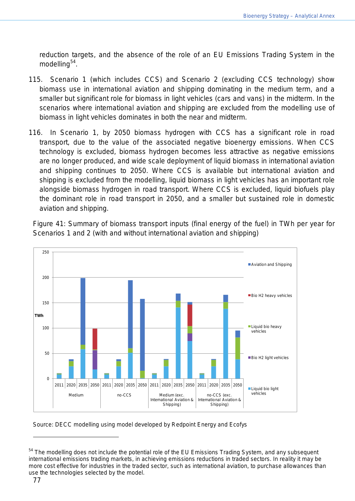reduction targets, and the absence of the role of an EU Emissions Trading System in the modelling<sup>[54](#page-76-0)</sup>.

- 115. Scenario 1 (which includes CCS) and Scenario 2 (excluding CCS technology) show biomass use in international aviation and shipping dominating in the medium term, and a smaller but significant role for biomass in light vehicles (cars and vans) in the midterm. In the scenarios where international aviation and shipping are excluded from the modelling use of biomass in light vehicles dominates in both the near and midterm.
- 116. In Scenario 1, by 2050 biomass hydrogen with CCS has a significant role in road transport, due to the value of the associated negative bioenergy emissions. When CCS technology is excluded, biomass hydrogen becomes less attractive as negative emissions are no longer produced, and wide scale deployment of liquid biomass in international aviation and shipping continues to 2050. Where CCS is available but international aviation and shipping is excluded from the modelling, liquid biomass in light vehicles has an important role alongside biomass hydrogen in road transport. Where CCS is excluded, liquid biofuels play the dominant role in road transport in 2050, and a smaller but sustained role in domestic aviation and shipping.

Figure 41: Summary of biomass transport inputs (final energy of the fuel) in TWh per year for Scenarios 1 and 2 (with and without international aviation and shipping)



Source: DECC modelling using model developed by Redpoint Energy and Ecofys

<span id="page-76-0"></span><sup>&</sup>lt;sup>54</sup> The modelling does not include the potential role of the EU Emissions Trading System, and any subsequent international emissions trading markets, in achieving emissions reductions in traded sectors. In reality it may be more cost effective for industries in the traded sector, such as international aviation, to purchase allowances than use the technologies selected by the model.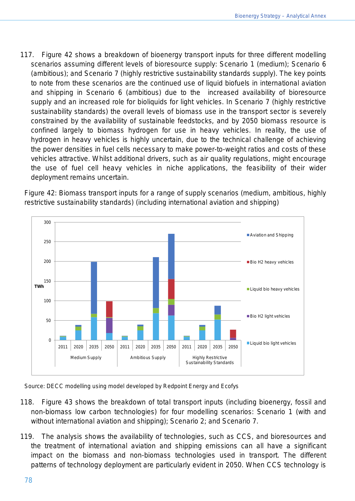117. Figure 42 shows a breakdown of bioenergy transport inputs for three different modelling scenarios assuming different levels of bioresource supply: Scenario 1 (medium); Scenario 6 (ambitious); and Scenario 7 (highly restrictive sustainability standards supply). The key points to note from these scenarios are the continued use of liquid biofuels in international aviation and shipping in Scenario 6 (ambitious) due to the increased availability of bioresource supply and an increased role for bioliquids for light vehicles. In Scenario 7 (highly restrictive sustainability standards) the overall levels of biomass use in the transport sector is severely constrained by the availability of sustainable feedstocks, and by 2050 biomass resource is confined largely to biomass hydrogen for use in heavy vehicles. In reality, the use of hydrogen in heavy vehicles is highly uncertain, due to the technical challenge of achieving the power densities in fuel cells necessary to make power-to-weight ratios and costs of these vehicles attractive. Whilst additional drivers, such as air quality regulations, might encourage the use of fuel cell heavy vehicles in niche applications, the feasibility of their wider deployment remains uncertain.

Figure 42: Biomass transport inputs for a range of supply scenarios (medium, ambitious, highly restrictive sustainability standards) (including international aviation and shipping)



Source: DECC modelling using model developed by Redpoint Energy and Ecofys

- 118. Figure 43 shows the breakdown of total transport inputs (including bioenergy, fossil and non-biomass low carbon technologies) for four modelling scenarios: Scenario 1 (with and without international aviation and shipping); Scenario 2; and Scenario 7.
- 119. The analysis shows the availability of technologies, such as CCS, and bioresources and the treatment of international aviation and shipping emissions can all have a significant impact on the biomass and non-biomass technologies used in transport. The different patterns of technology deployment are particularly evident in 2050. When CCS technology is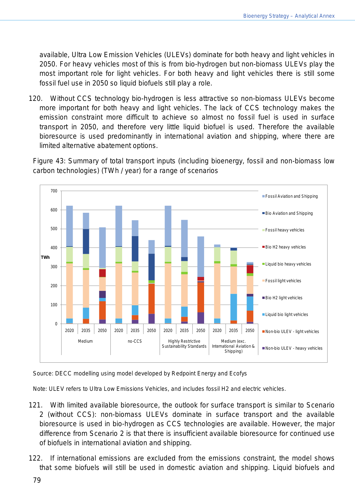available, Ultra Low Emission Vehicles (ULEVs) dominate for both heavy and light vehicles in 2050. For heavy vehicles most of this is from bio-hydrogen but non-biomass ULEVs play the most important role for light vehicles. For both heavy and light vehicles there is still some fossil fuel use in 2050 so liquid biofuels still play a role.

120. Without CCS technology bio-hydrogen is less attractive so non-biomass ULEVs become more important for both heavy and light vehicles. The lack of CCS technology makes the emission constraint more difficult to achieve so almost no fossil fuel is used in surface transport in 2050, and therefore very little liquid biofuel is used. Therefore the available bioresource is used predominantly in international aviation and shipping, where there are limited alternative abatement options.

Figure 43: Summary of total transport inputs (including bioenergy, fossil and non-biomass low carbon technologies) (TWh / year) for a range of scenarios



Source: DECC modelling using model developed by Redpoint Energy and Ecofys

Note: ULEV refers to Ultra Low Emissions Vehicles, and includes fossil H2 and electric vehicles.

- 121. With limited available bioresource, the outlook for surface transport is similar to Scenario 2 (without CCS): non-biomass ULEVs dominate in surface transport and the available bioresource is used in bio-hydrogen as CCS technologies are available. However, the major difference from Scenario 2 is that there is insufficient available bioresource for continued use of biofuels in international aviation and shipping.
- 122. If international emissions are excluded from the emissions constraint, the model shows that some biofuels will still be used in domestic aviation and shipping. Liquid biofuels and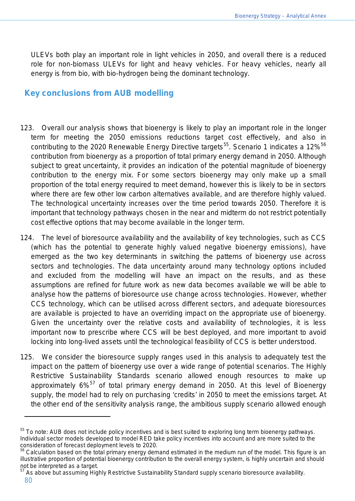ULEVs both play an important role in light vehicles in 2050, and overall there is a reduced role for non-biomass ULEVs for light and heavy vehicles. For heavy vehicles, nearly all energy is from bio, with bio-hydrogen being the dominant technology.

## **Key conclusions from AUB modelling**

- 123. Overall our analysis shows that bioenergy is likely to play an important role in the longer term for meeting the 2050 emissions reductions target cost effectively, and also in contributing to the 2020 Renewable Energy Directive targets<sup>[55](#page-79-0)</sup>. Scenario 1 indicates a 12%<sup>[56](#page-79-1)</sup> contribution from bioenergy as a proportion of total primary energy demand in 2050. Although subject to great uncertainty, it provides an indication of the potential magnitude of bioenergy contribution to the energy mix. For some sectors bioenergy may only make up a small proportion of the total energy required to meet demand, however this is likely to be in sectors where there are few other low carbon alternatives available, and are therefore highly valued. The technological uncertainty increases over the time period towards 2050. Therefore it is important that technology pathways chosen in the near and midterm do not restrict potentially cost effective options that may become available in the longer term.
- 124. The level of bioresource availability and the availability of key technologies, such as CCS (which has the potential to generate highly valued negative bioenergy emissions), have emerged as the two key determinants in switching the patterns of bioenergy use across sectors and technologies. The data uncertainty around many technology options included and excluded from the modelling will have an impact on the results, and as these assumptions are refined for future work as new data becomes available we will be able to analyse how the patterns of bioresource use change across technologies. However, whether CCS technology, which can be utilised across different sectors, and adequate bioresources are available is projected to have an overriding impact on the appropriate use of bioenergy. Given the uncertainty over the relative costs and availability of technologies, it is less important now to prescribe where CCS will be best deployed, and more important to avoid locking into long-lived assets until the technological feasibility of CCS is better understood.
- 125. We consider the bioresource supply ranges used in this analysis to adequately test the impact on the pattern of bioenergy use over a wide range of potential scenarios. The Highly Restrictive Sustainability Standards scenario allowed enough resources to make up approximately 6%<sup>[57](#page-79-2)</sup> of total primary energy demand in 2050. At this level of Bioenergy supply, the model had to rely on purchasing 'credits' in 2050 to meet the emissions target. At the other end of the sensitivity analysis range, the ambitious supply scenario allowed enough

<span id="page-79-2"></span><sup>57</sup> As above but assuming Highly Restrictive Sustainability Standard supply scenario bioresource availability.

<span id="page-79-0"></span><sup>&</sup>lt;sup>55</sup> To note: AUB does not include policy incentives and is best suited to exploring long term bioenergy pathways. Individual sector models developed to model RED take policy incentives into account and are more suited to the consideration of forecast deployment levels to 2020.

<span id="page-79-1"></span><sup>&</sup>lt;sup>56</sup> Calculation based on the total primary energy demand estimated in the medium run of the model. This figure is an illustrative proportion of potential bioenergy contribution to the overall energy system, is highly uncertain and should not be interpreted as a target.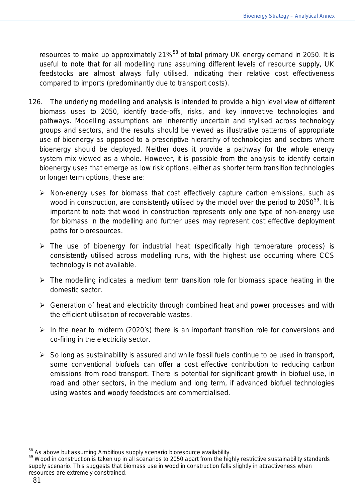resources to make up approximately  $21\%^{58}$  $21\%^{58}$  $21\%^{58}$  of total primary UK energy demand in 2050. It is useful to note that for all modelling runs assuming different levels of resource supply, UK feedstocks are almost always fully utilised, indicating their relative cost effectiveness compared to imports (predominantly due to transport costs).

- 126. The underlying modelling and analysis is intended to provide a high level view of different biomass uses to 2050, identify trade-offs, risks, and key innovative technologies and pathways. Modelling assumptions are inherently uncertain and stylised across technology groups and sectors, and the results should be viewed as illustrative patterns of appropriate use of bioenergy as opposed to a prescriptive hierarchy of technologies and sectors where bioenergy should be deployed. Neither does it provide a pathway for the whole energy system mix viewed as a whole. However, it is possible from the analysis to identify certain bioenergy uses that emerge as low risk options, either as shorter term transition technologies or longer term options, these are:
	- $\triangleright$  Non-energy uses for biomass that cost effectively capture carbon emissions, such as wood in construction, are consistently utilised by the model over the period to 2050 $^{59}$  $^{59}$  $^{59}$ . It is important to note that wood in construction represents only one type of non-energy use for biomass in the modelling and further uses may represent cost effective deployment paths for bioresources.
	- $\triangleright$  The use of bioenergy for industrial heat (specifically high temperature process) is consistently utilised across modelling runs, with the highest use occurring where CCS technology is not available.
	- $\triangleright$  The modelling indicates a medium term transition role for biomass space heating in the domestic sector.
	- $\triangleright$  Generation of heat and electricity through combined heat and power processes and with the efficient utilisation of recoverable wastes.
	- $\triangleright$  In the near to midterm (2020's) there is an important transition role for conversions and co-firing in the electricity sector.
	- $\triangleright$  So long as sustainability is assured and while fossil fuels continue to be used in transport, some conventional biofuels can offer a cost effective contribution to reducing carbon emissions from road transport. There is potential for significant growth in biofuel use, in road and other sectors, in the medium and long term, if advanced biofuel technologies using wastes and woody feedstocks are commercialised.

<span id="page-80-1"></span><span id="page-80-0"></span> $58$  As above but assuming Ambitious supply scenario bioresource availability.<br> $59$  Wood in construction is taken up in all scenarios to 2050 apart from the highly restrictive sustainability standards supply scenario. This suggests that biomass use in wood in construction falls slightly in attractiveness when resources are extremely constrained.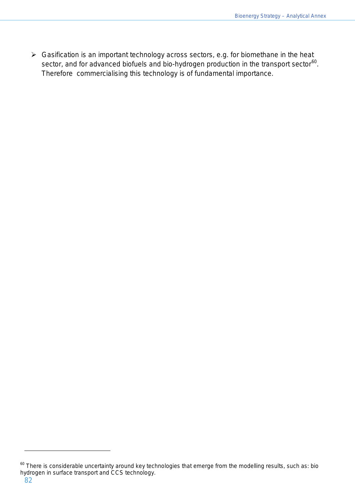$\triangleright$  Gasification is an important technology across sectors, e.g. for biomethane in the heat sector, and for advanced biofuels and bio-hydrogen production in the transport sector $^{60}$  $^{60}$  $^{60}$ . Therefore commercialising this technology is of fundamental importance.

<span id="page-81-0"></span> $60$  There is considerable uncertainty around key technologies that emerge from the modelling results, such as: bio hydrogen in surface transport and CCS technology.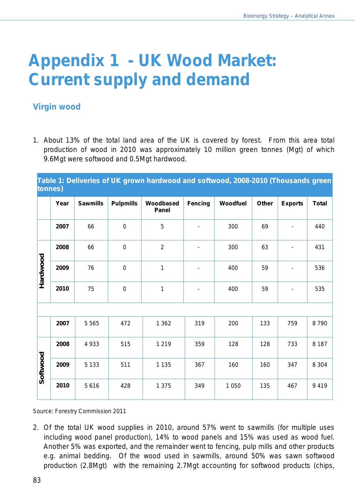# **Appendix 1 - UK Wood Market: Current supply and demand**

## **Virgin wood**

1. About 13% of the total land area of the UK is covered by forest. From this area total production of wood in 2010 was approximately 10 million green tonnes (Mgt) of which 9.6Mgt were softwood and 0.5Mgt hardwood.

**Table 1: Deliveries of UK grown hardwood and softwood, 2008-2010 (Thousands green tonnes)**

|          | Year | <b>Sawmills</b>   | <b>Pulpmills</b> | Woodbased<br>Panel | <b>Fencing</b> | Woodfuel | Other<br><b>Exports</b> |                | <b>Total</b> |
|----------|------|-------------------|------------------|--------------------|----------------|----------|-------------------------|----------------|--------------|
|          | 2007 | 66                | $\pmb{0}$        | 5                  |                | 300      | 69                      |                | 440          |
|          | 2008 | 66                | $\mathbf 0$      | $\overline{2}$     | $\blacksquare$ | 300      | 63                      | $\blacksquare$ | 431          |
| Hardwood | 2009 | 76<br>$\mathbf 0$ |                  | 1                  |                | 400      | 59                      | $\blacksquare$ | 536          |
|          | 2010 | 75                | $\boldsymbol{0}$ | 1                  |                | 400      | 59                      |                | 535          |
|          |      |                   |                  |                    |                |          |                         |                |              |
|          | 2007 | 5 5 6 5           | 472              | 1 3 6 2            | 319            | 200      | 133                     | 759            | 8790         |
|          | 2008 | 4 9 3 3           | 515              | 1 2 1 9            | 359            | 128      | 128                     | 733            | 8 1 8 7      |
| Softwood | 2009 | 5 1 3 3           | 511              | 1 1 3 5            | 367            | 160      | 160                     | 347            | 8 3 0 4      |
|          | 2010 | 5616              | 428              | 1 3 7 5            | 349            | 1 0 5 0  | 135                     | 467            | 9419         |

Source: Forestry Commission 2011

2. Of the total UK wood supplies in 2010, around 57% went to sawmills (for multiple uses including wood panel production), 14% to wood panels and 15% was used as wood fuel. Another 5% was exported, and the remainder went to fencing, pulp mills and other products e.g. animal bedding. Of the wood used in sawmills, around 50% was sawn softwood production (2.8Mgt) with the remaining 2.7Mgt accounting for softwood products (chips,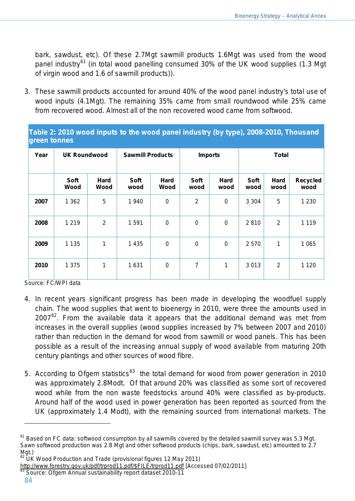bark, sawdust, etc). Of these 2.7Mgt sawmill products 1.6Mgt was used from the wood panel industry<sup>[61](#page-83-0)</sup> (in total wood panelling consumed 30% of the UK wood supplies (1.3 Mgt of virgin wood and 1.6 of sawmill products)).

3. These sawmill products accounted for around 40% of the wood panel industry's total use of wood inputs (4.1Mgt). The remaining 35% came from small roundwood while 25% came from recovered wood. Almost all of the non recovered wood came from softwood.

| Table 2: 2010 wood inputs to the wood panel industry (by type), 2008-2010, Thousand |  |
|-------------------------------------------------------------------------------------|--|
| green tonnes                                                                        |  |

| Year | <b>UK Roundwood</b> |                     | <b>Sawmill Products</b> |                  |                | <b>Imports</b> | <b>Total</b> |                     |                         |  |
|------|---------------------|---------------------|-------------------------|------------------|----------------|----------------|--------------|---------------------|-------------------------|--|
|      | Soft<br>Wood        | <b>Hard</b><br>Wood | <b>Soft</b><br>wood     | Hard<br>Wood     | Soft<br>wood   | Hard<br>wood   | Soft<br>wood | <b>Hard</b><br>wood | <b>Recycled</b><br>wood |  |
| 2007 | 1 3 6 2             | 5                   | 1940                    | $\boldsymbol{0}$ | $\overline{2}$ | $\pmb{0}$      | 3 3 0 4      | 5                   | 1 2 3 0                 |  |
| 2008 | 1 2 1 9             | 2                   | 1 5 9 1                 | $\mathbf 0$      | $\pmb{0}$      | $\pmb{0}$      | 2810         | 2                   | 1 1 1 9                 |  |
| 2009 | 1 1 3 5             | 1                   | 1 4 3 5                 | $\mathbf 0$      | $\mathbf 0$    | $\mathbf 0$    | 2570         | 1                   | 1 0 6 5                 |  |
| 2010 | 1 3 7 5             | 1                   | 1631                    | $\mathbf 0$      | 7              | 1              | 3013         | $\overline{2}$      | 1 1 2 0                 |  |

Source: FC/WPI data

- 4. In recent years significant progress has been made in developing the woodfuel supply chain. The wood supplies that went to bioenergy in 2010, were three the amounts used in 2007 $^{62}$  $^{62}$  $^{62}$ . From the available data it appears that the additional demand was met from increases in the overall supplies (wood supplies increased by 7% between 2007 and 2010) rather than reduction in the demand for wood from sawmill or wood panels. This has been possible as a result of the increasing annual supply of wood available from maturing 20th century plantings and other sources of wood fibre.
- 5. According to Ofgem statistics<sup>[63](#page-83-2)</sup> the total demand for wood from power generation in 2010 was approximately 2.8Modt. Of that around 20% was classified as some sort of recovered wood while from the non waste feedstocks around 40% were classified as by-products. Around half of the wood used in power generation has been reported as sourced from the UK (approximately 1.4 Modt), with the remaining sourced from international markets. The

<span id="page-83-0"></span> $61$  Based on FC data: softwood consumption by all sawmills covered by the detailed sawmill survey was 5.3 Mgt. Sawn softwood production was 2.8 Mgt and other softwood products (chips, bark, sawdust, etc) amounted to 2.7 Mgt.)

<span id="page-83-1"></span> $62$  UK Wood Production and Trade (provisional figures 12 May 2011)

[http://www.forestry.gov.uk/pdf/trprod11.pdf/\\$FILE/trprod11.pdf](http://www.forestry.gov.uk/pdf/trprod11.pdf/$FILE/trprod11.pdf) [Accessed 07/02/2011]<br><sup>63</sup> Source: Ofgem Annual sustainability report dataset 2010-11

<span id="page-83-2"></span>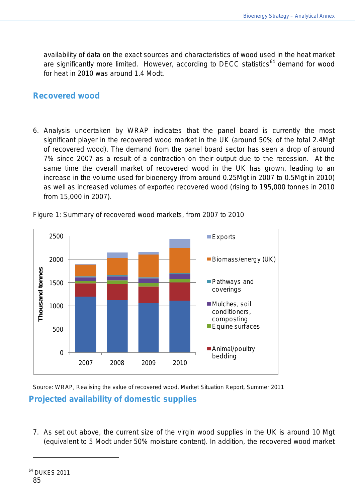availability of data on the exact sources and characteristics of wood used in the heat market are significantly more limited. However, according to DECC statistics<sup>[64](#page-84-0)</sup> demand for wood for heat in 2010 was around 1.4 Modt.

## **Recovered wood**

6. Analysis undertaken by WRAP indicates that the panel board is currently the most significant player in the recovered wood market in the UK (around 50% of the total 2.4Mgt of recovered wood). The demand from the panel board sector has seen a drop of around 7% since 2007 as a result of a contraction on their output due to the recession. At the same time the overall market of recovered wood in the UK has grown, leading to an increase in the volume used for bioenergy (from around 0.25Mgt in 2007 to 0.5Mgt in 2010) as well as increased volumes of exported recovered wood (rising to 195,000 tonnes in 2010 from 15,000 in 2007).



Figure 1: Summary of recovered wood markets, from 2007 to 2010

Source: WRAP, Realising the value of recovered wood, Market Situation Report, Summer 2011 **Projected availability of domestic supplies**

<span id="page-84-0"></span>7. As set out above, the current size of the virgin wood supplies in the UK is around 10 Mgt (equivalent to 5 Modt under 50% moisture content). In addition, the recovered wood market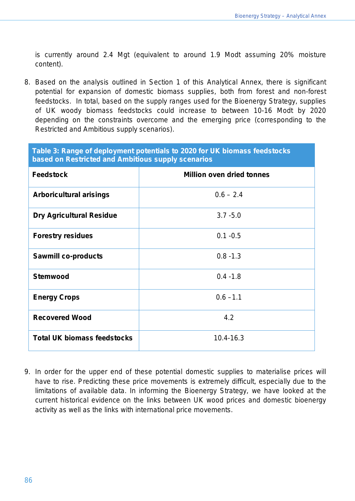is currently around 2.4 Mgt (equivalent to around 1.9 Modt assuming 20% moisture content).

8. Based on the analysis outlined in Section 1 of this Analytical Annex, there is significant potential for expansion of domestic biomass supplies, both from forest and non-forest feedstocks. In total, based on the supply ranges used for the Bioenergy Strategy, supplies of UK woody biomass feedstocks could increase to between 10-16 Modt by 2020 depending on the constraints overcome and the emerging price (corresponding to the Restricted and Ambitious supply scenarios).

| based on Restricted and Ambitious supply scenarios | Table 3: Range of deployment potentials to 2020 for UK biomass feedstocks |
|----------------------------------------------------|---------------------------------------------------------------------------|
| <b>Feedstock</b>                                   | <b>Million oven dried tonnes</b>                                          |
| Arboricultural arisings                            | $0.6 - 2.4$                                                               |
| <b>Dry Agricultural Residue</b>                    | $3.7 - 5.0$                                                               |
| <b>Forestry residues</b>                           | $0.1 - 0.5$                                                               |
| <b>Sawmill co-products</b>                         | $0.8 - 1.3$                                                               |

**Stemwood** 0.4 -1.8

**Energy Crops 1.1 CD 1.1 CD 1.1 CD 1.1 CD 1.1 CD 1.1** 

**Recovered Wood** 4.2

**Total UK biomass feedstocks** 

| 9. In order for the upper end of these potential domestic supplies to materialise prices will |
|-----------------------------------------------------------------------------------------------|
| have to rise. Predicting these price movements is extremely difficult, especially due to the  |
| limitations of available data. In informing the Bioenergy Strategy, we have looked at the     |
| current historical evidence on the links between UK wood prices and domestic bioenergy        |
| activity as well as the links with international price movements.                             |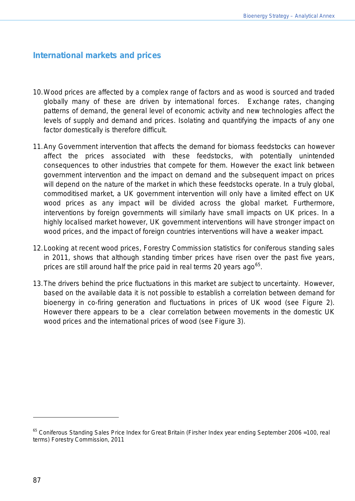## **International markets and prices**

- 10.Wood prices are affected by a complex range of factors and as wood is sourced and traded globally many of these are driven by international forces. Exchange rates, changing patterns of demand, the general level of economic activity and new technologies affect the levels of supply and demand and prices. Isolating and quantifying the impacts of any one factor domestically is therefore difficult.
- 11.Any Government intervention that affects the demand for biomass feedstocks can however affect the prices associated with these feedstocks, with potentially unintended consequences to other industries that compete for them. However the exact link between government intervention and the impact on demand and the subsequent impact on prices will depend on the nature of the market in which these feedstocks operate. In a truly global, commoditised market, a UK government intervention will only have a limited effect on UK wood prices as any impact will be divided across the global market. Furthermore, interventions by foreign governments will similarly have small impacts on UK prices. In a highly localised market however, UK government interventions will have stronger impact on wood prices, and the impact of foreign countries interventions will have a weaker impact.
- 12.Looking at recent wood prices, Forestry Commission statistics for coniferous standing sales in 2011, shows that although standing timber prices have risen over the past five years, prices are still around half the price paid in real terms 20 years ago $^{65}.$  $^{65}.$  $^{65}.$
- 13.The drivers behind the price fluctuations in this market are subject to uncertainty. However, based on the available data it is not possible to establish a correlation between demand for bioenergy in co-firing generation and fluctuations in prices of UK wood (see Figure 2). However there appears to be a clear correlation between movements in the domestic UK wood prices and the international prices of wood (see Figure 3).

<span id="page-86-0"></span><sup>&</sup>lt;sup>65</sup> Coniferous Standing Sales Price Index for Great Britain (Firsher Index year ending September 2006 =100, real terms) Forestry Commission, 2011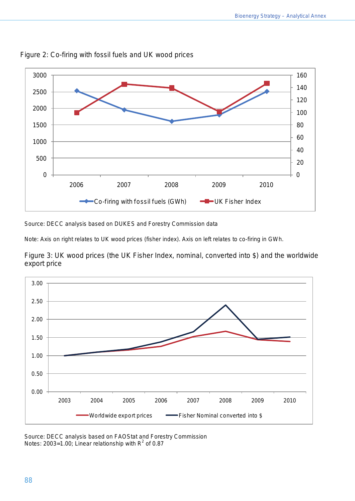



Source: DECC analysis based on DUKES and Forestry Commission data

Note: Axis on right relates to UK wood prices (fisher index). Axis on left relates to co-firing in GWh.

Figure 3: UK wood prices (the UK Fisher Index, nominal, converted into \$) and the worldwide export price



Source: DECC analysis based on FAOStat and Forestry Commission Notes: 2003=1.00; Linear relationship with  $R^2$  of 0.87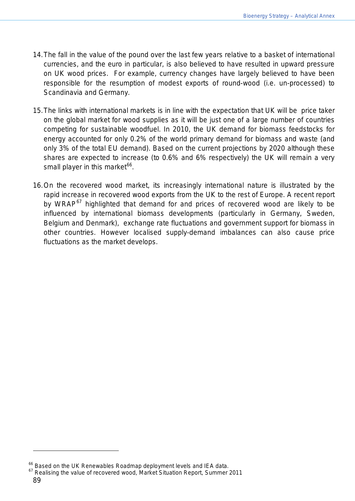- 14.The fall in the value of the pound over the last few years relative to a basket of international currencies, and the euro in particular, is also believed to have resulted in upward pressure on UK wood prices. For example, currency changes have largely believed to have been responsible for the resumption of modest exports of round-wood (i.e. un-processed) to Scandinavia and Germany.
- 15.The links with international markets is in line with the expectation that UK will be price taker on the global market for wood supplies as it will be just one of a large number of countries competing for sustainable woodfuel. In 2010, the UK demand for biomass feedstocks for energy accounted for only 0.2% of the world primary demand for biomass and waste (and only 3% of the total EU demand). Based on the current projections by 2020 although these shares are expected to increase (to 0.6% and 6% respectively) the UK will remain a very small player in this market<sup>[66](#page-88-0)</sup>.
- 16.On the recovered wood market, its increasingly international nature is illustrated by the rapid increase in recovered wood exports from the UK to the rest of Europe. A recent report by WRAP<sup>[67](#page-88-1)</sup> highlighted that demand for and prices of recovered wood are likely to be influenced by international biomass developments (particularly in Germany, Sweden, Belgium and Denmark), exchange rate fluctuations and government support for biomass in other countries. However localised supply-demand imbalances can also cause price fluctuations as the market develops.

<span id="page-88-1"></span><span id="page-88-0"></span>

<sup>&</sup>lt;sup>66</sup> Based on the UK Renewables Roadmap deployment levels and IEA data.<br><sup>67</sup> Realising the value of recovered wood, Market Situation Report, Summer 2011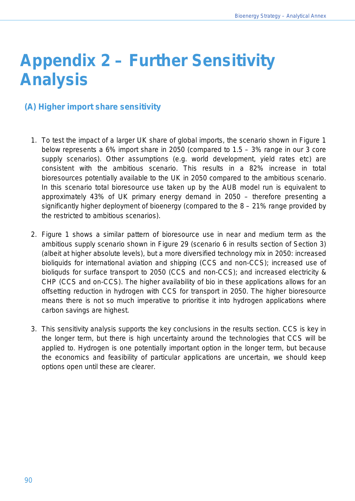# **Appendix 2 – Further Sensitivity Analysis**

## **(A) Higher import share sensitivity**

- 1. To test the impact of a larger UK share of global imports, the scenario shown in Figure 1 below represents a 6% import share in 2050 (compared to 1.5 – 3% range in our 3 core supply scenarios). Other assumptions (e.g. world development, yield rates etc) are consistent with the ambitious scenario. This results in a 82% increase in total bioresources potentially available to the UK in 2050 compared to the ambitious scenario. In this scenario total bioresource use taken up by the AUB model run is equivalent to approximately 43% of UK primary energy demand in 2050 – therefore presenting a significantly higher deployment of bioenergy (compared to the 8 – 21% range provided by the restricted to ambitious scenarios).
- 2. Figure 1 shows a similar pattern of bioresource use in near and medium term as the ambitious supply scenario shown in Figure 29 (scenario 6 in results section of Section 3) (albeit at higher absolute levels), but a more diversified technology mix in 2050: increased bioliquids for international aviation and shipping (CCS and non-CCS); increased use of bioliquds for surface transport to 2050 (CCS and non-CCS); and increased electricity & CHP (CCS and on-CCS). The higher availability of bio in these applications allows for an offsetting reduction in hydrogen with CCS for transport in 2050. The higher bioresource means there is not so much imperative to prioritise it into hydrogen applications where carbon savings are highest.
- 3. This sensitivity analysis supports the key conclusions in the results section. CCS is key in the longer term, but there is high uncertainty around the technologies that CCS will be applied to. Hydrogen is one potentially important option in the longer term, but because the economics and feasibility of particular applications are uncertain, we should keep options open until these are clearer.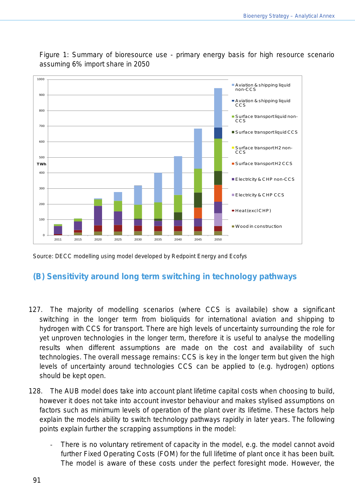

Figure 1: Summary of bioresource use - primary energy basis for high resource scenario assuming 6% import share in 2050

Source: DECC modelling using model developed by Redpoint Energy and Ecofys

## **(B) Sensitivity around long term switching in technology pathways**

- 127. The majority of modelling scenarios (where CCS is availabile) show a significant switching in the longer term from bioliquids for international aviation and shipping to hydrogen with CCS for transport. There are high levels of uncertainty surrounding the role for yet unproven technologies in the longer term, therefore it is useful to analyse the modelling results when different assumptions are made on the cost and availability of such technologies. The overall message remains: CCS is key in the longer term but given the high levels of uncertainty around technologies CCS can be applied to (e.g. hydrogen) options should be kept open.
- 128. The AUB model does take into account plant lifetime capital costs when choosing to build, however it does not take into account investor behaviour and makes stylised assumptions on factors such as minimum levels of operation of the plant over its lifetime. These factors help explain the models ability to switch technology pathways rapidly in later years. The following points explain further the scrapping assumptions in the model:
	- There is no voluntary retirement of capacity in the model, e.g. the model cannot avoid further Fixed Operating Costs (FOM) for the full lifetime of plant once it has been built. The model is aware of these costs under the perfect foresight mode. However, the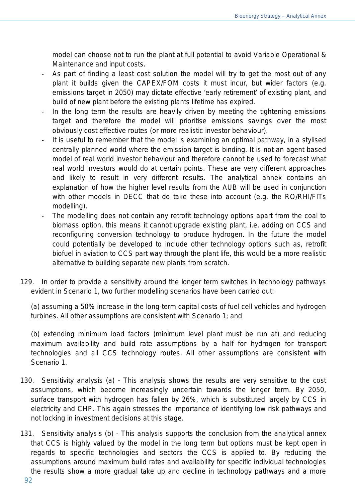model can choose not to run the plant at full potential to avoid Variable Operational & Maintenance and input costs.

- As part of finding a least cost solution the model will try to get the most out of any plant it builds given the CAPEX/FOM costs it must incur, but wider factors (e.g. emissions target in 2050) may dictate effective 'early retirement' of existing plant, and build of new plant before the existing plants lifetime has expired.
- In the long term the results are heavily driven by meeting the tightening emissions target and therefore the model will prioritise emissions savings over the most obviously cost effective routes (or more realistic investor behaviour).
- It is useful to remember that the model is examining an optimal pathway, in a stylised centrally planned world where the emission target is binding. It is not an agent based model of real world investor behaviour and therefore cannot be used to forecast what real world investors would do at certain points. These are very different approaches and likely to result in very different results. The analytical annex contains an explanation of how the higher level results from the AUB will be used in conjunction with other models in DECC that do take these into account (e.g. the RO/RHI/FITs modelling).
- The modelling does not contain any retrofit technology options apart from the coal to biomass option, this means it cannot upgrade existing plant, i.e. adding on CCS and reconfiguring conversion technology to produce hydrogen. In the future the model could potentially be developed to include other technology options such as, retrofit biofuel in aviation to CCS part way through the plant life, this would be a more realistic alternative to building separate new plants from scratch.
- 129. In order to provide a sensitivity around the longer term switches in technology pathways evident in Scenario 1, two further modelling scenarios have been carried out:

(a) assuming a 50% increase in the long-term capital costs of fuel cell vehicles and hydrogen turbines. All other assumptions are consistent with Scenario 1; and

(b) extending minimum load factors (minimum level plant must be run at) and reducing maximum availability and build rate assumptions by a half for hydrogen for transport technologies and all CCS technology routes. All other assumptions are consistent with Scenario 1.

- 130. Sensitivity analysis (a) This analysis shows the results are very sensitive to the cost assumptions, which become increasingly uncertain towards the longer term. By 2050, surface transport with hydrogen has fallen by 26%, which is substituted largely by CCS in electricity and CHP. This again stresses the importance of identifying low risk pathways and not locking in investment decisions at this stage.
- 131. Sensitivity analysis (b) This analysis supports the conclusion from the analytical annex that CCS is highly valued by the model in the long term but options must be kept open in regards to specific technologies and sectors the CCS is applied to. By reducing the assumptions around maximum build rates and availability for specific individual technologies the results show a more gradual take up and decline in technology pathways and a more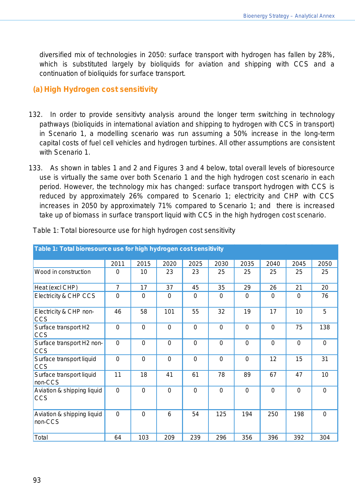diversified mix of technologies in 2050: surface transport with hydrogen has fallen by 28%, which is substituted largely by bioliquids for aviation and shipping with CCS and a continuation of bioliquids for surface transport.

### **(a) High Hydrogen cost sensitivity**

- 132. In order to provide sensitivty analysis around the longer term switching in technology pathways (bioliquids in international aviation and shipping to hydrogen with CCS in transport) in Scenario 1, a modelling scenario was run assuming a 50% increase in the long-term capital costs of fuel cell vehicles and hydrogen turbines. All other assumptions are consistent with Scenario 1.
- 133. As shown in tables 1 and 2 and Figures 3 and 4 below, total overall levels of bioresource use is virtually the same over both Scenario 1 and the high hydrogen cost scenario in each period. However, the technology mix has changed: surface transport hydrogen with CCS is reduced by approximately 26% compared to Scenario 1; electricity and CHP with CCS increases in 2050 by approximately 71% compared to Scenario 1; and there is increased take up of biomass in surface transport liquid with CCS in the high hydrogen cost scenario.

| Table 1: Total bioresource use for high hydrogen cost sensitivity |                |             |              |                |             |             |                |             |             |
|-------------------------------------------------------------------|----------------|-------------|--------------|----------------|-------------|-------------|----------------|-------------|-------------|
|                                                                   | 2011           | 2015        | 2020         | 2025           | 2030        | 2035        | 2040           | 2045        | 2050        |
| Wood in construction                                              | $\Omega$       | 10          | 23           | 23             | 25          | 25          | 25             | 25          | 25          |
| Heat (excl CHP)                                                   | $\overline{7}$ | 17          | 37           | 45             | 35          | 29          | 26             | 21          | 20          |
| <b>Electricity &amp; CHP CCS</b>                                  | $\mathbf 0$    | 0           | $\mathbf{0}$ | $\Omega$       | $\Omega$    | 0           | $\Omega$       | 0           | 76          |
| Electricity & CHP non-<br><b>CCS</b>                              | 46             | 58          | 101          | 55             | 32          | 19          | 17             | 10          | 5           |
| Surface transport H2<br><b>CCS</b>                                | $\mathbf 0$    | $\mathbf 0$ | $\mathbf 0$  | $\overline{0}$ | $\mathbf 0$ | $\mathbf 0$ | $\overline{0}$ | 75          | 138         |
| Surface transport H2 non-<br><b>CCS</b>                           | $\overline{0}$ | $\mathbf 0$ | $\mathbf 0$  | $\overline{0}$ | $\mathbf 0$ | $\mathbf 0$ | $\mathbf 0$    | 0           | $\mathbf 0$ |
| Surface transport liquid<br><b>CCS</b>                            | $\mathbf 0$    | $\mathbf 0$ | $\mathbf 0$  | $\mathbf 0$    | $\mathbf 0$ | 0           | 12             | 15          | 31          |
| Surface transport liquid<br>non-CCS                               | 11             | 18          | 41           | 61             | 78          | 89          | 67             | 47          | 10          |
| Aviation & shipping liquid<br><b>CCS</b>                          | $\overline{0}$ | $\mathbf 0$ | $\mathbf 0$  | $\overline{0}$ | $\mathbf 0$ | $\mathbf 0$ | $\mathbf 0$    | $\mathbf 0$ | $\mathbf 0$ |
| Aviation & shipping liquid<br>non-CCS                             | $\overline{0}$ | $\Omega$    | 6            | 54             | 125         | 194         | 250            | 198         | $\Omega$    |
| Total                                                             | 64             | 103         | 209          | 239            | 296         | 356         | 396            | 392         | 304         |

Table 1: Total bioresource use for high hydrogen cost sensitivity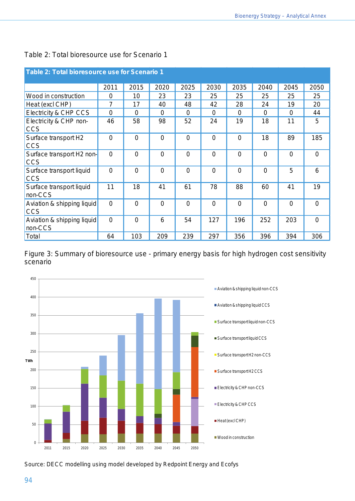| Table 2: Total bioresource use for Scenario 1       |                |                |                |                |                |             |                |                |                |  |
|-----------------------------------------------------|----------------|----------------|----------------|----------------|----------------|-------------|----------------|----------------|----------------|--|
|                                                     | 2011           | 2015           | 2020           | 2025           | 2030           | 2035        | 2040           | 2045           | 2050           |  |
| Wood in construction                                | 0              | 10             | 23             | 23             | 25             | 25          | 25             | 25             | 25             |  |
| Heat (excl CHP)                                     | $\overline{7}$ | 17             | 40             | 48             | 42             | 28          | 24             | 19             | 20             |  |
| Electricity & CHP CCS                               | 0              | $\mathbf 0$    | $\Omega$       | $\Omega$       | 0              | $\Omega$    | $\Omega$       | $\mathbf 0$    | 44             |  |
| Electricity & CHP non-<br><b>CCS</b>                | 46             | 58             | 98             | 52             | 24             | 19          | 18             | 11             | 5              |  |
| Surface transport H2<br><b>CCS</b>                  | 0              | $\overline{0}$ | $\overline{0}$ | $\mathbf 0$    | $\mathbf 0$    | $\mathbf 0$ | 18             | 89             | 185            |  |
| Surface transport H <sub>2</sub> non-<br><b>CCS</b> | $\overline{0}$ | $\overline{0}$ | $\mathbf 0$    | $\overline{0}$ | 0              | $\mathbf 0$ | $\overline{0}$ | $\Omega$       | $\overline{0}$ |  |
| Surface transport liquid<br><b>CCS</b>              | 0              | $\mathbf 0$    | $\mathbf 0$    | $\overline{0}$ | $\overline{0}$ | $\mathbf 0$ | $\mathbf 0$    | 5              | 6              |  |
| Surface transport liquid<br>non-CCS                 | 11             | 18             | 41             | 61             | 78             | 88          | 60             | 41             | 19             |  |
| Aviation & shipping liquid<br><b>CCS</b>            | $\overline{0}$ | $\overline{0}$ | $\overline{0}$ | $\mathbf 0$    | $\overline{0}$ | $\mathbf 0$ | $\overline{0}$ | $\overline{0}$ | $\overline{0}$ |  |
| Aviation & shipping liquid<br>non-CCS               | $\overline{0}$ | $\overline{0}$ | 6              | 54             | 127            | 196         | 252            | 203            | $\Omega$       |  |
| Total                                               | 64             | 103            | 209            | 239            | 297            | 356         | 396            | 394            | 306            |  |

#### Table 2: Total bioresource use for Scenario 1

Figure 3: Summary of bioresource use - primary energy basis for high hydrogen cost sensitivity scenario



Source: DECC modelling using model developed by Redpoint Energy and Ecofys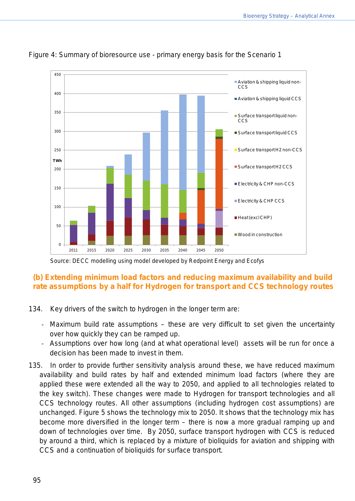

#### Figure 4: Summary of bioresource use - primary energy basis for the Scenario 1

Source: DECC modelling using model developed by Redpoint Energy and Ecofys

### **(b) Extending minimum load factors and reducing maximum availability and build rate assumptions by a half for Hydrogen for transport and CCS technology routes**

- 134. Key drivers of the switch to hydrogen in the longer term are:
	- Maximum build rate assumptions these are very difficult to set given the uncertainty over how quickly they can be ramped up.
	- Assumptions over how long (and at what operational level) assets will be run for once a decision has been made to invest in them.
- 135. In order to provide further sensitivity analysis around these, we have reduced maximum availability and build rates by half and extended minimum load factors (where they are applied these were extended all the way to 2050, and applied to all technologies related to the key switch). These changes were made to Hydrogen for transport technologies and all CCS technology routes. All other assumptions (including hydrogen cost assumptions) are unchanged. Figure 5 shows the technology mix to 2050. It shows that the technology mix has become more diversified in the longer term – there is now a more gradual ramping up and down of technologies over time. By 2050, surface transport hydrogen with CCS is reduced by around a third, which is replaced by a mixture of bioliquids for aviation and shipping with CCS and a continuation of bioliquids for surface transport.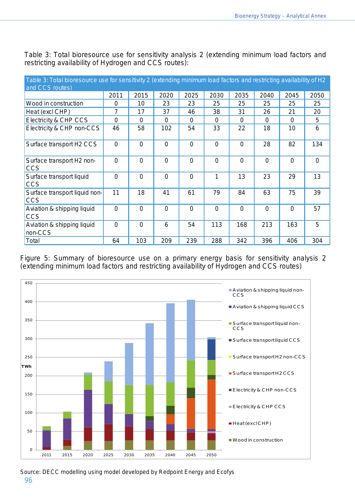| Table 3: Total bioresource use for sensitivity 2 (extending minimum load factors and restricting availability of H2 |                |             |                |                |             |             |                |                |                |
|---------------------------------------------------------------------------------------------------------------------|----------------|-------------|----------------|----------------|-------------|-------------|----------------|----------------|----------------|
| and CCS routes)                                                                                                     |                |             |                |                |             |             |                |                |                |
|                                                                                                                     | 2011           | 2015        | 2020           | 2025           | 2030        | 2035        | 2040           | 2045           | 2050           |
| Wood in construction                                                                                                | 0              | 10          | 23             | 23             | 25          | 25          | 25             | 25             | 25             |
| Heat (excl CHP)                                                                                                     | $\overline{7}$ | 17          | 37             | 46             | 38          | 31          | 26             | 21             | 20             |
| Electricity & CHP CCS                                                                                               | $\mathbf 0$    | $\Omega$    | $\Omega$       | $\Omega$       | $\Omega$    | $\Omega$    | 0              | $\Omega$       | 5              |
| Electricity & CHP non-CCS                                                                                           | 46             | 58          | 102            | 54             | 33          | 22          | 18             | 10             | 6              |
| Surface transport H2 CCS                                                                                            | $\mathbf 0$    | 0           | $\mathbf 0$    | $\mathbf 0$    | $\mathbf 0$ | $\mathbf 0$ | 28             | 82             | 134            |
| Surface transport H2 non-<br><b>CCS</b>                                                                             | $\overline{0}$ | 0           | $\Omega$       | $\Omega$       | $\Omega$    | $\Omega$    | $\overline{0}$ | $\Omega$       | $\overline{0}$ |
| Surface transport liquid<br><b>CCS</b>                                                                              | $\overline{0}$ | 0           | $\overline{0}$ | $\overline{0}$ |             | 13          | 23             | 29             | 13             |
| Surface transport liquid non-<br><b>CCS</b>                                                                         | 11             | 18          | 41             | 61             | 79          | 84          | 63             | 75             | 39             |
| Aviation & shipping liquid<br><b>CCS</b>                                                                            | $\mathbf 0$    | $\mathbf 0$ | $\mathbf 0$    | $\Omega$       | $\mathbf 0$ | $\mathbf 0$ | 0              | $\overline{0}$ | 57             |
| Aviation & shipping liquid<br>non-CCS                                                                               | $\mathbf 0$    | 0           | 6              | 54             | 113         | 168         | 213            | 163            | 5              |
| Total                                                                                                               | 64             | 103         | 209            | 239            | 288         | 342         | 396            | 406            | 304            |

Table 3: Total bioresource use for sensitivity analysis 2 (extending minimum load factors and restricting availability of Hydrogen and CCS routes):

Figure 5: Summary of bioresource use on a primary energy basis for sensitivity analysis 2 (extending minimum load factors and restricting availability of Hydrogen and CCS routes)